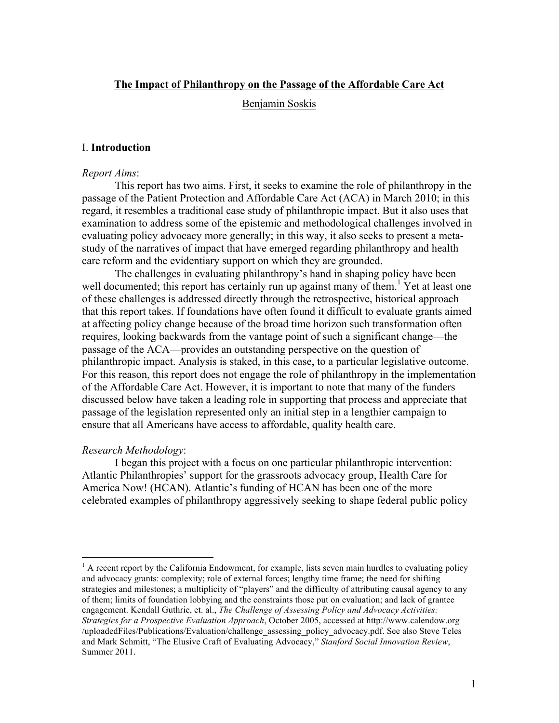## **The Impact of Philanthropy on the Passage of the Affordable Care Act**

Benjamin Soskis

## I. **Introduction**

#### *Report Aims*:

This report has two aims. First, it seeks to examine the role of philanthropy in the passage of the Patient Protection and Affordable Care Act (ACA) in March 2010; in this regard, it resembles a traditional case study of philanthropic impact. But it also uses that examination to address some of the epistemic and methodological challenges involved in evaluating policy advocacy more generally; in this way, it also seeks to present a metastudy of the narratives of impact that have emerged regarding philanthropy and health care reform and the evidentiary support on which they are grounded.

The challenges in evaluating philanthropy's hand in shaping policy have been well documented; this report has certainly run up against many of them.<sup>1</sup> Yet at least one of these challenges is addressed directly through the retrospective, historical approach that this report takes. If foundations have often found it difficult to evaluate grants aimed at affecting policy change because of the broad time horizon such transformation often requires, looking backwards from the vantage point of such a significant change—the passage of the ACA—provides an outstanding perspective on the question of philanthropic impact. Analysis is staked, in this case, to a particular legislative outcome. For this reason, this report does not engage the role of philanthropy in the implementation of the Affordable Care Act. However, it is important to note that many of the funders discussed below have taken a leading role in supporting that process and appreciate that passage of the legislation represented only an initial step in a lengthier campaign to ensure that all Americans have access to affordable, quality health care.

#### *Research Methodology*:

I began this project with a focus on one particular philanthropic intervention: Atlantic Philanthropies' support for the grassroots advocacy group, Health Care for America Now! (HCAN). Atlantic's funding of HCAN has been one of the more celebrated examples of philanthropy aggressively seeking to shape federal public policy

 $<sup>1</sup>$  A recent report by the California Endowment, for example, lists seven main hurdles to evaluating policy</sup> and advocacy grants: complexity; role of external forces; lengthy time frame; the need for shifting strategies and milestones; a multiplicity of "players" and the difficulty of attributing causal agency to any of them; limits of foundation lobbying and the constraints those put on evaluation; and lack of grantee engagement. Kendall Guthrie, et. al., *The Challenge of Assessing Policy and Advocacy Activities: Strategies for a Prospective Evaluation Approach*, October 2005, accessed at http://www.calendow.org /uploadedFiles/Publications/Evaluation/challenge\_assessing\_policy\_advocacy.pdf. See also Steve Teles and Mark Schmitt, "The Elusive Craft of Evaluating Advocacy," *Stanford Social Innovation Review*, Summer 2011.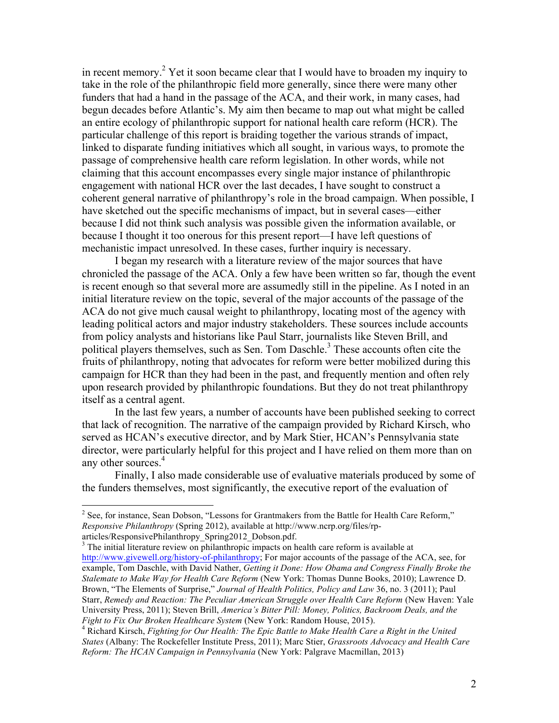in recent memory.2 Yet it soon became clear that I would have to broaden my inquiry to take in the role of the philanthropic field more generally, since there were many other funders that had a hand in the passage of the ACA, and their work, in many cases, had begun decades before Atlantic's. My aim then became to map out what might be called an entire ecology of philanthropic support for national health care reform (HCR). The particular challenge of this report is braiding together the various strands of impact, linked to disparate funding initiatives which all sought, in various ways, to promote the passage of comprehensive health care reform legislation. In other words, while not claiming that this account encompasses every single major instance of philanthropic engagement with national HCR over the last decades, I have sought to construct a coherent general narrative of philanthropy's role in the broad campaign. When possible, I have sketched out the specific mechanisms of impact, but in several cases—either because I did not think such analysis was possible given the information available, or because I thought it too onerous for this present report—I have left questions of mechanistic impact unresolved. In these cases, further inquiry is necessary.

I began my research with a literature review of the major sources that have chronicled the passage of the ACA. Only a few have been written so far, though the event is recent enough so that several more are assumedly still in the pipeline. As I noted in an initial literature review on the topic, several of the major accounts of the passage of the ACA do not give much causal weight to philanthropy, locating most of the agency with leading political actors and major industry stakeholders. These sources include accounts from policy analysts and historians like Paul Starr, journalists like Steven Brill, and political players themselves, such as Sen. Tom Daschle.<sup>3</sup> These accounts often cite the fruits of philanthropy, noting that advocates for reform were better mobilized during this campaign for HCR than they had been in the past, and frequently mention and often rely upon research provided by philanthropic foundations. But they do not treat philanthropy itself as a central agent.

In the last few years, a number of accounts have been published seeking to correct that lack of recognition. The narrative of the campaign provided by Richard Kirsch, who served as HCAN's executive director, and by Mark Stier, HCAN's Pennsylvania state director, were particularly helpful for this project and I have relied on them more than on any other sources.<sup>4</sup>

Finally, I also made considerable use of evaluative materials produced by some of the funders themselves, most significantly, the executive report of the evaluation of

 $2^2$  See, for instance, Sean Dobson, "Lessons for Grantmakers from the Battle for Health Care Reform," *Responsive Philanthropy* (Spring 2012), available at http://www.ncrp.org/files/rp-

articles/ResponsivePhilanthropy\_Spring2012\_Dobson.pdf. <sup>3</sup> The initial literature review on philanthropic impacts on health care reform is available at http://www.givewell.org/history-of-philanthropy; For major accounts of the passage of the ACA, see, for example, Tom Daschle, with David Nather, *Getting it Done: How Obama and Congress Finally Broke the Stalemate to Make Way for Health Care Reform* (New York: Thomas Dunne Books, 2010); Lawrence D. Brown, "The Elements of Surprise," *Journal of Health Politics, Policy and Law* 36, no. 3 (2011); Paul Starr, *Remedy and Reaction: The Peculiar American Struggle over Health Care Reform* (New Haven: Yale University Press, 2011); Steven Brill, *America's Bitter Pill: Money, Politics, Backroom Deals, and the* 

*Fight to Fix Our Broken Healthcare System* (New York: Random House, 2015). <sup>4</sup> Richard Kirsch, *Fighting for Our Health: The Epic Battle to Make Health Care a Right in the United States* (Albany: The Rockefeller Institute Press, 2011); Marc Stier, *Grassroots Advocacy and Health Care Reform: The HCAN Campaign in Pennsylvania* (New York: Palgrave Macmillan, 2013)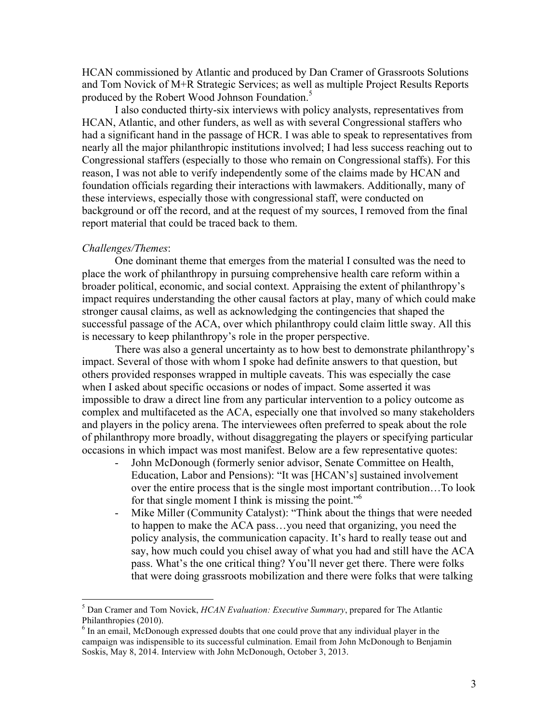HCAN commissioned by Atlantic and produced by Dan Cramer of Grassroots Solutions and Tom Novick of M+R Strategic Services; as well as multiple Project Results Reports produced by the Robert Wood Johnson Foundation.<sup>5</sup>

I also conducted thirty-six interviews with policy analysts, representatives from HCAN, Atlantic, and other funders, as well as with several Congressional staffers who had a significant hand in the passage of HCR. I was able to speak to representatives from nearly all the major philanthropic institutions involved; I had less success reaching out to Congressional staffers (especially to those who remain on Congressional staffs). For this reason, I was not able to verify independently some of the claims made by HCAN and foundation officials regarding their interactions with lawmakers. Additionally, many of these interviews, especially those with congressional staff, were conducted on background or off the record, and at the request of my sources, I removed from the final report material that could be traced back to them.

#### *Challenges/Themes*:

One dominant theme that emerges from the material I consulted was the need to place the work of philanthropy in pursuing comprehensive health care reform within a broader political, economic, and social context. Appraising the extent of philanthropy's impact requires understanding the other causal factors at play, many of which could make stronger causal claims, as well as acknowledging the contingencies that shaped the successful passage of the ACA, over which philanthropy could claim little sway. All this is necessary to keep philanthropy's role in the proper perspective.

There was also a general uncertainty as to how best to demonstrate philanthropy's impact. Several of those with whom I spoke had definite answers to that question, but others provided responses wrapped in multiple caveats. This was especially the case when I asked about specific occasions or nodes of impact. Some asserted it was impossible to draw a direct line from any particular intervention to a policy outcome as complex and multifaceted as the ACA, especially one that involved so many stakeholders and players in the policy arena. The interviewees often preferred to speak about the role of philanthropy more broadly, without disaggregating the players or specifying particular occasions in which impact was most manifest. Below are a few representative quotes:

- John McDonough (formerly senior advisor, Senate Committee on Health, Education, Labor and Pensions): "It was [HCAN's] sustained involvement over the entire process that is the single most important contribution…To look for that single moment I think is missing the point."6
- Mike Miller (Community Catalyst): "Think about the things that were needed to happen to make the ACA pass…you need that organizing, you need the policy analysis, the communication capacity. It's hard to really tease out and say, how much could you chisel away of what you had and still have the ACA pass. What's the one critical thing? You'll never get there. There were folks that were doing grassroots mobilization and there were folks that were talking

 <sup>5</sup> Dan Cramer and Tom Novick, *HCAN Evaluation: Executive Summary*, prepared for The Atlantic Philanthropies (2010).

<sup>&</sup>lt;sup>6</sup> In an email, McDonough expressed doubts that one could prove that any individual player in the campaign was indispensible to its successful culmination. Email from John McDonough to Benjamin Soskis, May 8, 2014. Interview with John McDonough, October 3, 2013.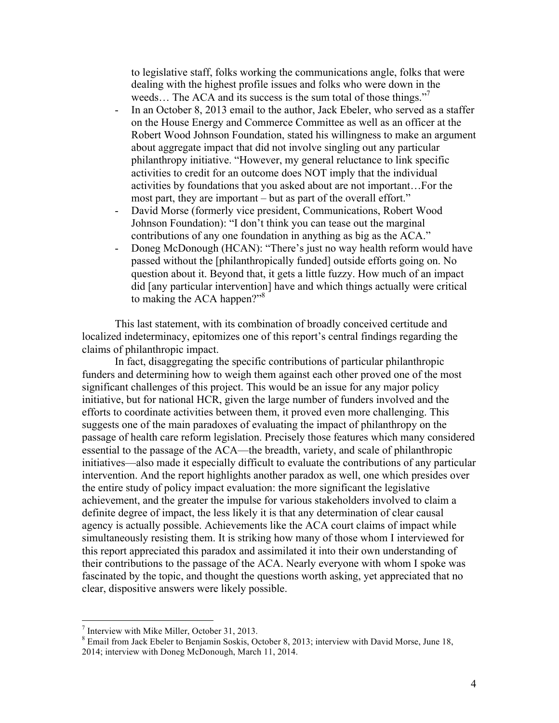to legislative staff, folks working the communications angle, folks that were dealing with the highest profile issues and folks who were down in the weeds... The ACA and its success is the sum total of those things."

- In an October 8, 2013 email to the author, Jack Ebeler, who served as a staffer on the House Energy and Commerce Committee as well as an officer at the Robert Wood Johnson Foundation, stated his willingness to make an argument about aggregate impact that did not involve singling out any particular philanthropy initiative. "However, my general reluctance to link specific activities to credit for an outcome does NOT imply that the individual activities by foundations that you asked about are not important…For the most part, they are important – but as part of the overall effort."
- David Morse (formerly vice president, Communications, Robert Wood Johnson Foundation): "I don't think you can tease out the marginal contributions of any one foundation in anything as big as the ACA."
- Doneg McDonough (HCAN): "There's just no way health reform would have passed without the [philanthropically funded] outside efforts going on. No question about it. Beyond that, it gets a little fuzzy. How much of an impact did [any particular intervention] have and which things actually were critical to making the ACA happen?"<sup>8</sup>

This last statement, with its combination of broadly conceived certitude and localized indeterminacy, epitomizes one of this report's central findings regarding the claims of philanthropic impact.

In fact, disaggregating the specific contributions of particular philanthropic funders and determining how to weigh them against each other proved one of the most significant challenges of this project. This would be an issue for any major policy initiative, but for national HCR, given the large number of funders involved and the efforts to coordinate activities between them, it proved even more challenging. This suggests one of the main paradoxes of evaluating the impact of philanthropy on the passage of health care reform legislation. Precisely those features which many considered essential to the passage of the ACA—the breadth, variety, and scale of philanthropic initiatives—also made it especially difficult to evaluate the contributions of any particular intervention. And the report highlights another paradox as well, one which presides over the entire study of policy impact evaluation: the more significant the legislative achievement, and the greater the impulse for various stakeholders involved to claim a definite degree of impact, the less likely it is that any determination of clear causal agency is actually possible. Achievements like the ACA court claims of impact while simultaneously resisting them. It is striking how many of those whom I interviewed for this report appreciated this paradox and assimilated it into their own understanding of their contributions to the passage of the ACA. Nearly everyone with whom I spoke was fascinated by the topic, and thought the questions worth asking, yet appreciated that no clear, dispositive answers were likely possible.

 $<sup>7</sup>$  Interview with Mike Miller, October 31, 2013.</sup>

<sup>&</sup>lt;sup>8</sup> Email from Jack Ebeler to Benjamin Soskis, October 8, 2013; interview with David Morse, June 18, 2014; interview with Doneg McDonough, March 11, 2014.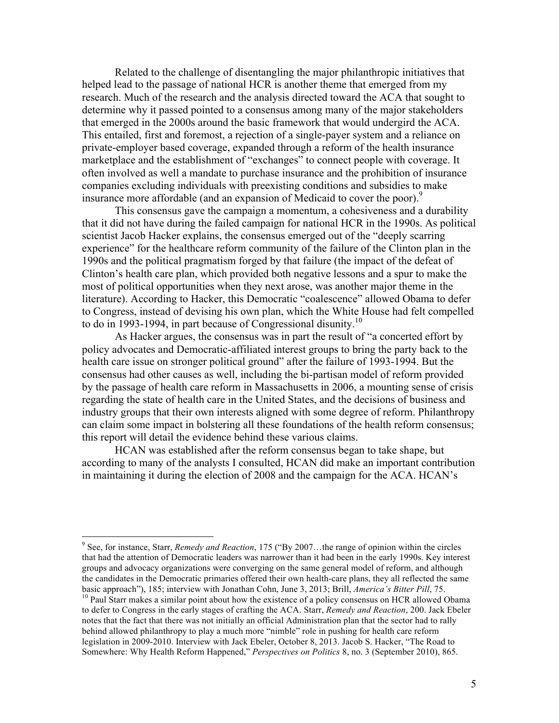Related to the challenge of disentangling the major philanthropic initiatives that helped lead to the passage of national HCR is another theme that emerged from my research. Much of the research and the analysis directed toward the ACA that sought to determine why it passed pointed to a consensus among many of the major stakeholders that emerged in the 2000s around the basic framework that would undergird the ACA. This entailed, first and foremost, a rejection of a single-payer system and a reliance on private-employer based coverage, expanded through a reform of the health insurance marketplace and the establishment of "exchanges" to connect people with coverage. It often involved as well a mandate to purchase insurance and the prohibition of insurance companies excluding individuals with preexisting conditions and subsidies to make insurance more affordable (and an expansion of Medicaid to cover the poor).<sup>9</sup>

This consensus gave the campaign a momentum, a cohesiveness and a durability that it did not have during the failed campaign for national HCR in the 1990s. As political scientist Jacob Hacker explains, the consensus emerged out of the "deeply scarring experience" for the healthcare reform community of the failure of the Clinton plan in the 1990s and the political pragmatism forged by that failure (the impact of the defeat of Clinton's health care plan, which provided both negative lessons and a spur to make the most of political opportunities when they next arose, was another major theme in the literature). According to Hacker, this Democratic "coalescence" allowed Obama to defer to Congress, instead of devising his own plan, which the White House had felt compelled to do in 1993-1994, in part because of Congressional disunity.<sup>10</sup>

As Hacker argues, the consensus was in part the result of "a concerted effort by policy advocates and Democratic-affiliated interest groups to bring the party back to the health care issue on stronger political ground" after the failure of 1993-1994. But the consensus had other causes as well, including the bi-partisan model of reform provided by the passage of health care reform in Massachusetts in 2006, a mounting sense of crisis regarding the state of health care in the United States, and the decisions of business and industry groups that their own interests aligned with some degree of reform. Philanthropy can claim some impact in bolstering all these foundations of the health reform consensus; this report will detail the evidence behind these various claims.

HCAN was established after the reform consensus began to take shape, but according to many of the analysts I consulted, HCAN did make an important contribution in maintaining it during the election of 2008 and the campaign for the ACA. HCAN's

 <sup>9</sup> See, for instance, Starr, *Remedy and Reaction*, 175 ("By 2007…the range of opinion within the circles that had the attention of Democratic leaders was narrower than it had been in the early 1990s. Key interest groups and advocacy organizations were converging on the same general model of reform, and although the candidates in the Democratic primaries offered their own health-care plans, they all reflected the same basic approach"), 185; interview with Jonathan Cohn, June 3, 2013; Brill, *America's Bitter Pill*, 75.<br><sup>10</sup> Paul Starr makes a similar point about how the existence of a policy consensus on HCR allowed Obama

to defer to Congress in the early stages of crafting the ACA. Starr, *Remedy and Reaction*, 200. Jack Ebeler notes that the fact that there was not initially an official Administration plan that the sector had to rally behind allowed philanthropy to play a much more "nimble" role in pushing for health care reform legislation in 2009-2010. Interview with Jack Ebeler, October 8, 2013. Jacob S. Hacker, "The Road to Somewhere: Why Health Reform Happened," *Perspectives on Politics* 8, no. 3 (September 2010), 865.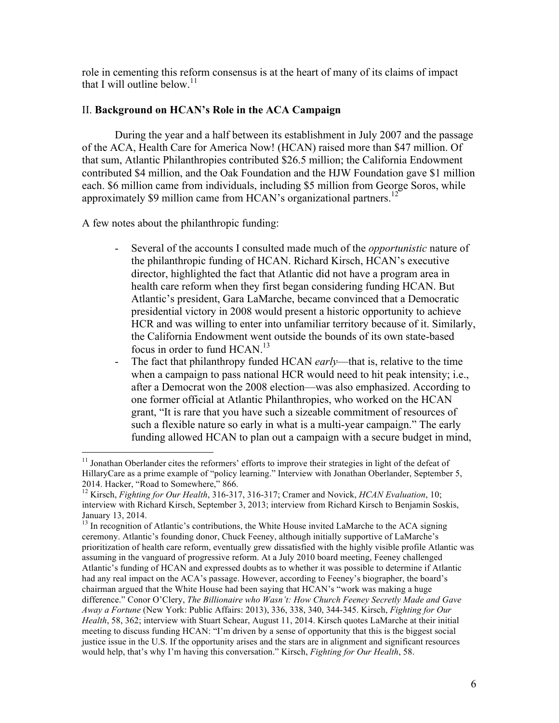role in cementing this reform consensus is at the heart of many of its claims of impact that I will outline below.<sup>11</sup>

# II. **Background on HCAN's Role in the ACA Campaign**

During the year and a half between its establishment in July 2007 and the passage of the ACA, Health Care for America Now! (HCAN) raised more than \$47 million. Of that sum, Atlantic Philanthropies contributed \$26.5 million; the California Endowment contributed \$4 million, and the Oak Foundation and the HJW Foundation gave \$1 million each. \$6 million came from individuals, including \$5 million from George Soros, while approximately \$9 million came from HCAN's organizational partners.<sup>12</sup>

A few notes about the philanthropic funding:

- Several of the accounts I consulted made much of the *opportunistic* nature of the philanthropic funding of HCAN. Richard Kirsch, HCAN's executive director, highlighted the fact that Atlantic did not have a program area in health care reform when they first began considering funding HCAN. But Atlantic's president, Gara LaMarche, became convinced that a Democratic presidential victory in 2008 would present a historic opportunity to achieve HCR and was willing to enter into unfamiliar territory because of it. Similarly, the California Endowment went outside the bounds of its own state-based focus in order to fund HCAN.<sup>13</sup>
- The fact that philanthropy funded HCAN *early*—that is, relative to the time when a campaign to pass national HCR would need to hit peak intensity; i.e., after a Democrat won the 2008 election—was also emphasized. According to one former official at Atlantic Philanthropies, who worked on the HCAN grant, "It is rare that you have such a sizeable commitment of resources of such a flexible nature so early in what is a multi-year campaign." The early funding allowed HCAN to plan out a campaign with a secure budget in mind,

 $11$  Jonathan Oberlander cites the reformers' efforts to improve their strategies in light of the defeat of HillaryCare as a prime example of "policy learning." Interview with Jonathan Oberlander, September 5, 2014. Hacker, "Road to Somewhere," 866.

<sup>12</sup> Kirsch, *Fighting for Our Health*, 316-317, 316-317; Cramer and Novick, *HCAN Evaluation*, 10; interview with Richard Kirsch, September 3, 2013; interview from Richard Kirsch to Benjamin Soskis, January 13, 2014.

 $^{13}$  In recognition of Atlantic's contributions, the White House invited LaMarche to the ACA signing ceremony. Atlantic's founding donor, Chuck Feeney, although initially supportive of LaMarche's prioritization of health care reform, eventually grew dissatisfied with the highly visible profile Atlantic was assuming in the vanguard of progressive reform. At a July 2010 board meeting, Feeney challenged Atlantic's funding of HCAN and expressed doubts as to whether it was possible to determine if Atlantic had any real impact on the ACA's passage. However, according to Feeney's biographer, the board's chairman argued that the White House had been saying that HCAN's "work was making a huge difference." Conor O'Clery, *The Billionaire who Wasn't: How Church Feeney Secretly Made and Gave Away a Fortune* (New York: Public Affairs: 2013), 336, 338, 340, 344-345. Kirsch, *Fighting for Our Health*, 58, 362; interview with Stuart Schear, August 11, 2014. Kirsch quotes LaMarche at their initial meeting to discuss funding HCAN: "I'm driven by a sense of opportunity that this is the biggest social justice issue in the U.S. If the opportunity arises and the stars are in alignment and significant resources would help, that's why I'm having this conversation." Kirsch, *Fighting for Our Health*, 58.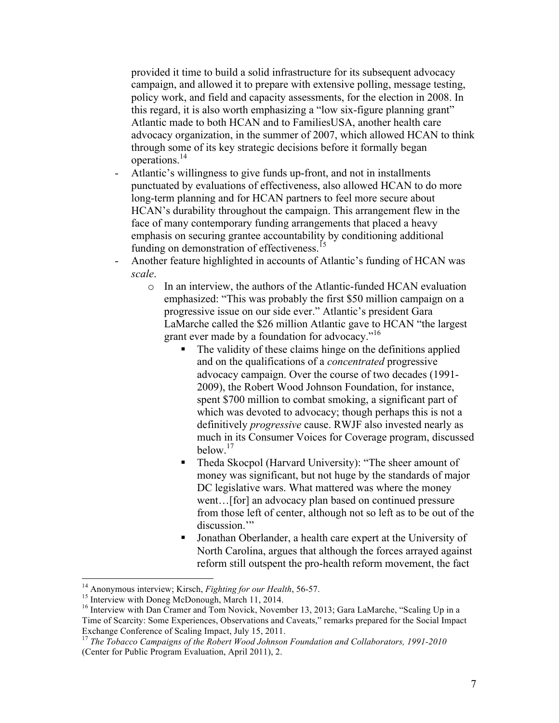provided it time to build a solid infrastructure for its subsequent advocacy campaign, and allowed it to prepare with extensive polling, message testing, policy work, and field and capacity assessments, for the election in 2008. In this regard, it is also worth emphasizing a "low six-figure planning grant" Atlantic made to both HCAN and to FamiliesUSA, another health care advocacy organization, in the summer of 2007, which allowed HCAN to think through some of its key strategic decisions before it formally began operations. 14

- Atlantic's willingness to give funds up-front, and not in installments punctuated by evaluations of effectiveness, also allowed HCAN to do more long-term planning and for HCAN partners to feel more secure about HCAN's durability throughout the campaign. This arrangement flew in the face of many contemporary funding arrangements that placed a heavy emphasis on securing grantee accountability by conditioning additional funding on demonstration of effectiveness.<sup>15</sup>
- Another feature highlighted in accounts of Atlantic's funding of HCAN was *scale*.
	- o In an interview, the authors of the Atlantic-funded HCAN evaluation emphasized: "This was probably the first \$50 million campaign on a progressive issue on our side ever." Atlantic's president Gara LaMarche called the \$26 million Atlantic gave to HCAN "the largest grant ever made by a foundation for advocacy."<sup>16</sup>
		- The validity of these claims hinge on the definitions applied and on the qualifications of a *concentrated* progressive advocacy campaign. Over the course of two decades (1991- 2009), the Robert Wood Johnson Foundation, for instance, spent \$700 million to combat smoking, a significant part of which was devoted to advocacy; though perhaps this is not a definitively *progressive* cause. RWJF also invested nearly as much in its Consumer Voices for Coverage program, discussed below.<sup>17</sup>
		- Theda Skocpol (Harvard University): "The sheer amount of money was significant, but not huge by the standards of major DC legislative wars. What mattered was where the money went…[for] an advocacy plan based on continued pressure from those left of center, although not so left as to be out of the discussion."
		- § Jonathan Oberlander, a health care expert at the University of North Carolina, argues that although the forces arrayed against reform still outspent the pro-health reform movement, the fact

<sup>&</sup>lt;sup>14</sup> Anonymous interview; Kirsch, *Fighting for our Health*, 56-57.<br><sup>15</sup> Interview with Doneg McDonough, March 11, 2014.<br><sup>16</sup> Interview with Dan Cramer and Tom Novick, November 13, 2013; Gara LaMarche, "Scaling Up in a Time of Scarcity: Some Experiences, Observations and Caveats," remarks prepared for the Social Impact Exchange Conference of Scaling Impact, July 15, 2011.

<sup>&</sup>lt;sup>17</sup> The Tobacco Campaigns of the Robert Wood Johnson Foundation and Collaborators, 1991-2010 (Center for Public Program Evaluation, April 2011), 2.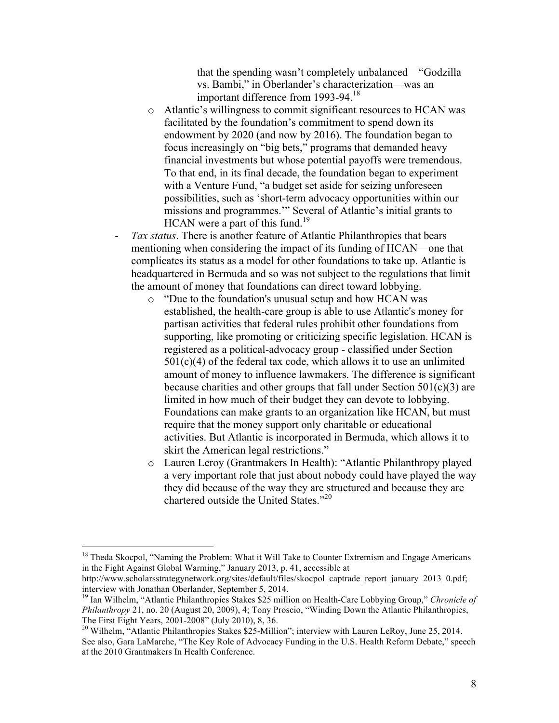that the spending wasn't completely unbalanced—"Godzilla vs. Bambi," in Oberlander's characterization—was an important difference from 1993-94.<sup>18</sup>

- o Atlantic's willingness to commit significant resources to HCAN was facilitated by the foundation's commitment to spend down its endowment by 2020 (and now by 2016). The foundation began to focus increasingly on "big bets," programs that demanded heavy financial investments but whose potential payoffs were tremendous. To that end, in its final decade, the foundation began to experiment with a Venture Fund, "a budget set aside for seizing unforeseen possibilities, such as 'short-term advocacy opportunities within our missions and programmes.'" Several of Atlantic's initial grants to  $HCAN$  were a part of this fund.<sup>19</sup>
- Tax status. There is another feature of Atlantic Philanthropies that bears mentioning when considering the impact of its funding of HCAN—one that complicates its status as a model for other foundations to take up. Atlantic is headquartered in Bermuda and so was not subject to the regulations that limit the amount of money that foundations can direct toward lobbying.
	- o "Due to the foundation's unusual setup and how HCAN was established, the health-care group is able to use Atlantic's money for partisan activities that federal rules prohibit other foundations from supporting, like promoting or criticizing specific legislation. HCAN is registered as a political-advocacy group - classified under Section  $501(c)(4)$  of the federal tax code, which allows it to use an unlimited amount of money to influence lawmakers. The difference is significant because charities and other groups that fall under Section  $501(c)(3)$  are limited in how much of their budget they can devote to lobbying. Foundations can make grants to an organization like HCAN, but must require that the money support only charitable or educational activities. But Atlantic is incorporated in Bermuda, which allows it to skirt the American legal restrictions."
	- o Lauren Leroy (Grantmakers In Health): "Atlantic Philanthropy played a very important role that just about nobody could have played the way they did because of the way they are structured and because they are chartered outside the United States." 20

 $18$  Theda Skocpol, "Naming the Problem: What it Will Take to Counter Extremism and Engage Americans in the Fight Against Global Warming," January 2013, p. 41, accessible at

http://www.scholarsstrategynetwork.org/sites/default/files/skocpol\_captrade\_report\_january\_2013\_0.pdf; interview with Jonathan Oberlander, September 5, 2014.

<sup>19</sup> Ian Wilhelm, "Atlantic Philanthropies Stakes \$25 million on Health-Care Lobbying Group," *Chronicle of Philanthropy* 21, no. 20 (August 20, 2009), 4; Tony Proscio, "Winding Down the Atlantic Philanthropies, The First Eight Years, 2001-2008" (July 2010), 8, 36. <sup>20</sup> Wilhelm, "Atlantic Philanthropies Stakes \$25-Million"; interview with Lauren LeRoy, June 25, 2014.

See also, Gara LaMarche, "The Key Role of Advocacy Funding in the U.S. Health Reform Debate," speech at the 2010 Grantmakers In Health Conference.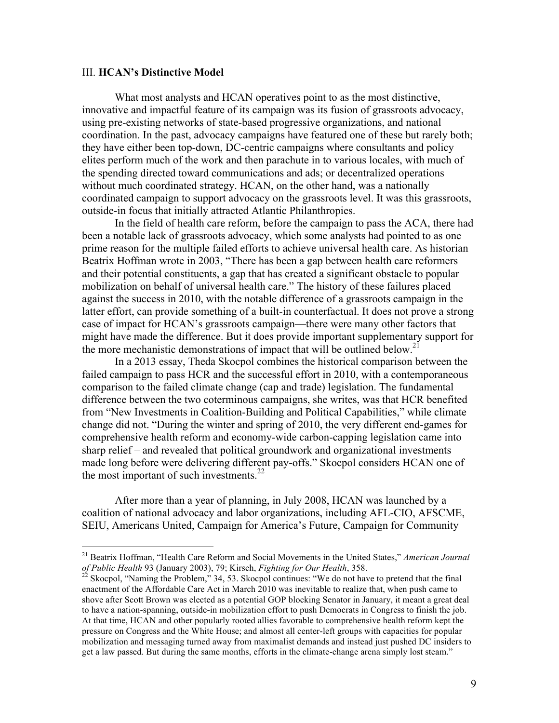#### III. **HCAN's Distinctive Model**

What most analysts and HCAN operatives point to as the most distinctive, innovative and impactful feature of its campaign was its fusion of grassroots advocacy, using pre-existing networks of state-based progressive organizations, and national coordination. In the past, advocacy campaigns have featured one of these but rarely both; they have either been top-down, DC-centric campaigns where consultants and policy elites perform much of the work and then parachute in to various locales, with much of the spending directed toward communications and ads; or decentralized operations without much coordinated strategy. HCAN, on the other hand, was a nationally coordinated campaign to support advocacy on the grassroots level. It was this grassroots, outside-in focus that initially attracted Atlantic Philanthropies.

In the field of health care reform, before the campaign to pass the ACA, there had been a notable lack of grassroots advocacy, which some analysts had pointed to as one prime reason for the multiple failed efforts to achieve universal health care. As historian Beatrix Hoffman wrote in 2003, "There has been a gap between health care reformers and their potential constituents, a gap that has created a significant obstacle to popular mobilization on behalf of universal health care." The history of these failures placed against the success in 2010, with the notable difference of a grassroots campaign in the latter effort, can provide something of a built-in counterfactual. It does not prove a strong case of impact for HCAN's grassroots campaign—there were many other factors that might have made the difference. But it does provide important supplementary support for the more mechanistic demonstrations of impact that will be outlined below.<sup>21</sup>

In a 2013 essay, Theda Skocpol combines the historical comparison between the failed campaign to pass HCR and the successful effort in 2010, with a contemporaneous comparison to the failed climate change (cap and trade) legislation. The fundamental difference between the two coterminous campaigns, she writes, was that HCR benefited from "New Investments in Coalition-Building and Political Capabilities," while climate change did not. "During the winter and spring of 2010, the very different end-games for comprehensive health reform and economy-wide carbon-capping legislation came into sharp relief – and revealed that political groundwork and organizational investments made long before were delivering different pay-offs." Skocpol considers HCAN one of the most important of such investments. $^{22}$ 

After more than a year of planning, in July 2008, HCAN was launched by a coalition of national advocacy and labor organizations, including AFL-CIO, AFSCME, SEIU, Americans United, Campaign for America's Future, Campaign for Community

<sup>&</sup>lt;sup>21</sup> Beatrix Hoffman, "Health Care Reform and Social Movements in the United States," *American Journal of Public Health* 93 (January 2003), 79; Kirsch, *Fighting for Our Health*, 358.

*Skocpol, "Naming the Problem," 34, 53. Skocpol continues: "We do not have to pretend that the final* enactment of the Affordable Care Act in March 2010 was inevitable to realize that, when push came to shove after Scott Brown was elected as a potential GOP blocking Senator in January, it meant a great deal to have a nation-spanning, outside-in mobilization effort to push Democrats in Congress to finish the job. At that time, HCAN and other popularly rooted allies favorable to comprehensive health reform kept the pressure on Congress and the White House; and almost all center-left groups with capacities for popular mobilization and messaging turned away from maximalist demands and instead just pushed DC insiders to get a law passed. But during the same months, efforts in the climate-change arena simply lost steam."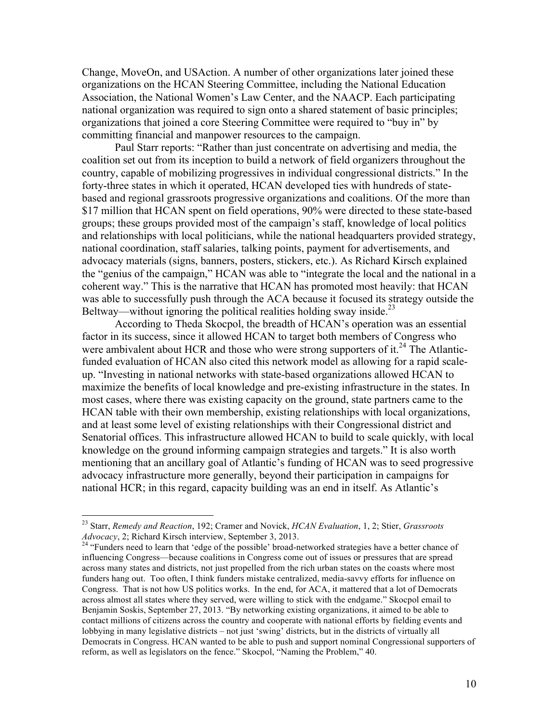Change, MoveOn, and USAction. A number of other organizations later joined these organizations on the HCAN Steering Committee, including the National Education Association, the National Women's Law Center, and the NAACP. Each participating national organization was required to sign onto a shared statement of basic principles; organizations that joined a core Steering Committee were required to "buy in" by committing financial and manpower resources to the campaign.

Paul Starr reports: "Rather than just concentrate on advertising and media, the coalition set out from its inception to build a network of field organizers throughout the country, capable of mobilizing progressives in individual congressional districts." In the forty-three states in which it operated, HCAN developed ties with hundreds of statebased and regional grassroots progressive organizations and coalitions. Of the more than \$17 million that HCAN spent on field operations, 90% were directed to these state-based groups; these groups provided most of the campaign's staff, knowledge of local politics and relationships with local politicians, while the national headquarters provided strategy, national coordination, staff salaries, talking points, payment for advertisements, and advocacy materials (signs, banners, posters, stickers, etc.). As Richard Kirsch explained the "genius of the campaign," HCAN was able to "integrate the local and the national in a coherent way." This is the narrative that HCAN has promoted most heavily: that HCAN was able to successfully push through the ACA because it focused its strategy outside the Beltway—without ignoring the political realities holding sway inside.<sup>23</sup>

According to Theda Skocpol, the breadth of HCAN's operation was an essential factor in its success, since it allowed HCAN to target both members of Congress who were ambivalent about HCR and those who were strong supporters of it.<sup>24</sup> The Atlanticfunded evaluation of HCAN also cited this network model as allowing for a rapid scaleup. "Investing in national networks with state-based organizations allowed HCAN to maximize the benefits of local knowledge and pre-existing infrastructure in the states. In most cases, where there was existing capacity on the ground, state partners came to the HCAN table with their own membership, existing relationships with local organizations, and at least some level of existing relationships with their Congressional district and Senatorial offices. This infrastructure allowed HCAN to build to scale quickly, with local knowledge on the ground informing campaign strategies and targets." It is also worth mentioning that an ancillary goal of Atlantic's funding of HCAN was to seed progressive advocacy infrastructure more generally, beyond their participation in campaigns for national HCR; in this regard, capacity building was an end in itself. As Atlantic's

 <sup>23</sup> Starr, *Remedy and Reaction*, 192; Cramer and Novick, *HCAN Evaluation*, 1, 2; Stier, *Grassroots Advocacy*, 2; Richard Kirsch interview, September 3, 2013.<br><sup>24</sup> "Funders need to learn that 'edge of the possible' broad-networked strategies have a better chance of

influencing Congress—because coalitions in Congress come out of issues or pressures that are spread across many states and districts, not just propelled from the rich urban states on the coasts where most funders hang out. Too often, I think funders mistake centralized, media-savvy efforts for influence on Congress. That is not how US politics works. In the end, for ACA, it mattered that a lot of Democrats across almost all states where they served, were willing to stick with the endgame." Skocpol email to Benjamin Soskis, September 27, 2013. "By networking existing organizations, it aimed to be able to contact millions of citizens across the country and cooperate with national efforts by fielding events and lobbying in many legislative districts – not just 'swing' districts, but in the districts of virtually all Democrats in Congress. HCAN wanted to be able to push and support nominal Congressional supporters of reform, as well as legislators on the fence." Skocpol, "Naming the Problem," 40.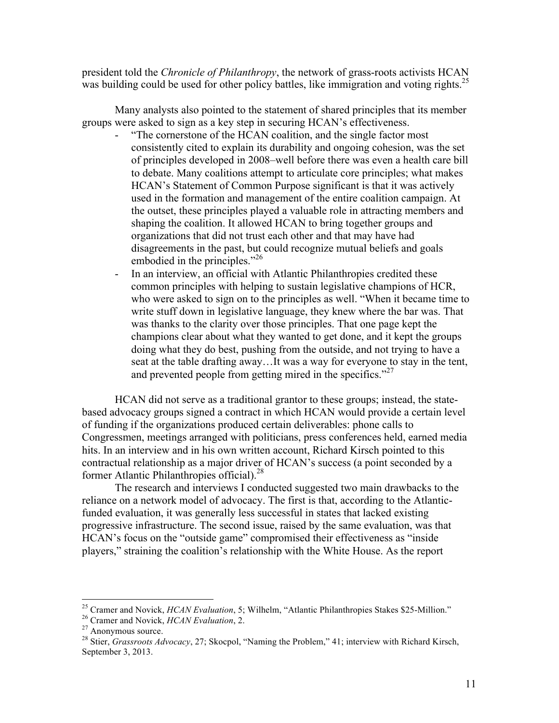president told the *Chronicle of Philanthropy*, the network of grass-roots activists HCAN was building could be used for other policy battles, like immigration and voting rights.<sup>25</sup>

Many analysts also pointed to the statement of shared principles that its member groups were asked to sign as a key step in securing HCAN's effectiveness.

- "The cornerstone of the HCAN coalition, and the single factor most consistently cited to explain its durability and ongoing cohesion, was the set of principles developed in 2008–well before there was even a health care bill to debate. Many coalitions attempt to articulate core principles; what makes HCAN's Statement of Common Purpose significant is that it was actively used in the formation and management of the entire coalition campaign. At the outset, these principles played a valuable role in attracting members and shaping the coalition. It allowed HCAN to bring together groups and organizations that did not trust each other and that may have had disagreements in the past, but could recognize mutual beliefs and goals embodied in the principles."<sup>26</sup>
- In an interview, an official with Atlantic Philanthropies credited these common principles with helping to sustain legislative champions of HCR, who were asked to sign on to the principles as well. "When it became time to write stuff down in legislative language, they knew where the bar was. That was thanks to the clarity over those principles. That one page kept the champions clear about what they wanted to get done, and it kept the groups doing what they do best, pushing from the outside, and not trying to have a seat at the table drafting away…It was a way for everyone to stay in the tent, and prevented people from getting mired in the specifics."<sup>27</sup>

HCAN did not serve as a traditional grantor to these groups; instead, the statebased advocacy groups signed a contract in which HCAN would provide a certain level of funding if the organizations produced certain deliverables: phone calls to Congressmen, meetings arranged with politicians, press conferences held, earned media hits. In an interview and in his own written account, Richard Kirsch pointed to this contractual relationship as a major driver of HCAN's success (a point seconded by a former Atlantic Philanthropies official).<sup>28</sup>

The research and interviews I conducted suggested two main drawbacks to the reliance on a network model of advocacy. The first is that, according to the Atlanticfunded evaluation, it was generally less successful in states that lacked existing progressive infrastructure. The second issue, raised by the same evaluation, was that HCAN's focus on the "outside game" compromised their effectiveness as "inside players," straining the coalition's relationship with the White House. As the report

<sup>&</sup>lt;sup>25</sup> Cramer and Novick, *HCAN Evaluation*, 5; Wilhelm, "Atlantic Philanthropies Stakes \$25-Million."<br><sup>26</sup> Cramer and Novick, *HCAN Evaluation*, 2.<br><sup>27</sup> Anonymous source.<br><sup>28</sup> Stier, *Grassroots Advocacy*, 27; Skocpol, "Na

September 3, 2013.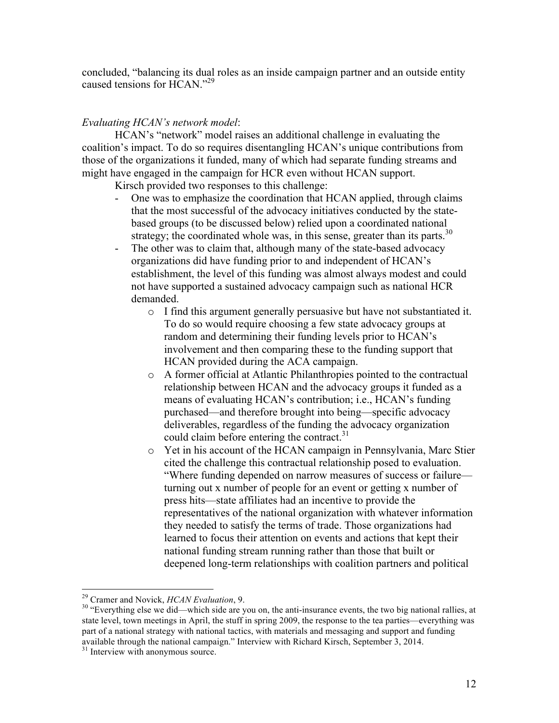concluded, "balancing its dual roles as an inside campaign partner and an outside entity caused tensions for  $HCAN^{3,29}$ 

## *Evaluating HCAN's network model*:

HCAN's "network" model raises an additional challenge in evaluating the coalition's impact. To do so requires disentangling HCAN's unique contributions from those of the organizations it funded, many of which had separate funding streams and might have engaged in the campaign for HCR even without HCAN support.

Kirsch provided two responses to this challenge:

- One was to emphasize the coordination that HCAN applied, through claims that the most successful of the advocacy initiatives conducted by the statebased groups (to be discussed below) relied upon a coordinated national strategy; the coordinated whole was, in this sense, greater than its parts.<sup>30</sup>
- The other was to claim that, although many of the state-based advocacy organizations did have funding prior to and independent of HCAN's establishment, the level of this funding was almost always modest and could not have supported a sustained advocacy campaign such as national HCR demanded.
	- o I find this argument generally persuasive but have not substantiated it. To do so would require choosing a few state advocacy groups at random and determining their funding levels prior to HCAN's involvement and then comparing these to the funding support that HCAN provided during the ACA campaign.
	- o A former official at Atlantic Philanthropies pointed to the contractual relationship between HCAN and the advocacy groups it funded as a means of evaluating HCAN's contribution; i.e., HCAN's funding purchased—and therefore brought into being—specific advocacy deliverables, regardless of the funding the advocacy organization could claim before entering the contract.<sup>31</sup>
	- o Yet in his account of the HCAN campaign in Pennsylvania, Marc Stier cited the challenge this contractual relationship posed to evaluation. "Where funding depended on narrow measures of success or failure turning out x number of people for an event or getting x number of press hits—state affiliates had an incentive to provide the representatives of the national organization with whatever information they needed to satisfy the terms of trade. Those organizations had learned to focus their attention on events and actions that kept their national funding stream running rather than those that built or deepened long-term relationships with coalition partners and political

<sup>&</sup>lt;sup>29</sup> Cramer and Novick, *HCAN Evaluation*, 9.<br><sup>30</sup> "Everything else we did—which side are you on, the anti-insurance events, the two big national rallies, at state level, town meetings in April, the stuff in spring 2009, the response to the tea parties—everything was part of a national strategy with national tactics, with materials and messaging and support and funding available through the national campaign." Interview with Richard Kirsch, September 3, 2014.<br><sup>31</sup> Interview with anonymous source.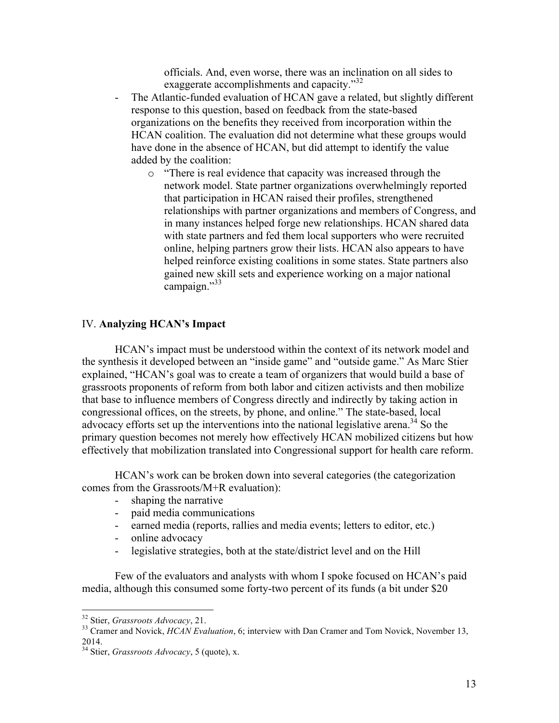officials. And, even worse, there was an inclination on all sides to exaggerate accomplishments and capacity."<sup>32</sup>

- The Atlantic-funded evaluation of HCAN gave a related, but slightly different response to this question, based on feedback from the state-based organizations on the benefits they received from incorporation within the HCAN coalition. The evaluation did not determine what these groups would have done in the absence of HCAN, but did attempt to identify the value added by the coalition:
	- o "There is real evidence that capacity was increased through the network model. State partner organizations overwhelmingly reported that participation in HCAN raised their profiles, strengthened relationships with partner organizations and members of Congress, and in many instances helped forge new relationships. HCAN shared data with state partners and fed them local supporters who were recruited online, helping partners grow their lists. HCAN also appears to have helped reinforce existing coalitions in some states. State partners also gained new skill sets and experience working on a major national campaign."<sup>33</sup>

#### IV. **Analyzing HCAN's Impact**

HCAN's impact must be understood within the context of its network model and the synthesis it developed between an "inside game" and "outside game." As Marc Stier explained, "HCAN's goal was to create a team of organizers that would build a base of grassroots proponents of reform from both labor and citizen activists and then mobilize that base to influence members of Congress directly and indirectly by taking action in congressional offices, on the streets, by phone, and online." The state-based, local advocacy efforts set up the interventions into the national legislative arena.<sup>34</sup> So the primary question becomes not merely how effectively HCAN mobilized citizens but how effectively that mobilization translated into Congressional support for health care reform.

HCAN's work can be broken down into several categories (the categorization comes from the Grassroots/M+R evaluation):

- shaping the narrative
- paid media communications
- earned media (reports, rallies and media events; letters to editor, etc.)
- online advocacy
- legislative strategies, both at the state/district level and on the Hill

Few of the evaluators and analysts with whom I spoke focused on HCAN's paid media, although this consumed some forty-two percent of its funds (a bit under \$20

<sup>&</sup>lt;sup>32</sup> Stier, *Grassroots Advocacy*, 21.<br><sup>33</sup> Cramer and Novick, *HCAN Evaluation*, 6; interview with Dan Cramer and Tom Novick, November 13, 2014.

<sup>34</sup> Stier, *Grassroots Advocacy*, 5 (quote), x.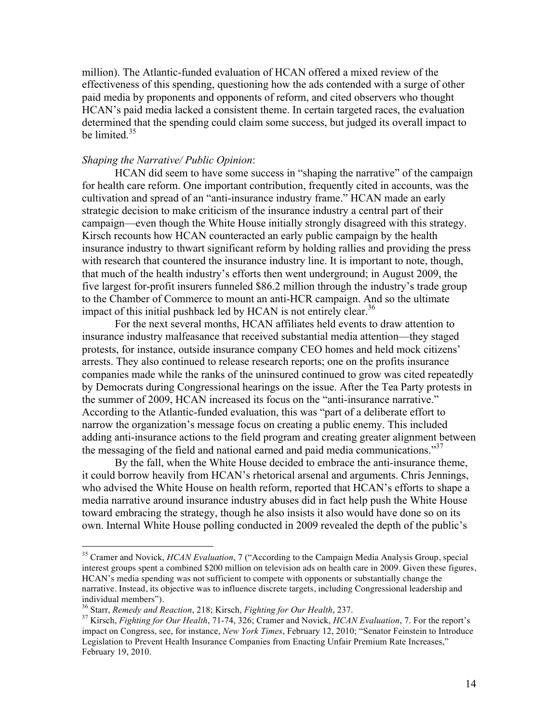million). The Atlantic-funded evaluation of HCAN offered a mixed review of the effectiveness of this spending, questioning how the ads contended with a surge of other paid media by proponents and opponents of reform, and cited observers who thought HCAN's paid media lacked a consistent theme. In certain targeted races, the evaluation determined that the spending could claim some success, but judged its overall impact to be limited  $35$ 

#### *Shaping the Narrative/ Public Opinion*:

HCAN did seem to have some success in "shaping the narrative" of the campaign for health care reform. One important contribution, frequently cited in accounts, was the cultivation and spread of an "anti-insurance industry frame." HCAN made an early strategic decision to make criticism of the insurance industry a central part of their campaign—even though the White House initially strongly disagreed with this strategy. Kirsch recounts how HCAN counteracted an early public campaign by the health insurance industry to thwart significant reform by holding rallies and providing the press with research that countered the insurance industry line. It is important to note, though, that much of the health industry's efforts then went underground; in August 2009, the five largest for-profit insurers funneled \$86.2 million through the industry's trade group to the Chamber of Commerce to mount an anti-HCR campaign. And so the ultimate impact of this initial pushback led by HCAN is not entirely clear.<sup>36</sup>

For the next several months, HCAN affiliates held events to draw attention to insurance industry malfeasance that received substantial media attention—they staged protests, for instance, outside insurance company CEO homes and held mock citizens' arrests. They also continued to release research reports; one on the profits insurance companies made while the ranks of the uninsured continued to grow was cited repeatedly by Democrats during Congressional hearings on the issue. After the Tea Party protests in the summer of 2009, HCAN increased its focus on the "anti-insurance narrative." According to the Atlantic-funded evaluation, this was "part of a deliberate effort to narrow the organization's message focus on creating a public enemy. This included adding anti-insurance actions to the field program and creating greater alignment between the messaging of the field and national earned and paid media communications.<sup>37</sup>

By the fall, when the White House decided to embrace the anti-insurance theme, it could borrow heavily from HCAN's rhetorical arsenal and arguments. Chris Jennings, who advised the White House on health reform, reported that HCAN's efforts to shape a media narrative around insurance industry abuses did in fact help push the White House toward embracing the strategy, though he also insists it also would have done so on its own. Internal White House polling conducted in 2009 revealed the depth of the public's

 <sup>35</sup> Cramer and Novick, *HCAN Evaluation*, 7 ("According to the Campaign Media Analysis Group, special interest groups spent a combined \$200 million on television ads on health care in 2009. Given these figures, HCAN's media spending was not sufficient to compete with opponents or substantially change the narrative. Instead, its objective was to influence discrete targets, including Congressional leadership and individual members").<br><sup>36</sup> Starr, *Remedy and Reaction*, 218; Kirsch, *Fighting for Our Health*, 237.<br><sup>37</sup> Kirsch, *Fighting for Our Health*, 71-74, 326; Cramer and Novick, *HCAN Evaluation*, 7. For the report's

impact on Congress, see, for instance, *New York Times*, February 12, 2010; "Senator Feinstein to Introduce Legislation to Prevent Health Insurance Companies from Enacting Unfair Premium Rate Increases," February 19, 2010.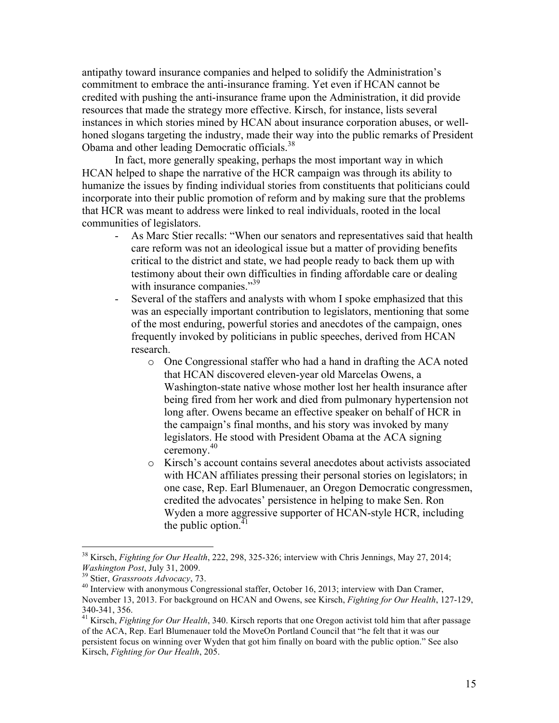antipathy toward insurance companies and helped to solidify the Administration's commitment to embrace the anti-insurance framing. Yet even if HCAN cannot be credited with pushing the anti-insurance frame upon the Administration, it did provide resources that made the strategy more effective. Kirsch, for instance, lists several instances in which stories mined by HCAN about insurance corporation abuses, or wellhoned slogans targeting the industry, made their way into the public remarks of President Obama and other leading Democratic officials.<sup>38</sup>

In fact, more generally speaking, perhaps the most important way in which HCAN helped to shape the narrative of the HCR campaign was through its ability to humanize the issues by finding individual stories from constituents that politicians could incorporate into their public promotion of reform and by making sure that the problems that HCR was meant to address were linked to real individuals, rooted in the local communities of legislators.

- As Marc Stier recalls: "When our senators and representatives said that health care reform was not an ideological issue but a matter of providing benefits critical to the district and state, we had people ready to back them up with testimony about their own difficulties in finding affordable care or dealing with insurance companies."<sup>39</sup>
- Several of the staffers and analysts with whom I spoke emphasized that this was an especially important contribution to legislators, mentioning that some of the most enduring, powerful stories and anecdotes of the campaign, ones frequently invoked by politicians in public speeches, derived from HCAN research.
	- o One Congressional staffer who had a hand in drafting the ACA noted that HCAN discovered eleven-year old Marcelas Owens, a Washington-state native whose mother lost her health insurance after being fired from her work and died from pulmonary hypertension not long after. Owens became an effective speaker on behalf of HCR in the campaign's final months, and his story was invoked by many legislators. He stood with President Obama at the ACA signing ceremony. 40
	- o Kirsch's account contains several anecdotes about activists associated with HCAN affiliates pressing their personal stories on legislators; in one case, Rep. Earl Blumenauer, an Oregon Democratic congressmen, credited the advocates' persistence in helping to make Sen. Ron Wyden a more aggressive supporter of HCAN-style HCR, including the public option. $41$

<sup>&</sup>lt;sup>38</sup> Kirsch, *Fighting for Our Health*, 222, 298, 325-326; interview with Chris Jennings, May 27, 2014; *Washington Post*, July 31, 2009.

<sup>&</sup>lt;sup>39</sup> Stier, *Grassroots Advocacy*, 73.<br><sup>40</sup> Interview with anonymous Congressional staffer, October 16, 2013; interview with Dan Cramer, November 13, 2013. For background on HCAN and Owens, see Kirsch, *Fighting for Our Health*, 127-129,

<sup>340-341, 356.</sup> <sup>41</sup> Kirsch, *Fighting for Our Health*, 340. Kirsch reports that one Oregon activist told him that after passage of the ACA, Rep. Earl Blumenauer told the MoveOn Portland Council that "he felt that it was our persistent focus on winning over Wyden that got him finally on board with the public option." See also Kirsch, *Fighting for Our Health*, 205.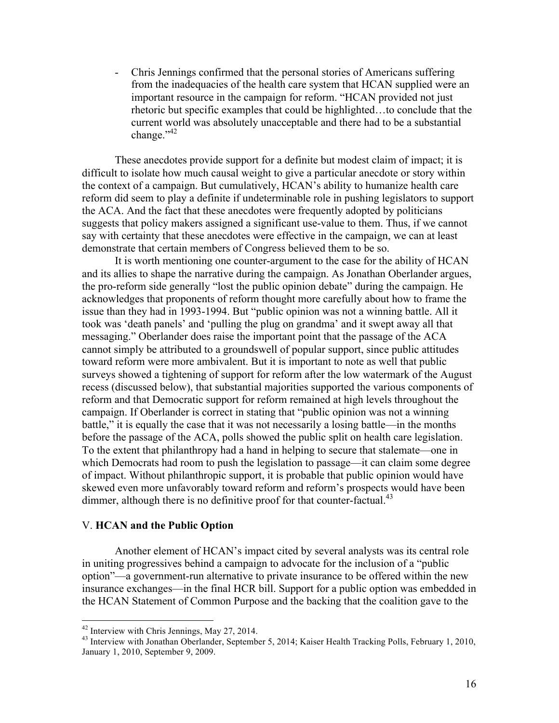- Chris Jennings confirmed that the personal stories of Americans suffering from the inadequacies of the health care system that HCAN supplied were an important resource in the campaign for reform. "HCAN provided not just rhetoric but specific examples that could be highlighted…to conclude that the current world was absolutely unacceptable and there had to be a substantial change."<sup>42</sup>

These anecdotes provide support for a definite but modest claim of impact; it is difficult to isolate how much causal weight to give a particular anecdote or story within the context of a campaign. But cumulatively, HCAN's ability to humanize health care reform did seem to play a definite if undeterminable role in pushing legislators to support the ACA. And the fact that these anecdotes were frequently adopted by politicians suggests that policy makers assigned a significant use-value to them. Thus, if we cannot say with certainty that these anecdotes were effective in the campaign, we can at least demonstrate that certain members of Congress believed them to be so.

It is worth mentioning one counter-argument to the case for the ability of HCAN and its allies to shape the narrative during the campaign. As Jonathan Oberlander argues, the pro-reform side generally "lost the public opinion debate" during the campaign. He acknowledges that proponents of reform thought more carefully about how to frame the issue than they had in 1993-1994. But "public opinion was not a winning battle. All it took was 'death panels' and 'pulling the plug on grandma' and it swept away all that messaging." Oberlander does raise the important point that the passage of the ACA cannot simply be attributed to a groundswell of popular support, since public attitudes toward reform were more ambivalent. But it is important to note as well that public surveys showed a tightening of support for reform after the low watermark of the August recess (discussed below), that substantial majorities supported the various components of reform and that Democratic support for reform remained at high levels throughout the campaign. If Oberlander is correct in stating that "public opinion was not a winning battle," it is equally the case that it was not necessarily a losing battle—in the months before the passage of the ACA, polls showed the public split on health care legislation. To the extent that philanthropy had a hand in helping to secure that stalemate—one in which Democrats had room to push the legislation to passage—it can claim some degree of impact. Without philanthropic support, it is probable that public opinion would have skewed even more unfavorably toward reform and reform's prospects would have been dimmer, although there is no definitive proof for that counter-factual.<sup>43</sup>

#### V. **HCAN and the Public Option**

Another element of HCAN's impact cited by several analysts was its central role in uniting progressives behind a campaign to advocate for the inclusion of a "public option"—a government-run alternative to private insurance to be offered within the new insurance exchanges—in the final HCR bill. Support for a public option was embedded in the HCAN Statement of Common Purpose and the backing that the coalition gave to the

<sup>&</sup>lt;sup>42</sup> Interview with Chris Jennings, May 27, 2014.<br><sup>43</sup> Interview with Jonathan Oberlander, September 5, 2014; Kaiser Health Tracking Polls, February 1, 2010, January 1, 2010, September 9, 2009.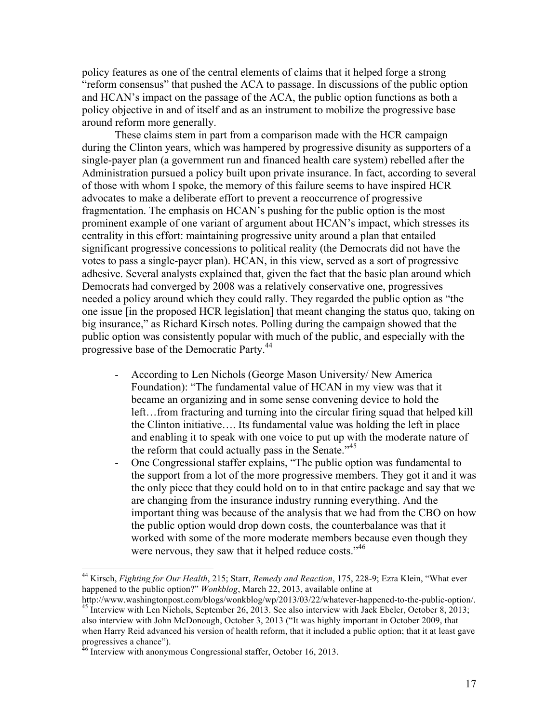policy features as one of the central elements of claims that it helped forge a strong "reform consensus" that pushed the ACA to passage. In discussions of the public option and HCAN's impact on the passage of the ACA, the public option functions as both a policy objective in and of itself and as an instrument to mobilize the progressive base around reform more generally.

These claims stem in part from a comparison made with the HCR campaign during the Clinton years, which was hampered by progressive disunity as supporters of a single-payer plan (a government run and financed health care system) rebelled after the Administration pursued a policy built upon private insurance. In fact, according to several of those with whom I spoke, the memory of this failure seems to have inspired HCR advocates to make a deliberate effort to prevent a reoccurrence of progressive fragmentation. The emphasis on HCAN's pushing for the public option is the most prominent example of one variant of argument about HCAN's impact, which stresses its centrality in this effort: maintaining progressive unity around a plan that entailed significant progressive concessions to political reality (the Democrats did not have the votes to pass a single-payer plan). HCAN, in this view, served as a sort of progressive adhesive. Several analysts explained that, given the fact that the basic plan around which Democrats had converged by 2008 was a relatively conservative one, progressives needed a policy around which they could rally. They regarded the public option as "the one issue [in the proposed HCR legislation] that meant changing the status quo, taking on big insurance," as Richard Kirsch notes. Polling during the campaign showed that the public option was consistently popular with much of the public, and especially with the progressive base of the Democratic Party.<sup>44</sup>

- According to Len Nichols (George Mason University/ New America Foundation): "The fundamental value of HCAN in my view was that it became an organizing and in some sense convening device to hold the left…from fracturing and turning into the circular firing squad that helped kill the Clinton initiative…. Its fundamental value was holding the left in place and enabling it to speak with one voice to put up with the moderate nature of the reform that could actually pass in the Senate. $145$
- One Congressional staffer explains, "The public option was fundamental to the support from a lot of the more progressive members. They got it and it was the only piece that they could hold on to in that entire package and say that we are changing from the insurance industry running everything. And the important thing was because of the analysis that we had from the CBO on how the public option would drop down costs, the counterbalance was that it worked with some of the more moderate members because even though they were nervous, they saw that it helped reduce costs."<sup>46</sup>

 <sup>44</sup> Kirsch, *Fighting for Our Health*, 215; Starr, *Remedy and Reaction*, 175, 228-9; Ezra Klein, "What ever happened to the public option?" *Wonkblog*, March 22, 2013, available online at http://www.washingtonpost.com/blogs/wonkblog/wp/2013/03/22/whatever-happened-to-the-public-option/.

<sup>&</sup>lt;sup>45</sup> Interview with Len Nichols, September 26, 2013. See also interview with Jack Ebeler, October 8, 2013;

also interview with John McDonough, October 3, 2013 ("It was highly important in October 2009, that when Harry Reid advanced his version of health reform, that it included a public option; that it at least gave progressives a chance").<br><sup>46</sup> Interview with anonymous Congressional staffer, October 16, 2013.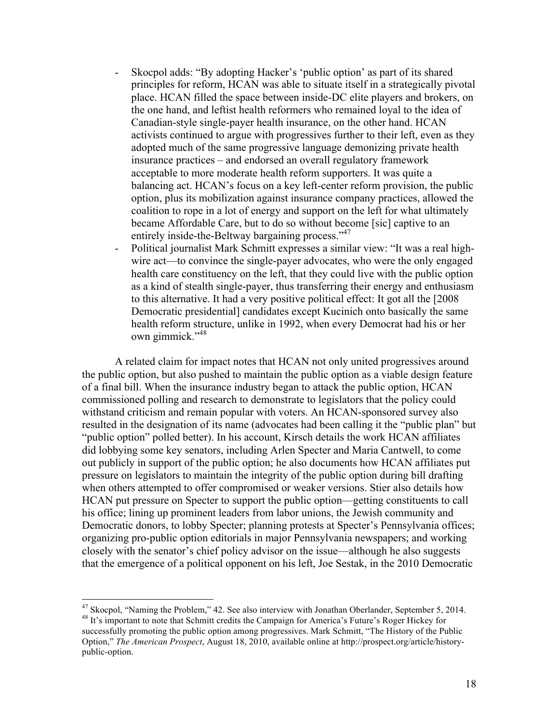- Skocpol adds: "By adopting Hacker's 'public option' as part of its shared principles for reform, HCAN was able to situate itself in a strategically pivotal place. HCAN filled the space between inside-DC elite players and brokers, on the one hand, and leftist health reformers who remained loyal to the idea of Canadian-style single-payer health insurance, on the other hand. HCAN activists continued to argue with progressives further to their left, even as they adopted much of the same progressive language demonizing private health insurance practices – and endorsed an overall regulatory framework acceptable to more moderate health reform supporters. It was quite a balancing act. HCAN's focus on a key left-center reform provision, the public option, plus its mobilization against insurance company practices, allowed the coalition to rope in a lot of energy and support on the left for what ultimately became Affordable Care, but to do so without become [sic] captive to an entirely inside-the-Beltway bargaining process."<sup>47</sup>
- Political journalist Mark Schmitt expresses a similar view: "It was a real highwire act—to convince the single-payer advocates, who were the only engaged health care constituency on the left, that they could live with the public option as a kind of stealth single-payer, thus transferring their energy and enthusiasm to this alternative. It had a very positive political effect: It got all the [2008 Democratic presidential] candidates except Kucinich onto basically the same health reform structure, unlike in 1992, when every Democrat had his or her own gimmick."<sup>48</sup>

A related claim for impact notes that HCAN not only united progressives around the public option, but also pushed to maintain the public option as a viable design feature of a final bill. When the insurance industry began to attack the public option, HCAN commissioned polling and research to demonstrate to legislators that the policy could withstand criticism and remain popular with voters. An HCAN-sponsored survey also resulted in the designation of its name (advocates had been calling it the "public plan" but "public option" polled better). In his account, Kirsch details the work HCAN affiliates did lobbying some key senators, including Arlen Specter and Maria Cantwell, to come out publicly in support of the public option; he also documents how HCAN affiliates put pressure on legislators to maintain the integrity of the public option during bill drafting when others attempted to offer compromised or weaker versions. Stier also details how HCAN put pressure on Specter to support the public option—getting constituents to call his office; lining up prominent leaders from labor unions, the Jewish community and Democratic donors, to lobby Specter; planning protests at Specter's Pennsylvania offices; organizing pro-public option editorials in major Pennsylvania newspapers; and working closely with the senator's chief policy advisor on the issue—although he also suggests that the emergence of a political opponent on his left, Joe Sestak, in the 2010 Democratic

<sup>&</sup>lt;sup>47</sup> Skocpol, "Naming the Problem," 42. See also interview with Jonathan Oberlander, September 5, 2014.  $^{48}$  It's important to note that Schmitt credits the Campaign for America's Future's Roger Hickey for successfully promoting the public option among progressives. Mark Schmitt, "The History of the Public Option," *The American Prospect*, August 18, 2010, available online at http://prospect.org/article/historypublic-option.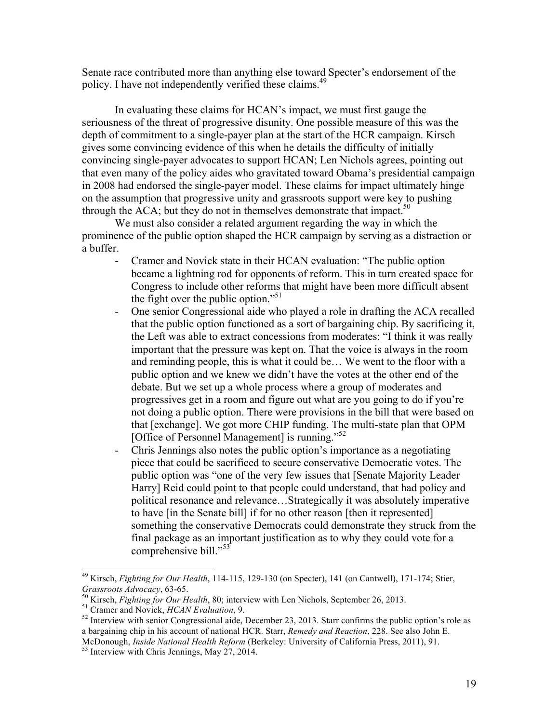Senate race contributed more than anything else toward Specter's endorsement of the policy. I have not independently verified these claims.<sup>49</sup>

In evaluating these claims for HCAN's impact, we must first gauge the seriousness of the threat of progressive disunity. One possible measure of this was the depth of commitment to a single-payer plan at the start of the HCR campaign. Kirsch gives some convincing evidence of this when he details the difficulty of initially convincing single-payer advocates to support HCAN; Len Nichols agrees, pointing out that even many of the policy aides who gravitated toward Obama's presidential campaign in 2008 had endorsed the single-payer model. These claims for impact ultimately hinge on the assumption that progressive unity and grassroots support were key to pushing through the ACA; but they do not in themselves demonstrate that impact.<sup>50</sup>

We must also consider a related argument regarding the way in which the prominence of the public option shaped the HCR campaign by serving as a distraction or a buffer.

- Cramer and Novick state in their HCAN evaluation: "The public option became a lightning rod for opponents of reform. This in turn created space for Congress to include other reforms that might have been more difficult absent the fight over the public option."<sup>51</sup>
- One senior Congressional aide who played a role in drafting the ACA recalled that the public option functioned as a sort of bargaining chip. By sacrificing it, the Left was able to extract concessions from moderates: "I think it was really important that the pressure was kept on. That the voice is always in the room and reminding people, this is what it could be… We went to the floor with a public option and we knew we didn't have the votes at the other end of the debate. But we set up a whole process where a group of moderates and progressives get in a room and figure out what are you going to do if you're not doing a public option. There were provisions in the bill that were based on that [exchange]. We got more CHIP funding. The multi-state plan that OPM [Office of Personnel Management] is running."<sup>52</sup>
- Chris Jennings also notes the public option's importance as a negotiating piece that could be sacrificed to secure conservative Democratic votes. The public option was "one of the very few issues that [Senate Majority Leader Harry] Reid could point to that people could understand, that had policy and political resonance and relevance…Strategically it was absolutely imperative to have [in the Senate bill] if for no other reason [then it represented] something the conservative Democrats could demonstrate they struck from the final package as an important justification as to why they could vote for a comprehensive bill."<sup>53</sup>

<sup>&</sup>lt;sup>49</sup> Kirsch, *Fighting for Our Health*, 114-115, 129-130 (on Specter), 141 (on Cantwell), 171-174; Stier, *Grassroots Advocacy*, 63-65.

<sup>&</sup>lt;sup>50</sup> Kirsch, *Fighting for Our Health*, 80; interview with Len Nichols, September 26, 2013.<br><sup>51</sup> Cramer and Novick, *HCAN Evaluation*, 9.<br><sup>52</sup> Interview with senior Congressional aide, December 23, 2013. Starr confirms th a bargaining chip in his account of national HCR. Starr, *Remedy and Reaction*, 228. See also John E. McDonough, *Inside National Health Reform* (Berkeley: University of California Press, 2011), 91.<br><sup>53</sup> Interview with Chris Jennings, May 27, 2014.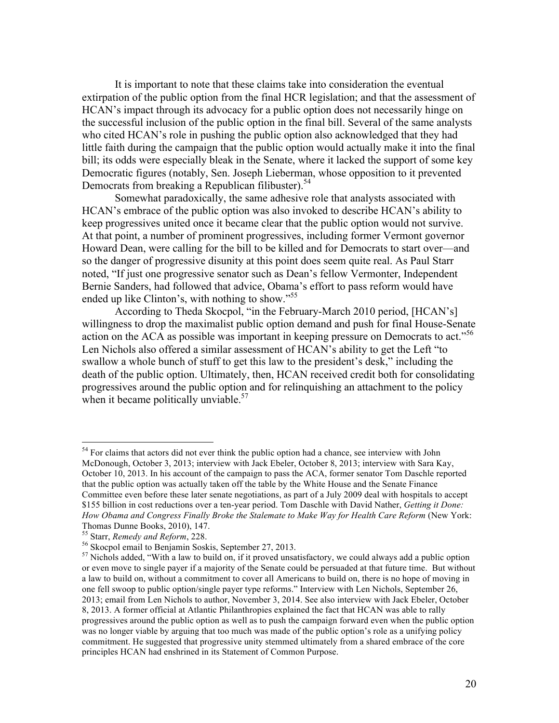It is important to note that these claims take into consideration the eventual extirpation of the public option from the final HCR legislation; and that the assessment of HCAN's impact through its advocacy for a public option does not necessarily hinge on the successful inclusion of the public option in the final bill. Several of the same analysts who cited HCAN's role in pushing the public option also acknowledged that they had little faith during the campaign that the public option would actually make it into the final bill; its odds were especially bleak in the Senate, where it lacked the support of some key Democratic figures (notably, Sen. Joseph Lieberman, whose opposition to it prevented Democrats from breaking a Republican filibuster). 54

Somewhat paradoxically, the same adhesive role that analysts associated with HCAN's embrace of the public option was also invoked to describe HCAN's ability to keep progressives united once it became clear that the public option would not survive. At that point, a number of prominent progressives, including former Vermont governor Howard Dean, were calling for the bill to be killed and for Democrats to start over—and so the danger of progressive disunity at this point does seem quite real. As Paul Starr noted, "If just one progressive senator such as Dean's fellow Vermonter, Independent Bernie Sanders, had followed that advice, Obama's effort to pass reform would have ended up like Clinton's, with nothing to show."<sup>55</sup>

According to Theda Skocpol, "in the February-March 2010 period, [HCAN's] willingness to drop the maximalist public option demand and push for final House-Senate action on the ACA as possible was important in keeping pressure on Democrats to act.<sup>556</sup> Len Nichols also offered a similar assessment of HCAN's ability to get the Left "to swallow a whole bunch of stuff to get this law to the president's desk," including the death of the public option. Ultimately, then, HCAN received credit both for consolidating progressives around the public option and for relinquishing an attachment to the policy when it became politically unviable. $57$ 

<sup>&</sup>lt;sup>54</sup> For claims that actors did not ever think the public option had a chance, see interview with John McDonough, October 3, 2013; interview with Jack Ebeler, October 8, 2013; interview with Sara Kay, October 10, 2013. In his account of the campaign to pass the ACA, former senator Tom Daschle reported that the public option was actually taken off the table by the White House and the Senate Finance Committee even before these later senate negotiations, as part of a July 2009 deal with hospitals to accept \$155 billion in cost reductions over a ten-year period. Tom Daschle with David Nather, *Getting it Done: How Obama and Congress Finally Broke the Stalemate to Make Way for Health Care Reform* (New York:

Thomas Dunne Books, 2010), 147.<br><sup>55</sup> Starr, *Remedy and Reform*, 228.

<sup>&</sup>lt;sup>56</sup> Skocpol email to Benjamin Soskis, September 27, 2013.<br><sup>57</sup> Nichols added, "With a law to build on, if it proved unsatisfactory, we could always add a public option or even move to single payer if a majority of the Senate could be persuaded at that future time. But without a law to build on, without a commitment to cover all Americans to build on, there is no hope of moving in one fell swoop to public option/single payer type reforms." Interview with Len Nichols, September 26, 2013; email from Len Nichols to author, November 3, 2014. See also interview with Jack Ebeler, October 8, 2013. A former official at Atlantic Philanthropies explained the fact that HCAN was able to rally progressives around the public option as well as to push the campaign forward even when the public option was no longer viable by arguing that too much was made of the public option's role as a unifying policy commitment. He suggested that progressive unity stemmed ultimately from a shared embrace of the core principles HCAN had enshrined in its Statement of Common Purpose.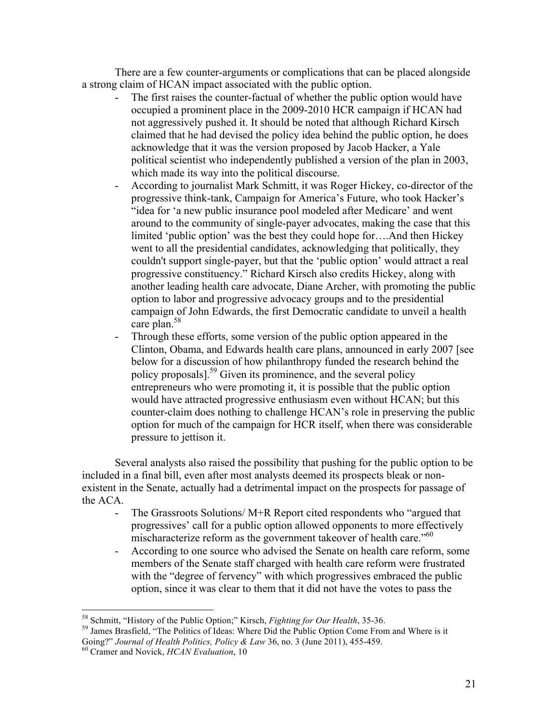There are a few counter-arguments or complications that can be placed alongside a strong claim of HCAN impact associated with the public option.

- The first raises the counter-factual of whether the public option would have occupied a prominent place in the 2009-2010 HCR campaign if HCAN had not aggressively pushed it. It should be noted that although Richard Kirsch claimed that he had devised the policy idea behind the public option, he does acknowledge that it was the version proposed by Jacob Hacker, a Yale political scientist who independently published a version of the plan in 2003, which made its way into the political discourse.
- According to journalist Mark Schmitt, it was Roger Hickey, co-director of the progressive think-tank, Campaign for America's Future, who took Hacker's "idea for 'a new public insurance pool modeled after Medicare' and went around to the community of single-payer advocates, making the case that this limited 'public option' was the best they could hope for….And then Hickey went to all the presidential candidates, acknowledging that politically, they couldn't support single-payer, but that the 'public option' would attract a real progressive constituency." Richard Kirsch also credits Hickey, along with another leading health care advocate, Diane Archer, with promoting the public option to labor and progressive advocacy groups and to the presidential campaign of John Edwards, the first Democratic candidate to unveil a health care plan.<sup>58</sup>
- Through these efforts, some version of the public option appeared in the Clinton, Obama, and Edwards health care plans, announced in early 2007 [see below for a discussion of how philanthropy funded the research behind the policy proposals]. <sup>59</sup> Given its prominence, and the several policy entrepreneurs who were promoting it, it is possible that the public option would have attracted progressive enthusiasm even without HCAN; but this counter-claim does nothing to challenge HCAN's role in preserving the public option for much of the campaign for HCR itself, when there was considerable pressure to jettison it.

Several analysts also raised the possibility that pushing for the public option to be included in a final bill, even after most analysts deemed its prospects bleak or nonexistent in the Senate, actually had a detrimental impact on the prospects for passage of the ACA.

- The Grassroots Solutions/ M+R Report cited respondents who "argued that progressives' call for a public option allowed opponents to more effectively mischaracterize reform as the government takeover of health care."<sup>60</sup>
- According to one source who advised the Senate on health care reform, some members of the Senate staff charged with health care reform were frustrated with the "degree of fervency" with which progressives embraced the public option, since it was clear to them that it did not have the votes to pass the

<sup>&</sup>lt;sup>58</sup> Schmitt, "History of the Public Option;" Kirsch, *Fighting for Our Health*, 35-36.<br><sup>59</sup> James Brasfield, "The Politics of Ideas: Where Did the Public Option Come From and Where is it Going?" *Journal of Health Politics, Policy & Law* 36, no. 3 (June 2011), 455-459.<br><sup>60</sup> Cramer and Novick, *HCAN Evaluation*, 10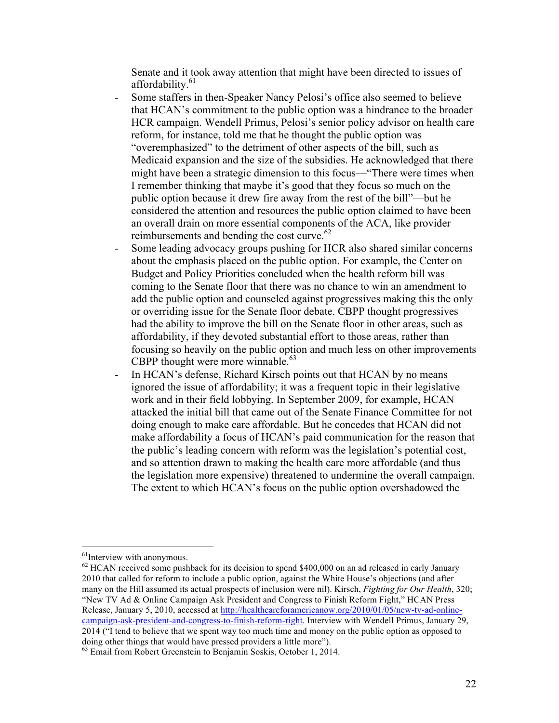Senate and it took away attention that might have been directed to issues of affordability. $61$ 

- Some staffers in then-Speaker Nancy Pelosi's office also seemed to believe that HCAN's commitment to the public option was a hindrance to the broader HCR campaign. Wendell Primus, Pelosi's senior policy advisor on health care reform, for instance, told me that he thought the public option was "overemphasized" to the detriment of other aspects of the bill, such as Medicaid expansion and the size of the subsidies. He acknowledged that there might have been a strategic dimension to this focus—"There were times when I remember thinking that maybe it's good that they focus so much on the public option because it drew fire away from the rest of the bill"—but he considered the attention and resources the public option claimed to have been an overall drain on more essential components of the ACA, like provider reimbursements and bending the cost curve.<sup>62</sup>
- Some leading advocacy groups pushing for HCR also shared similar concerns about the emphasis placed on the public option. For example, the Center on Budget and Policy Priorities concluded when the health reform bill was coming to the Senate floor that there was no chance to win an amendment to add the public option and counseled against progressives making this the only or overriding issue for the Senate floor debate. CBPP thought progressives had the ability to improve the bill on the Senate floor in other areas, such as affordability, if they devoted substantial effort to those areas, rather than focusing so heavily on the public option and much less on other improvements CBPP thought were more winnable.<sup>63</sup>
- In HCAN's defense, Richard Kirsch points out that HCAN by no means ignored the issue of affordability; it was a frequent topic in their legislative work and in their field lobbying. In September 2009, for example, HCAN attacked the initial bill that came out of the Senate Finance Committee for not doing enough to make care affordable. But he concedes that HCAN did not make affordability a focus of HCAN's paid communication for the reason that the public's leading concern with reform was the legislation's potential cost, and so attention drawn to making the health care more affordable (and thus the legislation more expensive) threatened to undermine the overall campaign. The extent to which HCAN's focus on the public option overshadowed the

<sup>&</sup>lt;sup>61</sup>Interview with anonymous.<br><sup>62</sup> HCAN received some pushback for its decision to spend \$400,000 on an ad released in early January 2010 that called for reform to include a public option, against the White House's objections (and after many on the Hill assumed its actual prospects of inclusion were nil). Kirsch, *Fighting for Our Health*, 320; "New TV Ad & Online Campaign Ask President and Congress to Finish Reform Fight," HCAN Press Release, January 5, 2010, accessed at http://healthcareforamericanow.org/2010/01/05/new-tv-ad-onlinecampaign-ask-president-and-congress-to-finish-reform-right. Interview with Wendell Primus, January 29, 2014 ("I tend to believe that we spent way too much time and money on the public option as opposed to doing other things that would have pressed providers a little more").

<sup>&</sup>lt;sup>63</sup> Email from Robert Greenstein to Benjamin Soskis, October 1, 2014.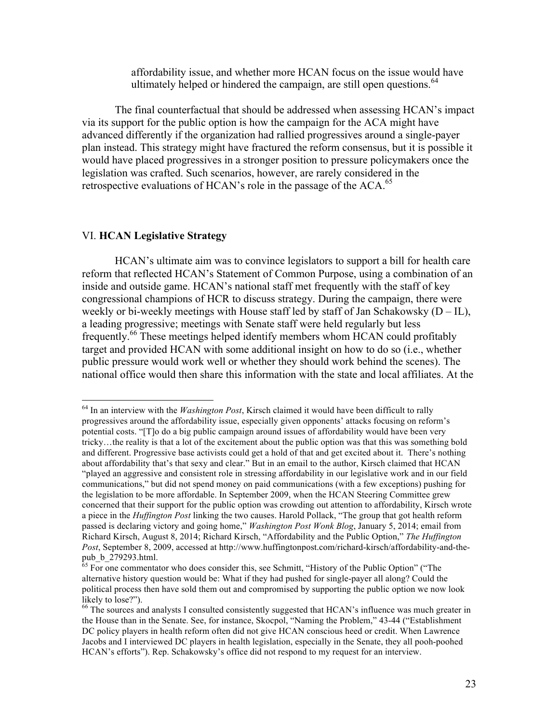affordability issue, and whether more HCAN focus on the issue would have ultimately helped or hindered the campaign, are still open questions.<sup>64</sup>

The final counterfactual that should be addressed when assessing HCAN's impact via its support for the public option is how the campaign for the ACA might have advanced differently if the organization had rallied progressives around a single-payer plan instead. This strategy might have fractured the reform consensus, but it is possible it would have placed progressives in a stronger position to pressure policymakers once the legislation was crafted. Such scenarios, however, are rarely considered in the retrospective evaluations of HCAN's role in the passage of the  $ACA<sup>65</sup>$ 

#### VI. **HCAN Legislative Strategy**

HCAN's ultimate aim was to convince legislators to support a bill for health care reform that reflected HCAN's Statement of Common Purpose, using a combination of an inside and outside game. HCAN's national staff met frequently with the staff of key congressional champions of HCR to discuss strategy. During the campaign, there were weekly or bi-weekly meetings with House staff led by staff of Jan Schakowsky  $(D - IL)$ , a leading progressive; meetings with Senate staff were held regularly but less frequently. <sup>66</sup> These meetings helped identify members whom HCAN could profitably target and provided HCAN with some additional insight on how to do so (i.e., whether public pressure would work well or whether they should work behind the scenes). The national office would then share this information with the state and local affiliates. At the

 <sup>64</sup> In an interview with the *Washington Post*, Kirsch claimed it would have been difficult to rally progressives around the affordability issue, especially given opponents' attacks focusing on reform's potential costs. "[T]o do a big public campaign around issues of affordability would have been very tricky…the reality is that a lot of the excitement about the public option was that this was something bold and different. Progressive base activists could get a hold of that and get excited about it. There's nothing about affordability that's that sexy and clear." But in an email to the author, Kirsch claimed that HCAN "played an aggressive and consistent role in stressing affordability in our legislative work and in our field communications," but did not spend money on paid communications (with a few exceptions) pushing for the legislation to be more affordable. In September 2009, when the HCAN Steering Committee grew concerned that their support for the public option was crowding out attention to affordability, Kirsch wrote a piece in the *Huffington Post* linking the two causes. Harold Pollack, "The group that got health reform passed is declaring victory and going home," *Washington Post Wonk Blog*, January 5, 2014; email from Richard Kirsch, August 8, 2014; Richard Kirsch, "Affordability and the Public Option," *The Huffington Post*, September 8, 2009, accessed at http://www.huffingtonpost.com/richard-kirsch/affordability-and-the-

 $\overline{65}$  For one commentator who does consider this, see Schmitt, "History of the Public Option" ("The alternative history question would be: What if they had pushed for single-payer all along? Could the political process then have sold them out and compromised by supporting the public option we now look likely to lose?").

<sup>&</sup>lt;sup>66</sup> The sources and analysts I consulted consistently suggested that HCAN's influence was much greater in the House than in the Senate. See, for instance, Skocpol, "Naming the Problem," 43-44 ("Establishment DC policy players in health reform often did not give HCAN conscious heed or credit. When Lawrence Jacobs and I interviewed DC players in health legislation, especially in the Senate, they all pooh-poohed HCAN's efforts"). Rep. Schakowsky's office did not respond to my request for an interview.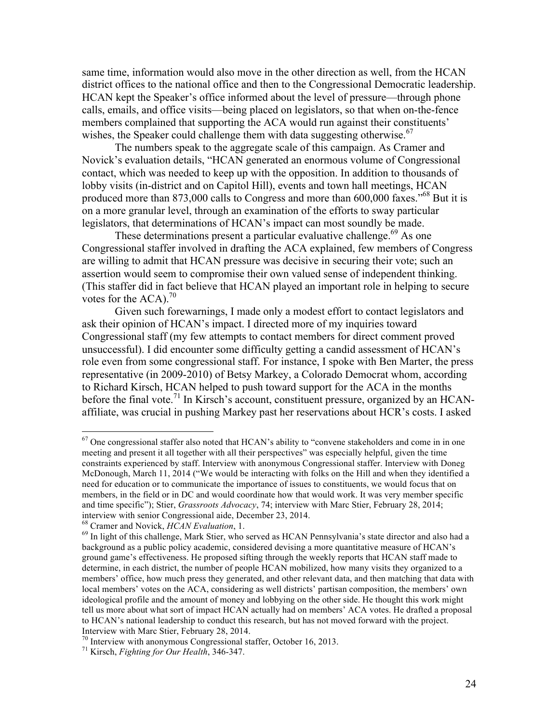same time, information would also move in the other direction as well, from the HCAN district offices to the national office and then to the Congressional Democratic leadership. HCAN kept the Speaker's office informed about the level of pressure—through phone calls, emails, and office visits—being placed on legislators, so that when on-the-fence members complained that supporting the ACA would run against their constituents' wishes, the Speaker could challenge them with data suggesting otherwise.<sup>67</sup>

The numbers speak to the aggregate scale of this campaign. As Cramer and Novick's evaluation details, "HCAN generated an enormous volume of Congressional contact, which was needed to keep up with the opposition. In addition to thousands of lobby visits (in-district and on Capitol Hill), events and town hall meetings, HCAN produced more than 873,000 calls to Congress and more than 600,000 faxes.<sup>568</sup> But it is on a more granular level, through an examination of the efforts to sway particular legislators, that determinations of HCAN's impact can most soundly be made.

These determinations present a particular evaluative challenge.<sup>69</sup> As one Congressional staffer involved in drafting the ACA explained, few members of Congress are willing to admit that HCAN pressure was decisive in securing their vote; such an assertion would seem to compromise their own valued sense of independent thinking. (This staffer did in fact believe that HCAN played an important role in helping to secure votes for the  $ACA$ .<sup>70</sup>

Given such forewarnings, I made only a modest effort to contact legislators and ask their opinion of HCAN's impact. I directed more of my inquiries toward Congressional staff (my few attempts to contact members for direct comment proved unsuccessful). I did encounter some difficulty getting a candid assessment of HCAN's role even from some congressional staff. For instance, I spoke with Ben Marter, the press representative (in 2009-2010) of Betsy Markey, a Colorado Democrat whom, according to Richard Kirsch, HCAN helped to push toward support for the ACA in the months before the final vote.<sup>71</sup> In Kirsch's account, constituent pressure, organized by an HCANaffiliate, was crucial in pushing Markey past her reservations about HCR's costs. I asked

 $<sup>67</sup>$  One congressional staffer also noted that HCAN's ability to "convene stakeholders and come in in one</sup> meeting and present it all together with all their perspectives" was especially helpful, given the time constraints experienced by staff. Interview with anonymous Congressional staffer. Interview with Doneg McDonough, March 11, 2014 ("We would be interacting with folks on the Hill and when they identified a need for education or to communicate the importance of issues to constituents, we would focus that on members, in the field or in DC and would coordinate how that would work. It was very member specific and time specific"); Stier, *Grassroots Advocacy*, 74; interview with Marc Stier, February 28, 2014; interview with senior Congressional aide, December 23, 2014.

<sup>&</sup>lt;sup>68</sup> Cramer and Novick, *HCAN Evaluation*, 1.<br><sup>69</sup> In light of this challenge, Mark Stier, who served as HCAN Pennsylvania's state director and also had a background as a public policy academic, considered devising a more quantitative measure of HCAN's ground game's effectiveness. He proposed sifting through the weekly reports that HCAN staff made to determine, in each district, the number of people HCAN mobilized, how many visits they organized to a members' office, how much press they generated, and other relevant data, and then matching that data with local members' votes on the ACA, considering as well districts' partisan composition, the members' own ideological profile and the amount of money and lobbying on the other side. He thought this work might tell us more about what sort of impact HCAN actually had on members' ACA votes. He drafted a proposal to HCAN's national leadership to conduct this research, but has not moved forward with the project. Interview with Marc Stier, February 28, 2014.

<sup>70</sup> Interview with anonymous Congressional staffer, October 16, 2013. 71 Kirsch, *Fighting for Our Health*, 346-347.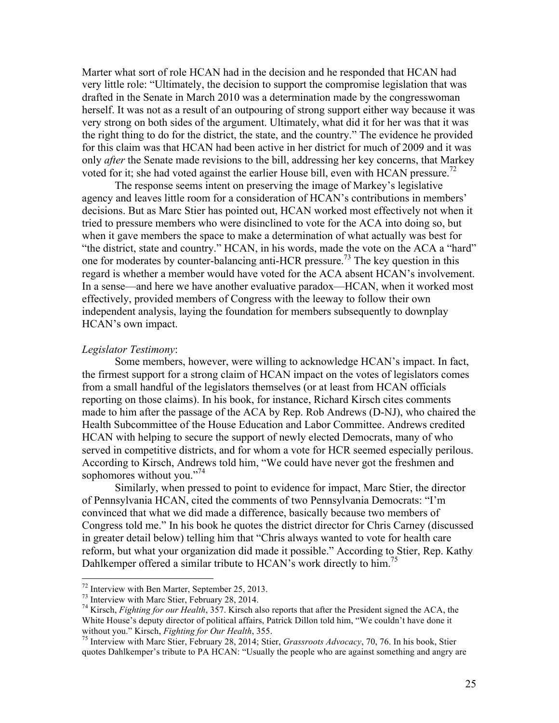Marter what sort of role HCAN had in the decision and he responded that HCAN had very little role: "Ultimately, the decision to support the compromise legislation that was drafted in the Senate in March 2010 was a determination made by the congresswoman herself. It was not as a result of an outpouring of strong support either way because it was very strong on both sides of the argument. Ultimately, what did it for her was that it was the right thing to do for the district, the state, and the country." The evidence he provided for this claim was that HCAN had been active in her district for much of 2009 and it was only *after* the Senate made revisions to the bill, addressing her key concerns, that Markey voted for it; she had voted against the earlier House bill, even with HCAN pressure.<sup>72</sup>

The response seems intent on preserving the image of Markey's legislative agency and leaves little room for a consideration of HCAN's contributions in members' decisions. But as Marc Stier has pointed out, HCAN worked most effectively not when it tried to pressure members who were disinclined to vote for the ACA into doing so, but when it gave members the space to make a determination of what actually was best for "the district, state and country." HCAN, in his words, made the vote on the ACA a "hard" one for moderates by counter-balancing anti-HCR pressure.73 The key question in this regard is whether a member would have voted for the ACA absent HCAN's involvement. In a sense—and here we have another evaluative paradox—HCAN, when it worked most effectively, provided members of Congress with the leeway to follow their own independent analysis, laying the foundation for members subsequently to downplay HCAN's own impact.

#### *Legislator Testimony*:

Some members, however, were willing to acknowledge HCAN's impact. In fact, the firmest support for a strong claim of HCAN impact on the votes of legislators comes from a small handful of the legislators themselves (or at least from HCAN officials reporting on those claims). In his book, for instance, Richard Kirsch cites comments made to him after the passage of the ACA by Rep. Rob Andrews (D-NJ), who chaired the Health Subcommittee of the House Education and Labor Committee. Andrews credited HCAN with helping to secure the support of newly elected Democrats, many of who served in competitive districts, and for whom a vote for HCR seemed especially perilous. According to Kirsch, Andrews told him, "We could have never got the freshmen and sophomores without you."<sup>74</sup>

Similarly, when pressed to point to evidence for impact, Marc Stier, the director of Pennsylvania HCAN, cited the comments of two Pennsylvania Democrats: "I'm convinced that what we did made a difference, basically because two members of Congress told me." In his book he quotes the district director for Chris Carney (discussed in greater detail below) telling him that "Chris always wanted to vote for health care reform, but what your organization did made it possible." According to Stier, Rep. Kathy Dahlkemper offered a similar tribute to HCAN's work directly to him.<sup>75</sup>

<sup>&</sup>lt;sup>72</sup> Interview with Ben Marter, September 25, 2013.<br><sup>73</sup> Interview with Marc Stier, February 28, 2014.<br><sup>74</sup> Kirsch, *Fighting for our Health*, 357. Kirsch also reports that after the President signed the ACA, the White House's deputy director of political affairs, Patrick Dillon told him, "We couldn't have done it without you." Kirsch, *Fighting for Our Health*, 355.<br><sup>75</sup> Interview with Marc Stier, February 28, 2014; Stier, *Grassroots Advocacy*, 70, 76. In his book, Stier

quotes Dahlkemper's tribute to PA HCAN: "Usually the people who are against something and angry are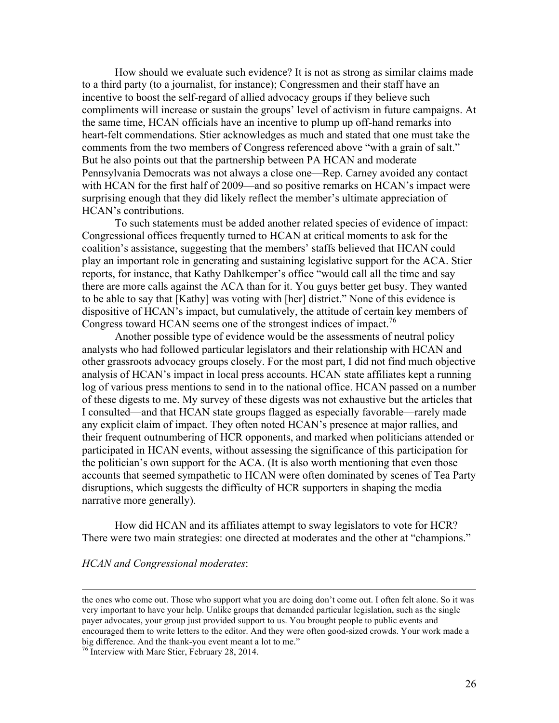How should we evaluate such evidence? It is not as strong as similar claims made to a third party (to a journalist, for instance); Congressmen and their staff have an incentive to boost the self-regard of allied advocacy groups if they believe such compliments will increase or sustain the groups' level of activism in future campaigns. At the same time, HCAN officials have an incentive to plump up off-hand remarks into heart-felt commendations. Stier acknowledges as much and stated that one must take the comments from the two members of Congress referenced above "with a grain of salt." But he also points out that the partnership between PA HCAN and moderate Pennsylvania Democrats was not always a close one—Rep. Carney avoided any contact with HCAN for the first half of 2009—and so positive remarks on HCAN's impact were surprising enough that they did likely reflect the member's ultimate appreciation of HCAN's contributions.

To such statements must be added another related species of evidence of impact: Congressional offices frequently turned to HCAN at critical moments to ask for the coalition's assistance, suggesting that the members' staffs believed that HCAN could play an important role in generating and sustaining legislative support for the ACA. Stier reports, for instance, that Kathy Dahlkemper's office "would call all the time and say there are more calls against the ACA than for it. You guys better get busy. They wanted to be able to say that [Kathy] was voting with [her] district." None of this evidence is dispositive of HCAN's impact, but cumulatively, the attitude of certain key members of Congress toward HCAN seems one of the strongest indices of impact.<sup>76</sup>

Another possible type of evidence would be the assessments of neutral policy analysts who had followed particular legislators and their relationship with HCAN and other grassroots advocacy groups closely. For the most part, I did not find much objective analysis of HCAN's impact in local press accounts. HCAN state affiliates kept a running log of various press mentions to send in to the national office. HCAN passed on a number of these digests to me. My survey of these digests was not exhaustive but the articles that I consulted—and that HCAN state groups flagged as especially favorable—rarely made any explicit claim of impact. They often noted HCAN's presence at major rallies, and their frequent outnumbering of HCR opponents, and marked when politicians attended or participated in HCAN events, without assessing the significance of this participation for the politician's own support for the ACA. (It is also worth mentioning that even those accounts that seemed sympathetic to HCAN were often dominated by scenes of Tea Party disruptions, which suggests the difficulty of HCR supporters in shaping the media narrative more generally).

How did HCAN and its affiliates attempt to sway legislators to vote for HCR? There were two main strategies: one directed at moderates and the other at "champions."

#### *HCAN and Congressional moderates*:

1

the ones who come out. Those who support what you are doing don't come out. I often felt alone. So it was very important to have your help. Unlike groups that demanded particular legislation, such as the single payer advocates, your group just provided support to us. You brought people to public events and encouraged them to write letters to the editor. And they were often good-sized crowds. Your work made a big difference. And the thank-you event meant a lot to me."<br><sup>76</sup> Interview with Marc Stier, February 28, 2014.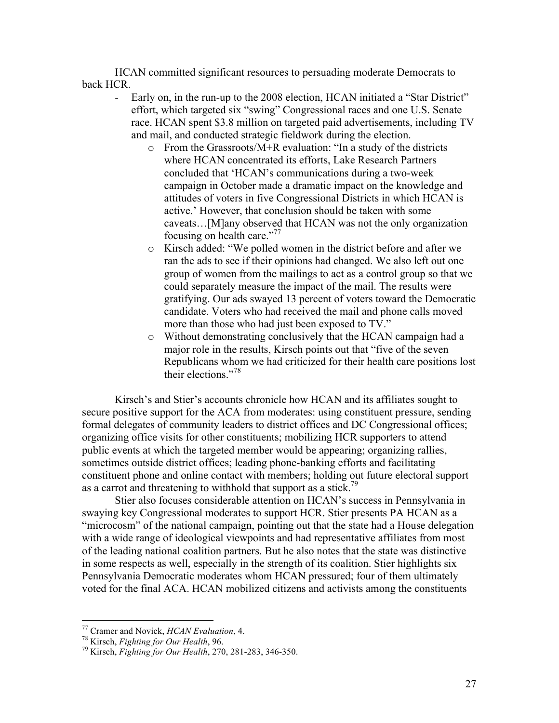HCAN committed significant resources to persuading moderate Democrats to back HCR.

- Early on, in the run-up to the 2008 election, HCAN initiated a "Star District" effort, which targeted six "swing" Congressional races and one U.S. Senate race. HCAN spent \$3.8 million on targeted paid advertisements, including TV and mail, and conducted strategic fieldwork during the election.
	- o From the Grassroots/M+R evaluation: "In a study of the districts where HCAN concentrated its efforts, Lake Research Partners concluded that 'HCAN's communications during a two-week campaign in October made a dramatic impact on the knowledge and attitudes of voters in five Congressional Districts in which HCAN is active.' However, that conclusion should be taken with some caveats…[M]any observed that HCAN was not the only organization focusing on health care."<sup>77</sup>
	- o Kirsch added: "We polled women in the district before and after we ran the ads to see if their opinions had changed. We also left out one group of women from the mailings to act as a control group so that we could separately measure the impact of the mail. The results were gratifying. Our ads swayed 13 percent of voters toward the Democratic candidate. Voters who had received the mail and phone calls moved more than those who had just been exposed to TV."
	- o Without demonstrating conclusively that the HCAN campaign had a major role in the results, Kirsch points out that "five of the seven Republicans whom we had criticized for their health care positions lost their elections."<sup>78</sup>

Kirsch's and Stier's accounts chronicle how HCAN and its affiliates sought to secure positive support for the ACA from moderates: using constituent pressure, sending formal delegates of community leaders to district offices and DC Congressional offices; organizing office visits for other constituents; mobilizing HCR supporters to attend public events at which the targeted member would be appearing; organizing rallies, sometimes outside district offices; leading phone-banking efforts and facilitating constituent phone and online contact with members; holding out future electoral support as a carrot and threatening to withhold that support as a stick.<sup>79</sup>

Stier also focuses considerable attention on HCAN's success in Pennsylvania in swaying key Congressional moderates to support HCR. Stier presents PA HCAN as a "microcosm" of the national campaign, pointing out that the state had a House delegation with a wide range of ideological viewpoints and had representative affiliates from most of the leading national coalition partners. But he also notes that the state was distinctive in some respects as well, especially in the strength of its coalition. Stier highlights six Pennsylvania Democratic moderates whom HCAN pressured; four of them ultimately voted for the final ACA. HCAN mobilized citizens and activists among the constituents

<sup>77</sup> Cramer and Novick, *HCAN Evaluation*, 4. <sup>78</sup> Kirsch, *Fighting for Our Health*, 96. <sup>79</sup> Kirsch, *Fighting for Our Health*, 270, 281-283, 346-350.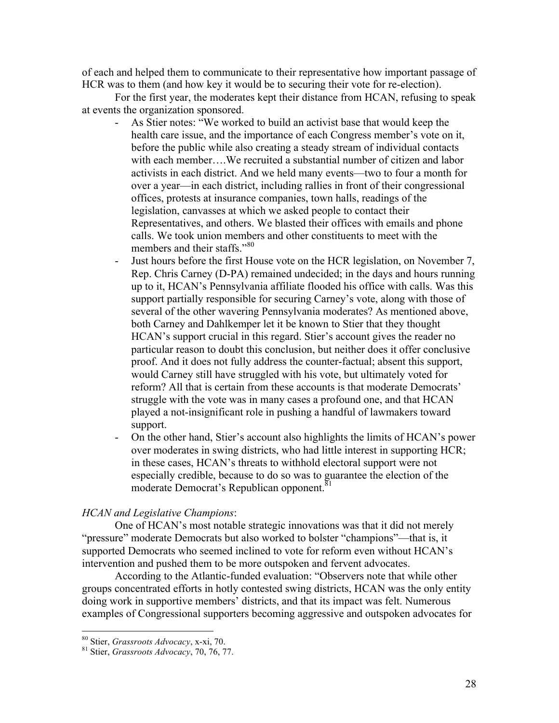of each and helped them to communicate to their representative how important passage of HCR was to them (and how key it would be to securing their vote for re-election).

For the first year, the moderates kept their distance from HCAN, refusing to speak at events the organization sponsored.

- As Stier notes: "We worked to build an activist base that would keep the health care issue, and the importance of each Congress member's vote on it, before the public while also creating a steady stream of individual contacts with each member….We recruited a substantial number of citizen and labor activists in each district. And we held many events—two to four a month for over a year—in each district, including rallies in front of their congressional offices, protests at insurance companies, town halls, readings of the legislation, canvasses at which we asked people to contact their Representatives, and others. We blasted their offices with emails and phone calls. We took union members and other constituents to meet with the members and their staffs."<sup>80</sup>
- Just hours before the first House vote on the HCR legislation, on November 7, Rep. Chris Carney (D-PA) remained undecided; in the days and hours running up to it, HCAN's Pennsylvania affiliate flooded his office with calls. Was this support partially responsible for securing Carney's vote, along with those of several of the other wavering Pennsylvania moderates? As mentioned above, both Carney and Dahlkemper let it be known to Stier that they thought HCAN's support crucial in this regard. Stier's account gives the reader no particular reason to doubt this conclusion, but neither does it offer conclusive proof. And it does not fully address the counter-factual; absent this support, would Carney still have struggled with his vote, but ultimately voted for reform? All that is certain from these accounts is that moderate Democrats' struggle with the vote was in many cases a profound one, and that HCAN played a not-insignificant role in pushing a handful of lawmakers toward support.
- On the other hand, Stier's account also highlights the limits of HCAN's power over moderates in swing districts, who had little interest in supporting HCR; in these cases, HCAN's threats to withhold electoral support were not especially credible, because to do so was to guarantee the election of the moderate Democrat's Republican opponent.<sup>81</sup>

# *HCAN and Legislative Champions*:

One of HCAN's most notable strategic innovations was that it did not merely "pressure" moderate Democrats but also worked to bolster "champions"—that is, it supported Democrats who seemed inclined to vote for reform even without HCAN's intervention and pushed them to be more outspoken and fervent advocates.

According to the Atlantic-funded evaluation: "Observers note that while other groups concentrated efforts in hotly contested swing districts, HCAN was the only entity doing work in supportive members' districts, and that its impact was felt. Numerous examples of Congressional supporters becoming aggressive and outspoken advocates for

<sup>80</sup> Stier, *Grassroots Advocacy*, x-xi, 70. <sup>81</sup> Stier, *Grassroots Advocacy*, 70, 76, 77.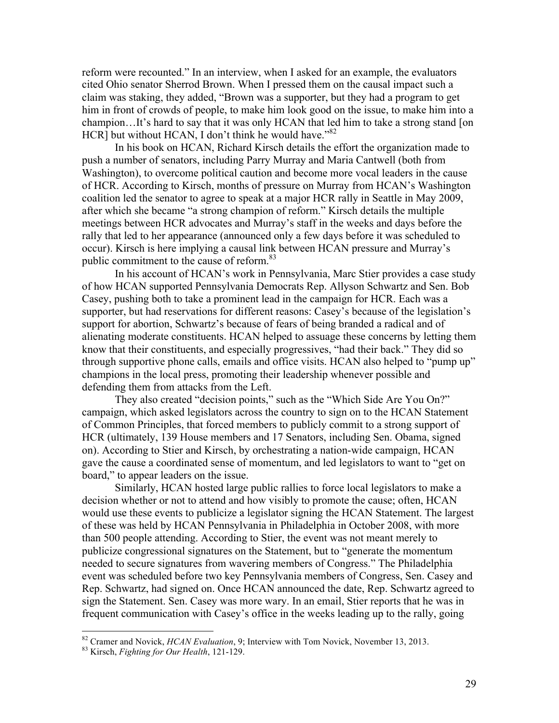reform were recounted." In an interview, when I asked for an example, the evaluators cited Ohio senator Sherrod Brown. When I pressed them on the causal impact such a claim was staking, they added, "Brown was a supporter, but they had a program to get him in front of crowds of people, to make him look good on the issue, to make him into a champion…It's hard to say that it was only HCAN that led him to take a strong stand [on HCR] but without HCAN, I don't think he would have." $82$ 

In his book on HCAN, Richard Kirsch details the effort the organization made to push a number of senators, including Parry Murray and Maria Cantwell (both from Washington), to overcome political caution and become more vocal leaders in the cause of HCR. According to Kirsch, months of pressure on Murray from HCAN's Washington coalition led the senator to agree to speak at a major HCR rally in Seattle in May 2009, after which she became "a strong champion of reform." Kirsch details the multiple meetings between HCR advocates and Murray's staff in the weeks and days before the rally that led to her appearance (announced only a few days before it was scheduled to occur). Kirsch is here implying a causal link between HCAN pressure and Murray's public commitment to the cause of reform.<sup>83</sup>

In his account of HCAN's work in Pennsylvania, Marc Stier provides a case study of how HCAN supported Pennsylvania Democrats Rep. Allyson Schwartz and Sen. Bob Casey, pushing both to take a prominent lead in the campaign for HCR. Each was a supporter, but had reservations for different reasons: Casey's because of the legislation's support for abortion, Schwartz's because of fears of being branded a radical and of alienating moderate constituents. HCAN helped to assuage these concerns by letting them know that their constituents, and especially progressives, "had their back." They did so through supportive phone calls, emails and office visits. HCAN also helped to "pump up" champions in the local press, promoting their leadership whenever possible and defending them from attacks from the Left.

They also created "decision points," such as the "Which Side Are You On?" campaign, which asked legislators across the country to sign on to the HCAN Statement of Common Principles, that forced members to publicly commit to a strong support of HCR (ultimately, 139 House members and 17 Senators, including Sen. Obama, signed on). According to Stier and Kirsch, by orchestrating a nation-wide campaign, HCAN gave the cause a coordinated sense of momentum, and led legislators to want to "get on board," to appear leaders on the issue.

Similarly, HCAN hosted large public rallies to force local legislators to make a decision whether or not to attend and how visibly to promote the cause; often, HCAN would use these events to publicize a legislator signing the HCAN Statement. The largest of these was held by HCAN Pennsylvania in Philadelphia in October 2008, with more than 500 people attending. According to Stier, the event was not meant merely to publicize congressional signatures on the Statement, but to "generate the momentum needed to secure signatures from wavering members of Congress." The Philadelphia event was scheduled before two key Pennsylvania members of Congress, Sen. Casey and Rep. Schwartz, had signed on. Once HCAN announced the date, Rep. Schwartz agreed to sign the Statement. Sen. Casey was more wary. In an email, Stier reports that he was in frequent communication with Casey's office in the weeks leading up to the rally, going

<sup>82</sup> Cramer and Novick, *HCAN Evaluation*, 9; Interview with Tom Novick, November 13, 2013. <sup>83</sup> Kirsch, *Fighting for Our Health*, 121-129.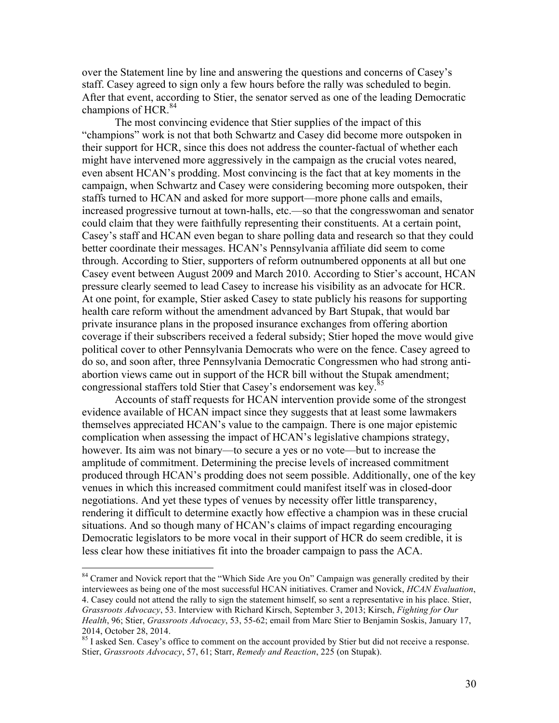over the Statement line by line and answering the questions and concerns of Casey's staff. Casey agreed to sign only a few hours before the rally was scheduled to begin. After that event, according to Stier, the senator served as one of the leading Democratic champions of HCR. $^{84}$ 

The most convincing evidence that Stier supplies of the impact of this "champions" work is not that both Schwartz and Casey did become more outspoken in their support for HCR, since this does not address the counter-factual of whether each might have intervened more aggressively in the campaign as the crucial votes neared, even absent HCAN's prodding. Most convincing is the fact that at key moments in the campaign, when Schwartz and Casey were considering becoming more outspoken, their staffs turned to HCAN and asked for more support—more phone calls and emails, increased progressive turnout at town-halls, etc.—so that the congresswoman and senator could claim that they were faithfully representing their constituents. At a certain point, Casey's staff and HCAN even began to share polling data and research so that they could better coordinate their messages. HCAN's Pennsylvania affiliate did seem to come through. According to Stier, supporters of reform outnumbered opponents at all but one Casey event between August 2009 and March 2010. According to Stier's account, HCAN pressure clearly seemed to lead Casey to increase his visibility as an advocate for HCR. At one point, for example, Stier asked Casey to state publicly his reasons for supporting health care reform without the amendment advanced by Bart Stupak, that would bar private insurance plans in the proposed insurance exchanges from offering abortion coverage if their subscribers received a federal subsidy; Stier hoped the move would give political cover to other Pennsylvania Democrats who were on the fence. Casey agreed to do so, and soon after, three Pennsylvania Democratic Congressmen who had strong antiabortion views came out in support of the HCR bill without the Stupak amendment; congressional staffers told Stier that Casey's endorsement was key.<sup>85</sup>

Accounts of staff requests for HCAN intervention provide some of the strongest evidence available of HCAN impact since they suggests that at least some lawmakers themselves appreciated HCAN's value to the campaign. There is one major epistemic complication when assessing the impact of HCAN's legislative champions strategy, however. Its aim was not binary—to secure a yes or no vote—but to increase the amplitude of commitment. Determining the precise levels of increased commitment produced through HCAN's prodding does not seem possible. Additionally, one of the key venues in which this increased commitment could manifest itself was in closed-door negotiations. And yet these types of venues by necessity offer little transparency, rendering it difficult to determine exactly how effective a champion was in these crucial situations. And so though many of HCAN's claims of impact regarding encouraging Democratic legislators to be more vocal in their support of HCR do seem credible, it is less clear how these initiatives fit into the broader campaign to pass the ACA.

<sup>&</sup>lt;sup>84</sup> Cramer and Novick report that the "Which Side Are you On" Campaign was generally credited by their interviewees as being one of the most successful HCAN initiatives. Cramer and Novick, *HCAN Evaluation*, 4. Casey could not attend the rally to sign the statement himself, so sent a representative in his place. Stier, *Grassroots Advocacy*, 53. Interview with Richard Kirsch, September 3, 2013; Kirsch, *Fighting for Our Health*, 96; Stier, *Grassroots Advocacy*, 53, 55-62; email from Marc Stier to Benjamin Soskis, January 17, 2014, October 28, 2014.

<sup>&</sup>lt;sup>85</sup> I asked Sen. Casey's office to comment on the account provided by Stier but did not receive a response. Stier, *Grassroots Advocacy*, 57, 61; Starr, *Remedy and Reaction*, 225 (on Stupak).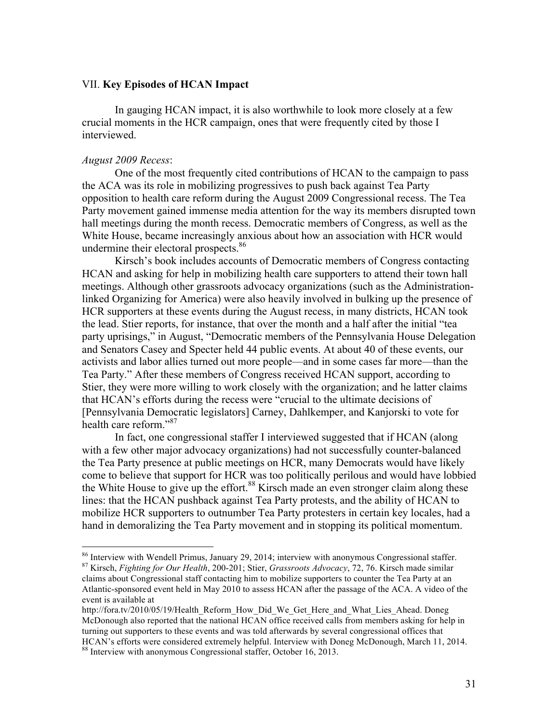#### VII. **Key Episodes of HCAN Impact**

In gauging HCAN impact, it is also worthwhile to look more closely at a few crucial moments in the HCR campaign, ones that were frequently cited by those I interviewed.

#### *August 2009 Recess*:

One of the most frequently cited contributions of HCAN to the campaign to pass the ACA was its role in mobilizing progressives to push back against Tea Party opposition to health care reform during the August 2009 Congressional recess. The Tea Party movement gained immense media attention for the way its members disrupted town hall meetings during the month recess. Democratic members of Congress, as well as the White House, became increasingly anxious about how an association with HCR would undermine their electoral prospects.<sup>86</sup>

Kirsch's book includes accounts of Democratic members of Congress contacting HCAN and asking for help in mobilizing health care supporters to attend their town hall meetings. Although other grassroots advocacy organizations (such as the Administrationlinked Organizing for America) were also heavily involved in bulking up the presence of HCR supporters at these events during the August recess, in many districts, HCAN took the lead. Stier reports, for instance, that over the month and a half after the initial "tea party uprisings," in August, "Democratic members of the Pennsylvania House Delegation and Senators Casey and Specter held 44 public events. At about 40 of these events, our activists and labor allies turned out more people—and in some cases far more—than the Tea Party." After these members of Congress received HCAN support, according to Stier, they were more willing to work closely with the organization; and he latter claims that HCAN's efforts during the recess were "crucial to the ultimate decisions of [Pennsylvania Democratic legislators] Carney, Dahlkemper, and Kanjorski to vote for health care reform."<sup>87</sup>

In fact, one congressional staffer I interviewed suggested that if HCAN (along with a few other major advocacy organizations) had not successfully counter-balanced the Tea Party presence at public meetings on HCR, many Democrats would have likely come to believe that support for HCR was too politically perilous and would have lobbied the White House to give up the effort.<sup>88</sup> Kirsch made an even stronger claim along these lines: that the HCAN pushback against Tea Party protests, and the ability of HCAN to mobilize HCR supporters to outnumber Tea Party protesters in certain key locales, had a hand in demoralizing the Tea Party movement and in stopping its political momentum.

<sup>86</sup> Interview with Wendell Primus, January 29, 2014; interview with anonymous Congressional staffer. <sup>87</sup> Kirsch, *Fighting for Our Health*, 200-201; Stier, *Grassroots Advocacy*, 72, 76. Kirsch made similar

claims about Congressional staff contacting him to mobilize supporters to counter the Tea Party at an Atlantic-sponsored event held in May 2010 to assess HCAN after the passage of the ACA. A video of the event is available at

http://fora.tv/2010/05/19/Health\_Reform\_How\_Did\_We\_Get\_Here\_and\_What\_Lies\_Ahead. Doneg McDonough also reported that the national HCAN office received calls from members asking for help in turning out supporters to these events and was told afterwards by several congressional offices that HCAN's efforts were considered extremely helpful. Interview with Doneg McDonough, March 11, 2014.

<sup>88</sup> Interview with anonymous Congressional staffer, October 16, 2013.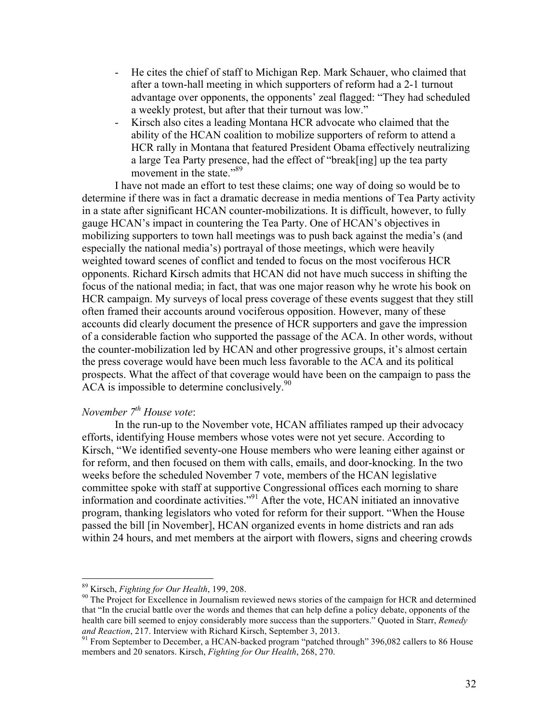- He cites the chief of staff to Michigan Rep. Mark Schauer, who claimed that after a town-hall meeting in which supporters of reform had a 2-1 turnout advantage over opponents, the opponents' zeal flagged: "They had scheduled a weekly protest, but after that their turnout was low."
- Kirsch also cites a leading Montana HCR advocate who claimed that the ability of the HCAN coalition to mobilize supporters of reform to attend a HCR rally in Montana that featured President Obama effectively neutralizing a large Tea Party presence, had the effect of "break[ing] up the tea party movement in the state."<sup>89</sup>

I have not made an effort to test these claims; one way of doing so would be to determine if there was in fact a dramatic decrease in media mentions of Tea Party activity in a state after significant HCAN counter-mobilizations. It is difficult, however, to fully gauge HCAN's impact in countering the Tea Party. One of HCAN's objectives in mobilizing supporters to town hall meetings was to push back against the media's (and especially the national media's) portrayal of those meetings, which were heavily weighted toward scenes of conflict and tended to focus on the most vociferous HCR opponents. Richard Kirsch admits that HCAN did not have much success in shifting the focus of the national media; in fact, that was one major reason why he wrote his book on HCR campaign. My surveys of local press coverage of these events suggest that they still often framed their accounts around vociferous opposition. However, many of these accounts did clearly document the presence of HCR supporters and gave the impression of a considerable faction who supported the passage of the ACA. In other words, without the counter-mobilization led by HCAN and other progressive groups, it's almost certain the press coverage would have been much less favorable to the ACA and its political prospects. What the affect of that coverage would have been on the campaign to pass the ACA is impossible to determine conclusively. $90$ 

# *November 7th House vote*:

In the run-up to the November vote, HCAN affiliates ramped up their advocacy efforts, identifying House members whose votes were not yet secure. According to Kirsch, "We identified seventy-one House members who were leaning either against or for reform, and then focused on them with calls, emails, and door-knocking. In the two weeks before the scheduled November 7 vote, members of the HCAN legislative committee spoke with staff at supportive Congressional offices each morning to share information and coordinate activities."<sup>91</sup> After the vote, HCAN initiated an innovative program, thanking legislators who voted for reform for their support. "When the House passed the bill [in November], HCAN organized events in home districts and ran ads within 24 hours, and met members at the airport with flowers, signs and cheering crowds

<sup>&</sup>lt;sup>89</sup> Kirsch, *Fighting for Our Health*, 199, 208.<br><sup>90</sup> The Project for Excellence in Journalism reviewed news stories of the campaign for HCR and determined that "In the crucial battle over the words and themes that can help define a policy debate, opponents of the health care bill seemed to enjoy considerably more success than the supporters." Quoted in Starr, *Remedy and Reaction*, 217. Interview with Richard Kirsch, September 3, 2013.

<sup>&</sup>lt;sup>91</sup> From September to December, a HCAN-backed program "patched through" 396,082 callers to 86 House members and 20 senators. Kirsch, *Fighting for Our Health*, 268, 270.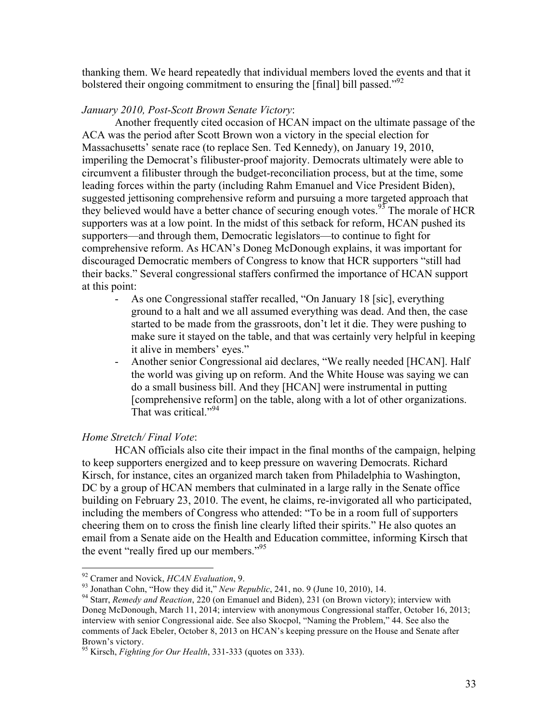thanking them. We heard repeatedly that individual members loved the events and that it bolstered their ongoing commitment to ensuring the [final] bill passed."<sup>92</sup>

## *January 2010, Post-Scott Brown Senate Victory*:

Another frequently cited occasion of HCAN impact on the ultimate passage of the ACA was the period after Scott Brown won a victory in the special election for Massachusetts' senate race (to replace Sen. Ted Kennedy), on January 19, 2010, imperiling the Democrat's filibuster-proof majority. Democrats ultimately were able to circumvent a filibuster through the budget-reconciliation process, but at the time, some leading forces within the party (including Rahm Emanuel and Vice President Biden), suggested jettisoning comprehensive reform and pursuing a more targeted approach that they believed would have a better chance of securing enough votes.<sup>93</sup> The morale of HCR supporters was at a low point. In the midst of this setback for reform, HCAN pushed its supporters—and through them, Democratic legislators—to continue to fight for comprehensive reform. As HCAN's Doneg McDonough explains, it was important for discouraged Democratic members of Congress to know that HCR supporters "still had their backs." Several congressional staffers confirmed the importance of HCAN support at this point:

- As one Congressional staffer recalled, "On January 18 [sic], everything ground to a halt and we all assumed everything was dead. And then, the case started to be made from the grassroots, don't let it die. They were pushing to make sure it stayed on the table, and that was certainly very helpful in keeping it alive in members' eyes."
- Another senior Congressional aid declares, "We really needed [HCAN]. Half the world was giving up on reform. And the White House was saying we can do a small business bill. And they [HCAN] were instrumental in putting [comprehensive reform] on the table, along with a lot of other organizations. That was critical."<sup>94</sup>

# *Home Stretch/ Final Vote*:

HCAN officials also cite their impact in the final months of the campaign, helping to keep supporters energized and to keep pressure on wavering Democrats. Richard Kirsch, for instance, cites an organized march taken from Philadelphia to Washington, DC by a group of HCAN members that culminated in a large rally in the Senate office building on February 23, 2010. The event, he claims, re-invigorated all who participated, including the members of Congress who attended: "To be in a room full of supporters cheering them on to cross the finish line clearly lifted their spirits." He also quotes an email from a Senate aide on the Health and Education committee, informing Kirsch that the event "really fired up our members."<sup>95</sup>

<sup>&</sup>lt;sup>92</sup> Cramer and Novick, *HCAN Evaluation*, 9.<br><sup>93</sup> Jonathan Cohn, "How they did it," *New Republic*, 241, no. 9 (June 10, 2010), 14.<br><sup>94</sup> Starr, *Remedy and Reaction*, 220 (on Emanuel and Biden), 231 (on Brown victory); i Doneg McDonough, March 11, 2014; interview with anonymous Congressional staffer, October 16, 2013; interview with senior Congressional aide. See also Skocpol, "Naming the Problem," 44. See also the comments of Jack Ebeler, October 8, 2013 on HCAN's keeping pressure on the House and Senate after Brown's victory.

<sup>95</sup> Kirsch, *Fighting for Our Health*, 331-333 (quotes on 333).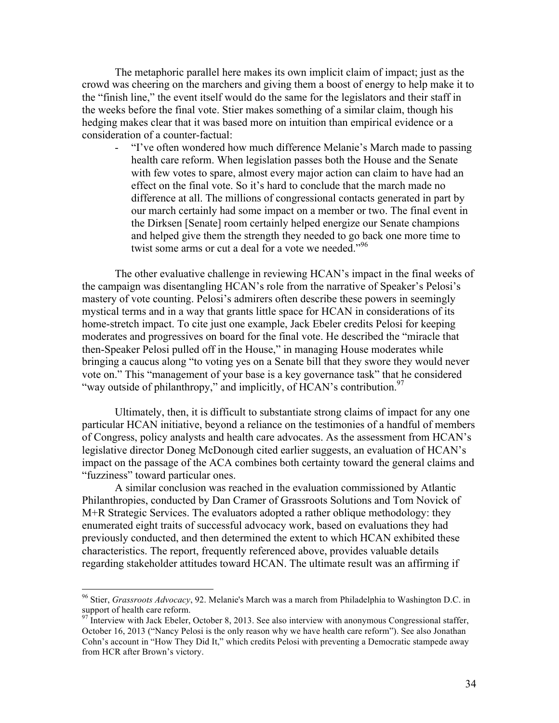The metaphoric parallel here makes its own implicit claim of impact; just as the crowd was cheering on the marchers and giving them a boost of energy to help make it to the "finish line," the event itself would do the same for the legislators and their staff in the weeks before the final vote. Stier makes something of a similar claim, though his hedging makes clear that it was based more on intuition than empirical evidence or a consideration of a counter-factual:

- "I've often wondered how much difference Melanie's March made to passing health care reform. When legislation passes both the House and the Senate with few votes to spare, almost every major action can claim to have had an effect on the final vote. So it's hard to conclude that the march made no difference at all. The millions of congressional contacts generated in part by our march certainly had some impact on a member or two. The final event in the Dirksen [Senate] room certainly helped energize our Senate champions and helped give them the strength they needed to go back one more time to twist some arms or cut a deal for a vote we needed.<sup>"96</sup>

The other evaluative challenge in reviewing HCAN's impact in the final weeks of the campaign was disentangling HCAN's role from the narrative of Speaker's Pelosi's mastery of vote counting. Pelosi's admirers often describe these powers in seemingly mystical terms and in a way that grants little space for HCAN in considerations of its home-stretch impact. To cite just one example, Jack Ebeler credits Pelosi for keeping moderates and progressives on board for the final vote. He described the "miracle that then-Speaker Pelosi pulled off in the House," in managing House moderates while bringing a caucus along "to voting yes on a Senate bill that they swore they would never vote on." This "management of your base is a key governance task" that he considered "way outside of philanthropy," and implicitly, of HCAN's contribution.<sup>97</sup>

Ultimately, then, it is difficult to substantiate strong claims of impact for any one particular HCAN initiative, beyond a reliance on the testimonies of a handful of members of Congress, policy analysts and health care advocates. As the assessment from HCAN's legislative director Doneg McDonough cited earlier suggests, an evaluation of HCAN's impact on the passage of the ACA combines both certainty toward the general claims and "fuzziness" toward particular ones.

A similar conclusion was reached in the evaluation commissioned by Atlantic Philanthropies, conducted by Dan Cramer of Grassroots Solutions and Tom Novick of M+R Strategic Services. The evaluators adopted a rather oblique methodology: they enumerated eight traits of successful advocacy work, based on evaluations they had previously conducted, and then determined the extent to which HCAN exhibited these characteristics. The report, frequently referenced above, provides valuable details regarding stakeholder attitudes toward HCAN. The ultimate result was an affirming if

 <sup>96</sup> Stier, *Grassroots Advocacy*, 92. Melanie's March was a march from Philadelphia to Washington D.C. in support of health care reform.

<sup>&</sup>lt;sup>97</sup> Interview with Jack Ebeler, October 8, 2013. See also interview with anonymous Congressional staffer, October 16, 2013 ("Nancy Pelosi is the only reason why we have health care reform"). See also Jonathan Cohn's account in "How They Did It," which credits Pelosi with preventing a Democratic stampede away from HCR after Brown's victory.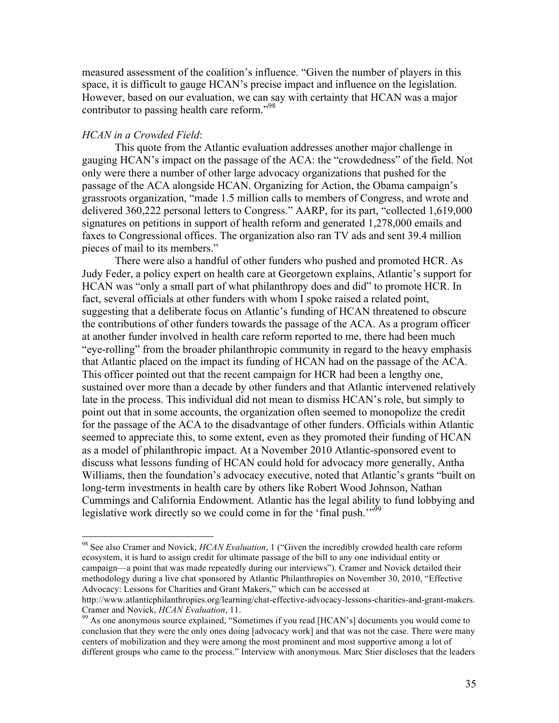measured assessment of the coalition's influence. "Given the number of players in this space, it is difficult to gauge HCAN's precise impact and influence on the legislation. However, based on our evaluation, we can say with certainty that HCAN was a major contributor to passing health care reform."<sup>98</sup>

#### *HCAN in a Crowded Field*:

This quote from the Atlantic evaluation addresses another major challenge in gauging HCAN's impact on the passage of the ACA: the "crowdedness" of the field. Not only were there a number of other large advocacy organizations that pushed for the passage of the ACA alongside HCAN. Organizing for Action, the Obama campaign's grassroots organization, "made 1.5 million calls to members of Congress, and wrote and delivered 360,222 personal letters to Congress." AARP, for its part, "collected 1,619,000 signatures on petitions in support of health reform and generated 1,278,000 emails and faxes to Congressional offices. The organization also ran TV ads and sent 39.4 million pieces of mail to its members."

There were also a handful of other funders who pushed and promoted HCR. As Judy Feder, a policy expert on health care at Georgetown explains, Atlantic's support for HCAN was "only a small part of what philanthropy does and did" to promote HCR. In fact, several officials at other funders with whom I spoke raised a related point, suggesting that a deliberate focus on Atlantic's funding of HCAN threatened to obscure the contributions of other funders towards the passage of the ACA. As a program officer at another funder involved in health care reform reported to me, there had been much "eye-rolling" from the broader philanthropic community in regard to the heavy emphasis that Atlantic placed on the impact its funding of HCAN had on the passage of the ACA. This officer pointed out that the recent campaign for HCR had been a lengthy one, sustained over more than a decade by other funders and that Atlantic intervened relatively late in the process. This individual did not mean to dismiss HCAN's role, but simply to point out that in some accounts, the organization often seemed to monopolize the credit for the passage of the ACA to the disadvantage of other funders. Officials within Atlantic seemed to appreciate this, to some extent, even as they promoted their funding of HCAN as a model of philanthropic impact. At a November 2010 Atlantic-sponsored event to discuss what lessons funding of HCAN could hold for advocacy more generally, Antha Williams, then the foundation's advocacy executive, noted that Atlantic's grants "built on long-term investments in health care by others like Robert Wood Johnson, Nathan Cummings and California Endowment. Atlantic has the legal ability to fund lobbying and legislative work directly so we could come in for the 'final push."<sup>59</sup>

 <sup>98</sup> See also Cramer and Novick, *HCAN Evaluation*, 1 ("Given the incredibly crowded health care reform ecosystem, it is hard to assign credit for ultimate passage of the bill to any one individual entity or campaign—a point that was made repeatedly during our interviews"). Cramer and Novick detailed their methodology during a live chat sponsored by Atlantic Philanthropies on November 30, 2010, "Effective Advocacy: Lessons for Charities and Grant Makers," which can be accessed at

http://www.atlanticphilanthropies.org/learning/chat-effective-advocacy-lessons-charities-and-grant-makers.

Cramer and Novick, *HCAN Evaluation*, 11.<br><sup>99</sup> As one anonymous source explained, "Sometimes if you read [HCAN's] documents you would come to conclusion that they were the only ones doing [advocacy work] and that was not the case. There were many centers of mobilization and they were among the most prominent and most supportive among a lot of different groups who came to the process." Interview with anonymous. Marc Stier discloses that the leaders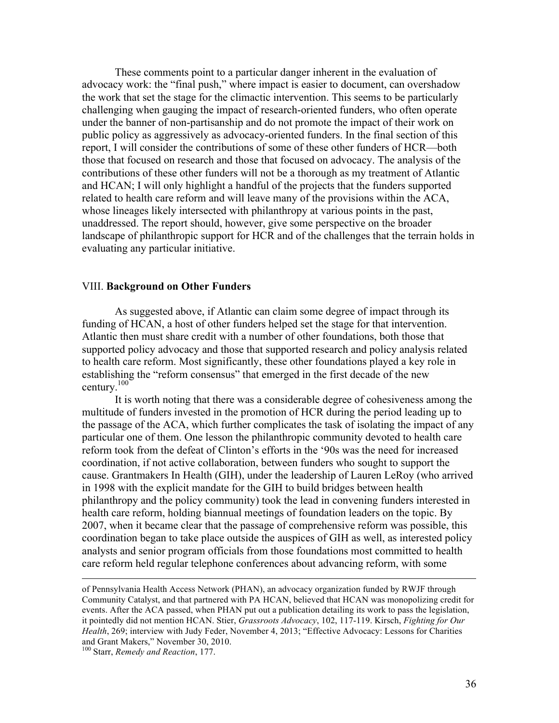These comments point to a particular danger inherent in the evaluation of advocacy work: the "final push," where impact is easier to document, can overshadow the work that set the stage for the climactic intervention. This seems to be particularly challenging when gauging the impact of research-oriented funders, who often operate under the banner of non-partisanship and do not promote the impact of their work on public policy as aggressively as advocacy-oriented funders. In the final section of this report, I will consider the contributions of some of these other funders of HCR—both those that focused on research and those that focused on advocacy. The analysis of the contributions of these other funders will not be a thorough as my treatment of Atlantic and HCAN; I will only highlight a handful of the projects that the funders supported related to health care reform and will leave many of the provisions within the ACA, whose lineages likely intersected with philanthropy at various points in the past, unaddressed. The report should, however, give some perspective on the broader landscape of philanthropic support for HCR and of the challenges that the terrain holds in evaluating any particular initiative.

# VIII. **Background on Other Funders**

As suggested above, if Atlantic can claim some degree of impact through its funding of HCAN, a host of other funders helped set the stage for that intervention. Atlantic then must share credit with a number of other foundations, both those that supported policy advocacy and those that supported research and policy analysis related to health care reform. Most significantly, these other foundations played a key role in establishing the "reform consensus" that emerged in the first decade of the new century. 100

It is worth noting that there was a considerable degree of cohesiveness among the multitude of funders invested in the promotion of HCR during the period leading up to the passage of the ACA, which further complicates the task of isolating the impact of any particular one of them. One lesson the philanthropic community devoted to health care reform took from the defeat of Clinton's efforts in the '90s was the need for increased coordination, if not active collaboration, between funders who sought to support the cause. Grantmakers In Health (GIH), under the leadership of Lauren LeRoy (who arrived in 1998 with the explicit mandate for the GIH to build bridges between health philanthropy and the policy community) took the lead in convening funders interested in health care reform, holding biannual meetings of foundation leaders on the topic. By 2007, when it became clear that the passage of comprehensive reform was possible, this coordination began to take place outside the auspices of GIH as well, as interested policy analysts and senior program officials from those foundations most committed to health care reform held regular telephone conferences about advancing reform, with some

1

of Pennsylvania Health Access Network (PHAN), an advocacy organization funded by RWJF through Community Catalyst, and that partnered with PA HCAN, believed that HCAN was monopolizing credit for events. After the ACA passed, when PHAN put out a publication detailing its work to pass the legislation, it pointedly did not mention HCAN. Stier, *Grassroots Advocacy*, 102, 117-119. Kirsch, *Fighting for Our Health*, 269; interview with Judy Feder, November 4, 2013; "Effective Advocacy: Lessons for Charities and Grant Makers," November 30, 2010.

<sup>100</sup> Starr, *Remedy and Reaction*, 177.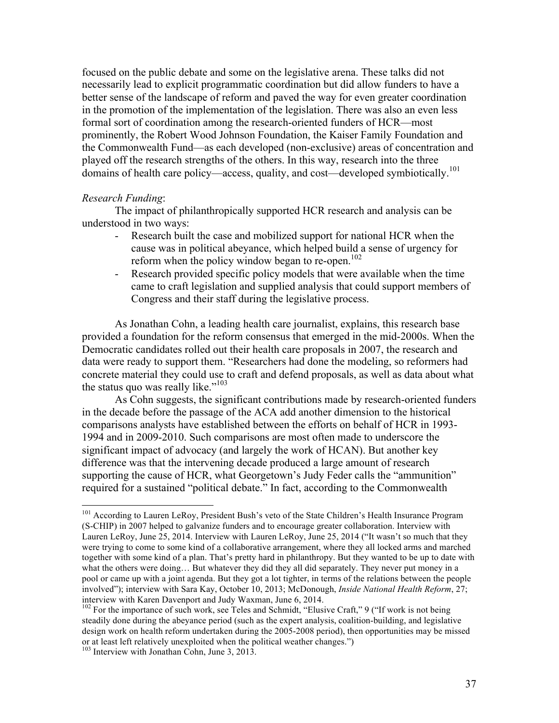focused on the public debate and some on the legislative arena. These talks did not necessarily lead to explicit programmatic coordination but did allow funders to have a better sense of the landscape of reform and paved the way for even greater coordination in the promotion of the implementation of the legislation. There was also an even less formal sort of coordination among the research-oriented funders of HCR—most prominently, the Robert Wood Johnson Foundation, the Kaiser Family Foundation and the Commonwealth Fund—as each developed (non-exclusive) areas of concentration and played off the research strengths of the others. In this way, research into the three domains of health care policy—access, quality, and cost—developed symbiotically.<sup>101</sup>

#### *Research Funding*:

The impact of philanthropically supported HCR research and analysis can be understood in two ways:

- Research built the case and mobilized support for national HCR when the cause was in political abeyance, which helped build a sense of urgency for reform when the policy window began to re-open.<sup>102</sup>
- Research provided specific policy models that were available when the time came to craft legislation and supplied analysis that could support members of Congress and their staff during the legislative process.

As Jonathan Cohn, a leading health care journalist, explains, this research base provided a foundation for the reform consensus that emerged in the mid-2000s. When the Democratic candidates rolled out their health care proposals in 2007, the research and data were ready to support them. "Researchers had done the modeling, so reformers had concrete material they could use to craft and defend proposals, as well as data about what the status quo was really like." $103$ 

As Cohn suggests, the significant contributions made by research-oriented funders in the decade before the passage of the ACA add another dimension to the historical comparisons analysts have established between the efforts on behalf of HCR in 1993- 1994 and in 2009-2010. Such comparisons are most often made to underscore the significant impact of advocacy (and largely the work of HCAN). But another key difference was that the intervening decade produced a large amount of research supporting the cause of HCR, what Georgetown's Judy Feder calls the "ammunition" required for a sustained "political debate." In fact, according to the Commonwealth

<sup>&</sup>lt;sup>101</sup> According to Lauren LeRoy, President Bush's veto of the State Children's Health Insurance Program (S-CHIP) in 2007 helped to galvanize funders and to encourage greater collaboration. Interview with Lauren LeRoy, June 25, 2014. Interview with Lauren LeRoy, June 25, 2014 ("It wasn't so much that they were trying to come to some kind of a collaborative arrangement, where they all locked arms and marched together with some kind of a plan. That's pretty hard in philanthropy. But they wanted to be up to date with what the others were doing... But whatever they did they all did separately. They never put money in a pool or came up with a joint agenda. But they got a lot tighter, in terms of the relations between the people involved"); interview with Sara Kay, October 10, 2013; McDonough, *Inside National Health Reform*, 27; interview with Karen Davenport and Judy Waxman, June 6, 2014.

<sup>&</sup>lt;sup>102</sup> For the importance of such work, see Teles and Schmidt, "Elusive Craft," 9 ("If work is not being steadily done during the abeyance period (such as the expert analysis, coalition-building, and legislative design work on health reform undertaken during the 2005-2008 period), then opportunities may be missed or at least left relatively unexploited when the political weather changes.") Interview with Jonathan Cohn, June 3, 2013.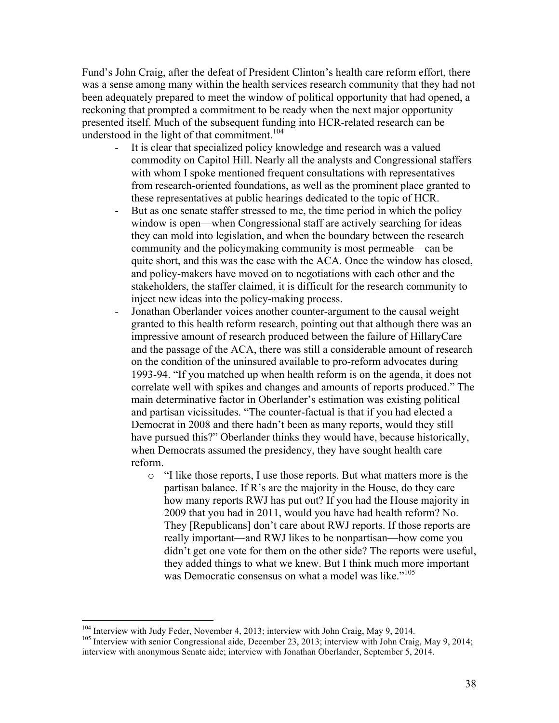Fund's John Craig, after the defeat of President Clinton's health care reform effort, there was a sense among many within the health services research community that they had not been adequately prepared to meet the window of political opportunity that had opened, a reckoning that prompted a commitment to be ready when the next major opportunity presented itself. Much of the subsequent funding into HCR-related research can be understood in the light of that commitment.<sup>104</sup>

- It is clear that specialized policy knowledge and research was a valued commodity on Capitol Hill. Nearly all the analysts and Congressional staffers with whom I spoke mentioned frequent consultations with representatives from research-oriented foundations, as well as the prominent place granted to these representatives at public hearings dedicated to the topic of HCR.
- But as one senate staffer stressed to me, the time period in which the policy window is open—when Congressional staff are actively searching for ideas they can mold into legislation, and when the boundary between the research community and the policymaking community is most permeable—can be quite short, and this was the case with the ACA. Once the window has closed, and policy-makers have moved on to negotiations with each other and the stakeholders, the staffer claimed, it is difficult for the research community to inject new ideas into the policy-making process.
- Jonathan Oberlander voices another counter-argument to the causal weight granted to this health reform research, pointing out that although there was an impressive amount of research produced between the failure of HillaryCare and the passage of the ACA, there was still a considerable amount of research on the condition of the uninsured available to pro-reform advocates during 1993-94. "If you matched up when health reform is on the agenda, it does not correlate well with spikes and changes and amounts of reports produced." The main determinative factor in Oberlander's estimation was existing political and partisan vicissitudes. "The counter-factual is that if you had elected a Democrat in 2008 and there hadn't been as many reports, would they still have pursued this?" Oberlander thinks they would have, because historically, when Democrats assumed the presidency, they have sought health care reform.
	- o "I like those reports, I use those reports. But what matters more is the partisan balance. If R's are the majority in the House, do they care how many reports RWJ has put out? If you had the House majority in 2009 that you had in 2011, would you have had health reform? No. They [Republicans] don't care about RWJ reports. If those reports are really important—and RWJ likes to be nonpartisan—how come you didn't get one vote for them on the other side? The reports were useful, they added things to what we knew. But I think much more important was Democratic consensus on what a model was like."<sup>105</sup>

<sup>&</sup>lt;sup>104</sup> Interview with Judy Feder, November 4, 2013; interview with John Craig, May 9, 2014.<br><sup>105</sup> Interview with senior Congressional aide, December 23, 2013; interview with John Craig, May 9, 2014;

interview with anonymous Senate aide; interview with Jonathan Oberlander, September 5, 2014.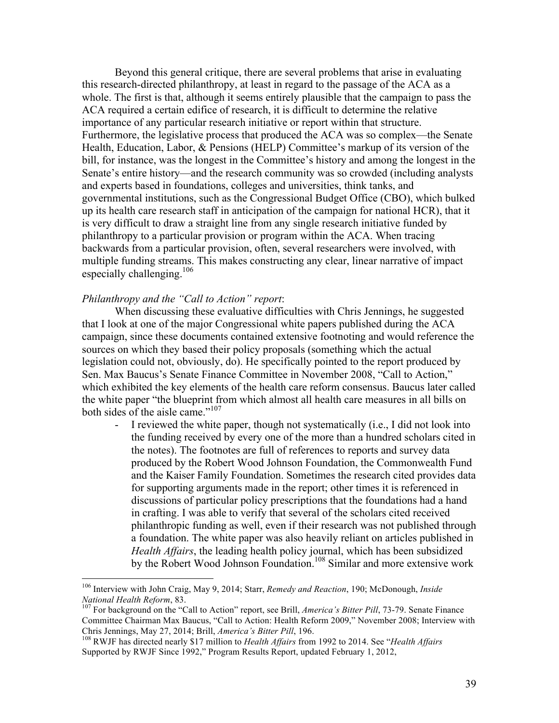Beyond this general critique, there are several problems that arise in evaluating this research-directed philanthropy, at least in regard to the passage of the ACA as a whole. The first is that, although it seems entirely plausible that the campaign to pass the ACA required a certain edifice of research, it is difficult to determine the relative importance of any particular research initiative or report within that structure. Furthermore, the legislative process that produced the ACA was so complex—the Senate Health, Education, Labor, & Pensions (HELP) Committee's markup of its version of the bill, for instance, was the longest in the Committee's history and among the longest in the Senate's entire history—and the research community was so crowded (including analysts and experts based in foundations, colleges and universities, think tanks, and governmental institutions, such as the Congressional Budget Office (CBO), which bulked up its health care research staff in anticipation of the campaign for national HCR), that it is very difficult to draw a straight line from any single research initiative funded by philanthropy to a particular provision or program within the ACA. When tracing backwards from a particular provision, often, several researchers were involved, with multiple funding streams. This makes constructing any clear, linear narrative of impact especially challenging. $106$ 

# *Philanthropy and the "Call to Action" report*:

When discussing these evaluative difficulties with Chris Jennings, he suggested that I look at one of the major Congressional white papers published during the ACA campaign, since these documents contained extensive footnoting and would reference the sources on which they based their policy proposals (something which the actual legislation could not, obviously, do). He specifically pointed to the report produced by Sen. Max Baucus's Senate Finance Committee in November 2008, "Call to Action," which exhibited the key elements of the health care reform consensus. Baucus later called the white paper "the blueprint from which almost all health care measures in all bills on both sides of the aisle came."<sup>107</sup>

I reviewed the white paper, though not systematically (i.e., I did not look into the funding received by every one of the more than a hundred scholars cited in the notes). The footnotes are full of references to reports and survey data produced by the Robert Wood Johnson Foundation, the Commonwealth Fund and the Kaiser Family Foundation. Sometimes the research cited provides data for supporting arguments made in the report; other times it is referenced in discussions of particular policy prescriptions that the foundations had a hand in crafting. I was able to verify that several of the scholars cited received philanthropic funding as well, even if their research was not published through a foundation. The white paper was also heavily reliant on articles published in *Health Affairs*, the leading health policy journal, which has been subsidized by the Robert Wood Johnson Foundation.<sup>108</sup> Similar and more extensive work

 <sup>106</sup> Interview with John Craig, May 9, 2014; Starr, *Remedy and Reaction*, 190; McDonough, *Inside* 

<sup>&</sup>lt;sup>107</sup> For background on the "Call to Action" report, see Brill, *America's Bitter Pill*, 73-79. Senate Finance Committee Chairman Max Baucus, "Call to Action: Health Reform 2009," November 2008; Interview with Chris Jennings, May 27, 2014; Brill, *America's Bitter Pill*, 196.

<sup>&</sup>lt;sup>108</sup> RWJF has directed nearly \$17 million to *Health Affairs* from 1992 to 2014. See "*Health Affairs* Supported by RWJF Since 1992," Program Results Report, updated February 1, 2012,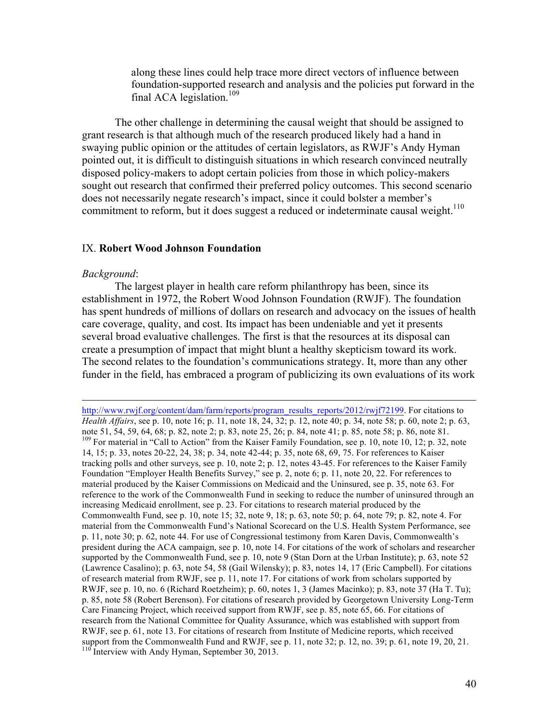along these lines could help trace more direct vectors of influence between foundation-supported research and analysis and the policies put forward in the final ACA legislation.<sup>109</sup>

The other challenge in determining the causal weight that should be assigned to grant research is that although much of the research produced likely had a hand in swaying public opinion or the attitudes of certain legislators, as RWJF's Andy Hyman pointed out, it is difficult to distinguish situations in which research convinced neutrally disposed policy-makers to adopt certain policies from those in which policy-makers sought out research that confirmed their preferred policy outcomes. This second scenario does not necessarily negate research's impact, since it could bolster a member's commitment to reform, but it does suggest a reduced or indeterminate causal weight.<sup>110</sup>

# IX. **Robert Wood Johnson Foundation**

#### *Background*:

The largest player in health care reform philanthropy has been, since its establishment in 1972, the Robert Wood Johnson Foundation (RWJF). The foundation has spent hundreds of millions of dollars on research and advocacy on the issues of health care coverage, quality, and cost. Its impact has been undeniable and yet it presents several broad evaluative challenges. The first is that the resources at its disposal can create a presumption of impact that might blunt a healthy skepticism toward its work. The second relates to the foundation's communications strategy. It, more than any other funder in the field, has embraced a program of publicizing its own evaluations of its work

http://www.rwjf.org/content/dam/farm/reports/program\_results\_reports/2012/rwjf72199. For citations to *Health Affairs*, see p. 10, note 16; p. 11, note 18, 24, 32; p. 12, note 40; p. 34, note 58; p. 60, note 2; p. 63, note 51, 54, 59, 64, 68; p. 82, note 2; p. 83, note 25, 26; p. 84, note 41; p. 85, note 58; p. 86, note 81. <sup>109</sup> For material in "Call to Action" from the Kaiser Family Foundation, see p. 10, note 10, 12; p. 32, note 14, 15; p. 33, notes 20-22, 24, 38; p. 34, note 42-44; p. 35, note 68, 69, 75. For references to Kaiser tracking polls and other surveys, see p. 10, note 2; p. 12, notes 43-45. For references to the Kaiser Family Foundation "Employer Health Benefits Survey," see p. 2, note 6; p. 11, note 20, 22. For references to material produced by the Kaiser Commissions on Medicaid and the Uninsured, see p. 35, note 63. For reference to the work of the Commonwealth Fund in seeking to reduce the number of uninsured through an increasing Medicaid enrollment, see p. 23. For citations to research material produced by the Commonwealth Fund, see p. 10, note 15; 32, note 9, 18; p. 63, note 50; p. 64, note 79; p. 82, note 4. For material from the Commonwealth Fund's National Scorecard on the U.S. Health System Performance, see p. 11, note 30; p. 62, note 44. For use of Congressional testimony from Karen Davis, Commonwealth's president during the ACA campaign, see p. 10, note 14. For citations of the work of scholars and researcher supported by the Commonwealth Fund, see p. 10, note 9 (Stan Dorn at the Urban Institute); p. 63, note 52 (Lawrence Casalino); p. 63, note 54, 58 (Gail Wilensky); p. 83, notes 14, 17 (Eric Campbell). For citations of research material from RWJF, see p. 11, note 17. For citations of work from scholars supported by RWJF, see p. 10, no. 6 (Richard Roetzheim); p. 60, notes 1, 3 (James Macinko); p. 83, note 37 (Ha T. Tu); p. 85, note 58 (Robert Berenson). For citations of research provided by Georgetown University Long-Term Care Financing Project, which received support from RWJF, see p. 85, note 65, 66. For citations of research from the National Committee for Quality Assurance, which was established with support from RWJF, see p. 61, note 13. For citations of research from Institute of Medicine reports, which received support from the Commonwealth Fund and RWJF, see p. 11, note 32; p. 12, no. 39; p. 61, note 19, 20, 21. <sup>110</sup> Interview with Andy Hyman, September 30, 2013.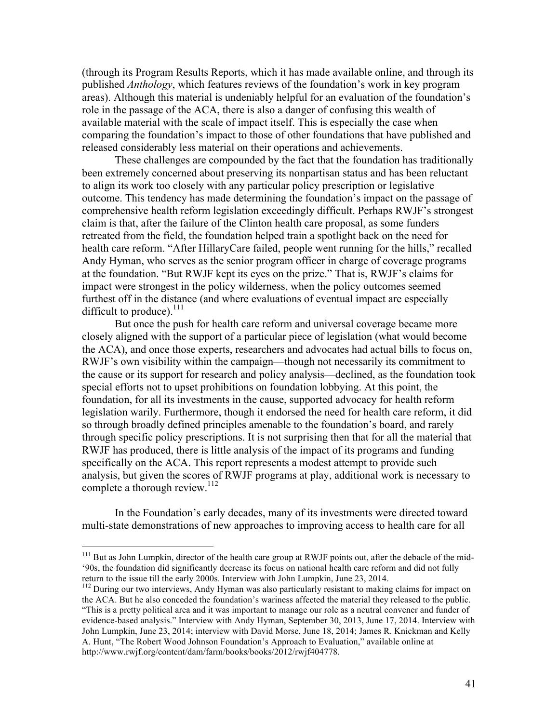(through its Program Results Reports, which it has made available online, and through its published *Anthology*, which features reviews of the foundation's work in key program areas). Although this material is undeniably helpful for an evaluation of the foundation's role in the passage of the ACA, there is also a danger of confusing this wealth of available material with the scale of impact itself. This is especially the case when comparing the foundation's impact to those of other foundations that have published and released considerably less material on their operations and achievements.

These challenges are compounded by the fact that the foundation has traditionally been extremely concerned about preserving its nonpartisan status and has been reluctant to align its work too closely with any particular policy prescription or legislative outcome. This tendency has made determining the foundation's impact on the passage of comprehensive health reform legislation exceedingly difficult. Perhaps RWJF's strongest claim is that, after the failure of the Clinton health care proposal, as some funders retreated from the field, the foundation helped train a spotlight back on the need for health care reform. "After HillaryCare failed, people went running for the hills," recalled Andy Hyman, who serves as the senior program officer in charge of coverage programs at the foundation. "But RWJF kept its eyes on the prize." That is, RWJF's claims for impact were strongest in the policy wilderness, when the policy outcomes seemed furthest off in the distance (and where evaluations of eventual impact are especially difficult to produce). $^{111}$ 

But once the push for health care reform and universal coverage became more closely aligned with the support of a particular piece of legislation (what would become the ACA), and once those experts, researchers and advocates had actual bills to focus on, RWJF's own visibility within the campaign—though not necessarily its commitment to the cause or its support for research and policy analysis—declined, as the foundation took special efforts not to upset prohibitions on foundation lobbying. At this point, the foundation, for all its investments in the cause, supported advocacy for health reform legislation warily. Furthermore, though it endorsed the need for health care reform, it did so through broadly defined principles amenable to the foundation's board, and rarely through specific policy prescriptions. It is not surprising then that for all the material that RWJF has produced, there is little analysis of the impact of its programs and funding specifically on the ACA. This report represents a modest attempt to provide such analysis, but given the scores of RWJF programs at play, additional work is necessary to complete a thorough review.<sup>112</sup>

In the Foundation's early decades, many of its investments were directed toward multi-state demonstrations of new approaches to improving access to health care for all

<sup>&</sup>lt;sup>111</sup> But as John Lumpkin, director of the health care group at RWJF points out, after the debacle of the mid-'90s, the foundation did significantly decrease its focus on national health care reform and did not fully return to the issue till the early 2000s. Interview with John Lumpkin, June 23, 2014.

<sup>&</sup>lt;sup>112</sup> During our two interviews, Andy Hyman was also particularly resistant to making claims for impact on the ACA. But he also conceded the foundation's wariness affected the material they released to the public. "This is a pretty political area and it was important to manage our role as a neutral convener and funder of evidence-based analysis." Interview with Andy Hyman, September 30, 2013, June 17, 2014. Interview with John Lumpkin, June 23, 2014; interview with David Morse, June 18, 2014; James R. Knickman and Kelly A. Hunt, "The Robert Wood Johnson Foundation's Approach to Evaluation," available online at http://www.rwjf.org/content/dam/farm/books/books/2012/rwjf404778.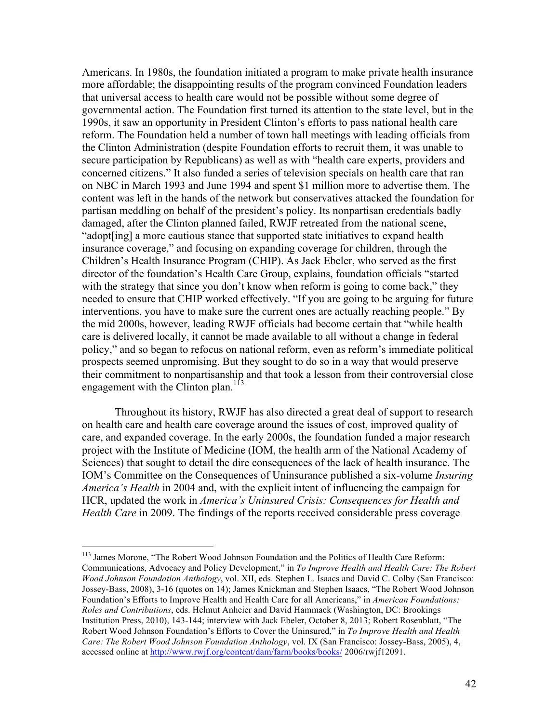Americans. In 1980s, the foundation initiated a program to make private health insurance more affordable; the disappointing results of the program convinced Foundation leaders that universal access to health care would not be possible without some degree of governmental action. The Foundation first turned its attention to the state level, but in the 1990s, it saw an opportunity in President Clinton's efforts to pass national health care reform. The Foundation held a number of town hall meetings with leading officials from the Clinton Administration (despite Foundation efforts to recruit them, it was unable to secure participation by Republicans) as well as with "health care experts, providers and concerned citizens." It also funded a series of television specials on health care that ran on NBC in March 1993 and June 1994 and spent \$1 million more to advertise them. The content was left in the hands of the network but conservatives attacked the foundation for partisan meddling on behalf of the president's policy. Its nonpartisan credentials badly damaged, after the Clinton planned failed, RWJF retreated from the national scene, "adopt[ing] a more cautious stance that supported state initiatives to expand health insurance coverage," and focusing on expanding coverage for children, through the Children's Health Insurance Program (CHIP). As Jack Ebeler, who served as the first director of the foundation's Health Care Group, explains, foundation officials "started with the strategy that since you don't know when reform is going to come back," they needed to ensure that CHIP worked effectively. "If you are going to be arguing for future interventions, you have to make sure the current ones are actually reaching people." By the mid 2000s, however, leading RWJF officials had become certain that "while health care is delivered locally, it cannot be made available to all without a change in federal policy," and so began to refocus on national reform, even as reform's immediate political prospects seemed unpromising. But they sought to do so in a way that would preserve their commitment to nonpartisanship and that took a lesson from their controversial close engagement with the Clinton plan.<sup>113</sup>

Throughout its history, RWJF has also directed a great deal of support to research on health care and health care coverage around the issues of cost, improved quality of care, and expanded coverage. In the early 2000s, the foundation funded a major research project with the Institute of Medicine (IOM, the health arm of the National Academy of Sciences) that sought to detail the dire consequences of the lack of health insurance. The IOM's Committee on the Consequences of Uninsurance published a six-volume *Insuring America's Health* in 2004 and, with the explicit intent of influencing the campaign for HCR, updated the work in *America's Uninsured Crisis: Consequences for Health and Health Care* in 2009. The findings of the reports received considerable press coverage

<sup>&</sup>lt;sup>113</sup> James Morone, "The Robert Wood Johnson Foundation and the Politics of Health Care Reform: Communications, Advocacy and Policy Development," in *To Improve Health and Health Care: The Robert Wood Johnson Foundation Anthology*, vol. XII, eds. Stephen L. Isaacs and David C. Colby (San Francisco: Jossey-Bass, 2008), 3-16 (quotes on 14); James Knickman and Stephen Isaacs, "The Robert Wood Johnson Foundation's Efforts to Improve Health and Health Care for all Americans," in *American Foundations: Roles and Contributions*, eds. Helmut Anheier and David Hammack (Washington, DC: Brookings Institution Press, 2010), 143-144; interview with Jack Ebeler, October 8, 2013; Robert Rosenblatt, "The Robert Wood Johnson Foundation's Efforts to Cover the Uninsured," in *To Improve Health and Health Care: The Robert Wood Johnson Foundation Anthology*, vol. IX (San Francisco: Jossey-Bass, 2005), 4, accessed online at http://www.rwjf.org/content/dam/farm/books/books/ 2006/rwjf12091.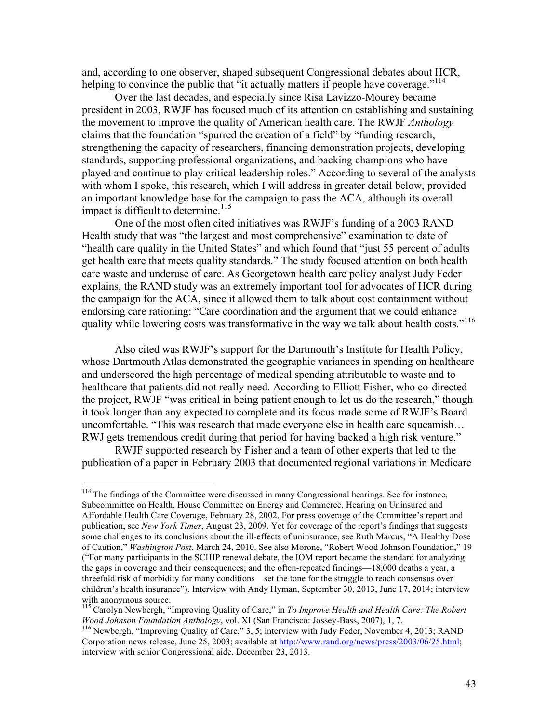and, according to one observer, shaped subsequent Congressional debates about HCR, helping to convince the public that "it actually matters if people have coverage."<sup>114</sup>

Over the last decades, and especially since Risa Lavizzo-Mourey became president in 2003, RWJF has focused much of its attention on establishing and sustaining the movement to improve the quality of American health care. The RWJF *Anthology*  claims that the foundation "spurred the creation of a field" by "funding research, strengthening the capacity of researchers, financing demonstration projects, developing standards, supporting professional organizations, and backing champions who have played and continue to play critical leadership roles." According to several of the analysts with whom I spoke, this research, which I will address in greater detail below, provided an important knowledge base for the campaign to pass the ACA, although its overall impact is difficult to determine. 115

One of the most often cited initiatives was RWJF's funding of a 2003 RAND Health study that was "the largest and most comprehensive" examination to date of "health care quality in the United States" and which found that "just 55 percent of adults get health care that meets quality standards." The study focused attention on both health care waste and underuse of care. As Georgetown health care policy analyst Judy Feder explains, the RAND study was an extremely important tool for advocates of HCR during the campaign for the ACA, since it allowed them to talk about cost containment without endorsing care rationing: "Care coordination and the argument that we could enhance quality while lowering costs was transformative in the way we talk about health costs."<sup>116</sup>

Also cited was RWJF's support for the Dartmouth's Institute for Health Policy, whose Dartmouth Atlas demonstrated the geographic variances in spending on healthcare and underscored the high percentage of medical spending attributable to waste and to healthcare that patients did not really need. According to Elliott Fisher, who co-directed the project, RWJF "was critical in being patient enough to let us do the research," though it took longer than any expected to complete and its focus made some of RWJF's Board uncomfortable. "This was research that made everyone else in health care squeamish… RWJ gets tremendous credit during that period for having backed a high risk venture."

RWJF supported research by Fisher and a team of other experts that led to the publication of a paper in February 2003 that documented regional variations in Medicare

<sup>&</sup>lt;sup>114</sup> The findings of the Committee were discussed in many Congressional hearings. See for instance, Subcommittee on Health, House Committee on Energy and Commerce, Hearing on Uninsured and Affordable Health Care Coverage, February 28, 2002. For press coverage of the Committee's report and publication, see *New York Times*, August 23, 2009. Yet for coverage of the report's findings that suggests some challenges to its conclusions about the ill-effects of uninsurance, see Ruth Marcus, "A Healthy Dose of Caution," *Washington Post*, March 24, 2010. See also Morone, "Robert Wood Johnson Foundation," 19 ("For many participants in the SCHIP renewal debate, the IOM report became the standard for analyzing the gaps in coverage and their consequences; and the often-repeated findings—18,000 deaths a year, a threefold risk of morbidity for many conditions—set the tone for the struggle to reach consensus over children's health insurance"). Interview with Andy Hyman, September 30, 2013, June 17, 2014; interview

<sup>&</sup>lt;sup>115</sup> Carolyn Newbergh, "Improving Quality of Care," in *To Improve Health and Health Care: The Robert Wood Johnson Foundation Anthology*, vol. XI (San Francisco: Jossey-Bass, 2007), 1, 7.<br><sup>116</sup> Newbergh, "Improving Quality of Care," 3, 5; interview with Judy Feder, November 4, 2013; RAND

Corporation news release, June 25, 2003; available at http://www.rand.org/news/press/2003/06/25.html; interview with senior Congressional aide, December 23, 2013.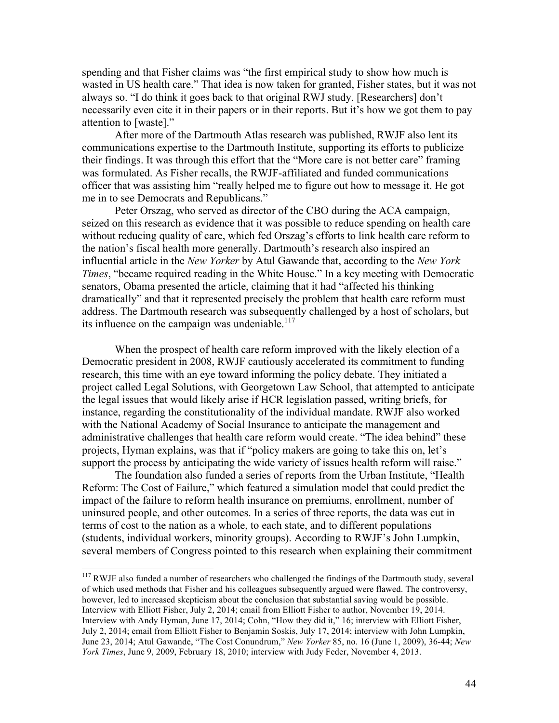spending and that Fisher claims was "the first empirical study to show how much is wasted in US health care." That idea is now taken for granted, Fisher states, but it was not always so. "I do think it goes back to that original RWJ study. [Researchers] don't necessarily even cite it in their papers or in their reports. But it's how we got them to pay attention to [waste]."

After more of the Dartmouth Atlas research was published, RWJF also lent its communications expertise to the Dartmouth Institute, supporting its efforts to publicize their findings. It was through this effort that the "More care is not better care" framing was formulated. As Fisher recalls, the RWJF-affiliated and funded communications officer that was assisting him "really helped me to figure out how to message it. He got me in to see Democrats and Republicans."

Peter Orszag, who served as director of the CBO during the ACA campaign, seized on this research as evidence that it was possible to reduce spending on health care without reducing quality of care, which fed Orszag's efforts to link health care reform to the nation's fiscal health more generally. Dartmouth's research also inspired an influential article in the *New Yorker* by Atul Gawande that, according to the *New York Times*, "became required reading in the White House." In a key meeting with Democratic senators, Obama presented the article, claiming that it had "affected his thinking dramatically" and that it represented precisely the problem that health care reform must address. The Dartmouth research was subsequently challenged by a host of scholars, but its influence on the campaign was undeniable.<sup>117</sup>

When the prospect of health care reform improved with the likely election of a Democratic president in 2008, RWJF cautiously accelerated its commitment to funding research, this time with an eye toward informing the policy debate. They initiated a project called Legal Solutions, with Georgetown Law School, that attempted to anticipate the legal issues that would likely arise if HCR legislation passed, writing briefs, for instance, regarding the constitutionality of the individual mandate. RWJF also worked with the National Academy of Social Insurance to anticipate the management and administrative challenges that health care reform would create. "The idea behind" these projects, Hyman explains, was that if "policy makers are going to take this on, let's support the process by anticipating the wide variety of issues health reform will raise."

The foundation also funded a series of reports from the Urban Institute, "Health Reform: The Cost of Failure," which featured a simulation model that could predict the impact of the failure to reform health insurance on premiums, enrollment, number of uninsured people, and other outcomes. In a series of three reports, the data was cut in terms of cost to the nation as a whole, to each state, and to different populations (students, individual workers, minority groups). According to RWJF's John Lumpkin, several members of Congress pointed to this research when explaining their commitment

<sup>&</sup>lt;sup>117</sup> RWJF also funded a number of researchers who challenged the findings of the Dartmouth study, several of which used methods that Fisher and his colleagues subsequently argued were flawed. The controversy, however, led to increased skepticism about the conclusion that substantial saving would be possible. Interview with Elliott Fisher, July 2, 2014; email from Elliott Fisher to author, November 19, 2014. Interview with Andy Hyman, June 17, 2014; Cohn, "How they did it," 16; interview with Elliott Fisher, July 2, 2014; email from Elliott Fisher to Benjamin Soskis, July 17, 2014; interview with John Lumpkin, June 23, 2014; Atul Gawande, "The Cost Conundrum," *New Yorker* 85, no. 16 (June 1, 2009), 36-44; *New York Times*, June 9, 2009, February 18, 2010; interview with Judy Feder, November 4, 2013.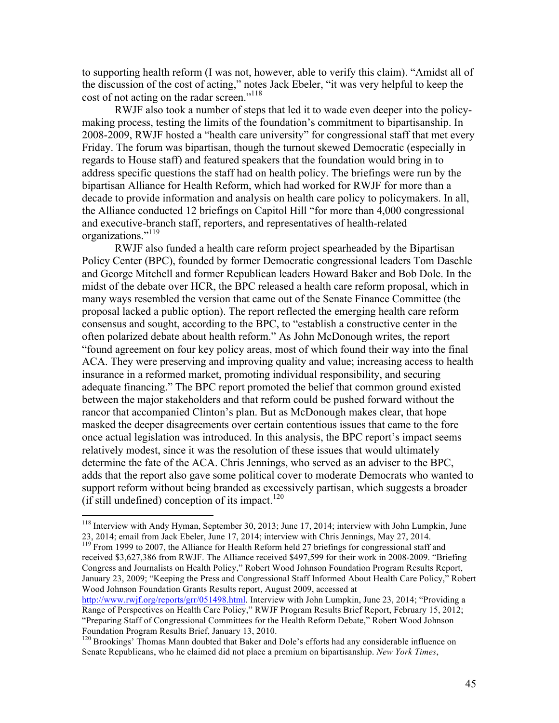to supporting health reform (I was not, however, able to verify this claim). "Amidst all of the discussion of the cost of acting," notes Jack Ebeler, "it was very helpful to keep the cost of not acting on the radar screen."<sup>118</sup>

RWJF also took a number of steps that led it to wade even deeper into the policymaking process, testing the limits of the foundation's commitment to bipartisanship. In 2008-2009, RWJF hosted a "health care university" for congressional staff that met every Friday. The forum was bipartisan, though the turnout skewed Democratic (especially in regards to House staff) and featured speakers that the foundation would bring in to address specific questions the staff had on health policy. The briefings were run by the bipartisan Alliance for Health Reform, which had worked for RWJF for more than a decade to provide information and analysis on health care policy to policymakers. In all, the Alliance conducted 12 briefings on Capitol Hill "for more than 4,000 congressional and executive-branch staff, reporters, and representatives of health-related organizations."<sup>119</sup>

RWJF also funded a health care reform project spearheaded by the Bipartisan Policy Center (BPC), founded by former Democratic congressional leaders Tom Daschle and George Mitchell and former Republican leaders Howard Baker and Bob Dole. In the midst of the debate over HCR, the BPC released a health care reform proposal, which in many ways resembled the version that came out of the Senate Finance Committee (the proposal lacked a public option). The report reflected the emerging health care reform consensus and sought, according to the BPC, to "establish a constructive center in the often polarized debate about health reform." As John McDonough writes, the report "found agreement on four key policy areas, most of which found their way into the final ACA. They were preserving and improving quality and value; increasing access to health insurance in a reformed market, promoting individual responsibility, and securing adequate financing." The BPC report promoted the belief that common ground existed between the major stakeholders and that reform could be pushed forward without the rancor that accompanied Clinton's plan. But as McDonough makes clear, that hope masked the deeper disagreements over certain contentious issues that came to the fore once actual legislation was introduced. In this analysis, the BPC report's impact seems relatively modest, since it was the resolution of these issues that would ultimately determine the fate of the ACA. Chris Jennings, who served as an adviser to the BPC, adds that the report also gave some political cover to moderate Democrats who wanted to support reform without being branded as excessively partisan, which suggests a broader  $(i$ f still undefined) conception of its impact.<sup>120</sup>

<sup>&</sup>lt;sup>118</sup> Interview with Andy Hyman, September 30, 2013; June 17, 2014; interview with John Lumpkin, June 23, 2014; email from Jack Ebeler, June 17, 2014; interview with Chris Jennings, May 27, 2014.

<sup>&</sup>lt;sup>119</sup> From 1999 to 2007, the Alliance for Health Reform held 27 briefings for congressional staff and received \$3,627,386 from RWJF. The Alliance received \$497,599 for their work in 2008-2009. "Briefing Congress and Journalists on Health Policy," Robert Wood Johnson Foundation Program Results Report, January 23, 2009; "Keeping the Press and Congressional Staff Informed About Health Care Policy," Robert Wood Johnson Foundation Grants Results report, August 2009, accessed at

http://www.rwjf.org/reports/grr/051498.html. Interview with John Lumpkin, June 23, 2014; "Providing a Range of Perspectives on Health Care Policy," RWJF Program Results Brief Report, February 15, 2012; "Preparing Staff of Congressional Committees for the Health Reform Debate," Robert Wood Johnson Foundation Program Results Brief, January 13, 2010.

<sup>&</sup>lt;sup>120</sup> Brookings' Thomas Mann doubted that Baker and Dole's efforts had any considerable influence on Senate Republicans, who he claimed did not place a premium on bipartisanship. *New York Times*,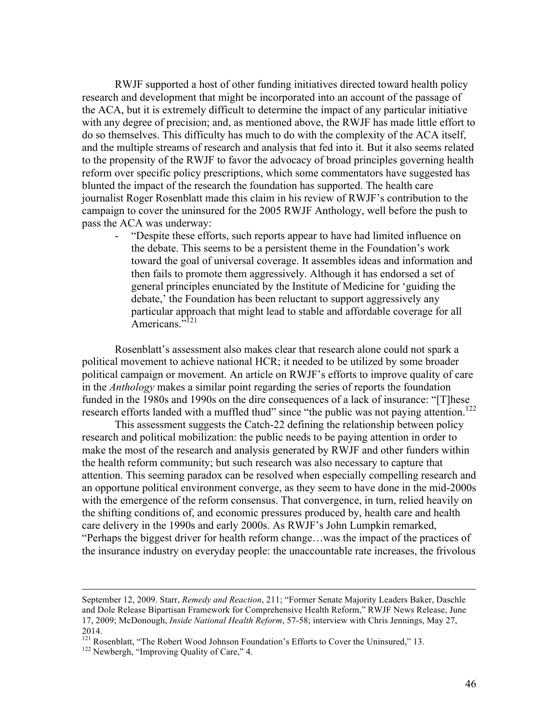RWJF supported a host of other funding initiatives directed toward health policy research and development that might be incorporated into an account of the passage of the ACA, but it is extremely difficult to determine the impact of any particular initiative with any degree of precision; and, as mentioned above, the RWJF has made little effort to do so themselves. This difficulty has much to do with the complexity of the ACA itself, and the multiple streams of research and analysis that fed into it. But it also seems related to the propensity of the RWJF to favor the advocacy of broad principles governing health reform over specific policy prescriptions, which some commentators have suggested has blunted the impact of the research the foundation has supported. The health care journalist Roger Rosenblatt made this claim in his review of RWJF's contribution to the campaign to cover the uninsured for the 2005 RWJF Anthology, well before the push to pass the ACA was underway:

- "Despite these efforts, such reports appear to have had limited influence on the debate. This seems to be a persistent theme in the Foundation's work toward the goal of universal coverage. It assembles ideas and information and then fails to promote them aggressively. Although it has endorsed a set of general principles enunciated by the Institute of Medicine for 'guiding the debate,' the Foundation has been reluctant to support aggressively any particular approach that might lead to stable and affordable coverage for all Americans."<sup>121</sup>

Rosenblatt's assessment also makes clear that research alone could not spark a political movement to achieve national HCR; it needed to be utilized by some broader political campaign or movement. An article on RWJF's efforts to improve quality of care in the *Anthology* makes a similar point regarding the series of reports the foundation funded in the 1980s and 1990s on the dire consequences of a lack of insurance: "[T]hese research efforts landed with a muffled thud" since "the public was not paying attention.<sup>122</sup>

This assessment suggests the Catch-22 defining the relationship between policy research and political mobilization: the public needs to be paying attention in order to make the most of the research and analysis generated by RWJF and other funders within the health reform community; but such research was also necessary to capture that attention. This seeming paradox can be resolved when especially compelling research and an opportune political environment converge, as they seem to have done in the mid-2000s with the emergence of the reform consensus. That convergence, in turn, relied heavily on the shifting conditions of, and economic pressures produced by, health care and health care delivery in the 1990s and early 2000s. As RWJF's John Lumpkin remarked, "Perhaps the biggest driver for health reform change…was the impact of the practices of the insurance industry on everyday people: the unaccountable rate increases, the frivolous

1

September 12, 2009. Starr, *Remedy and Reaction*, 211; "Former Senate Majority Leaders Baker, Daschle and Dole Release Bipartisan Framework for Comprehensive Health Reform," RWJF News Release, June 17, 2009; McDonough, *Inside National Health Reform*, 57-58; interview with Chris Jennings, May 27, 2014.

<sup>&</sup>lt;sup>121</sup> Rosenblatt, "The Robert Wood Johnson Foundation's Efforts to Cover the Uninsured," 13. <sup>122</sup> Newbergh, "Improving Quality of Care," 4.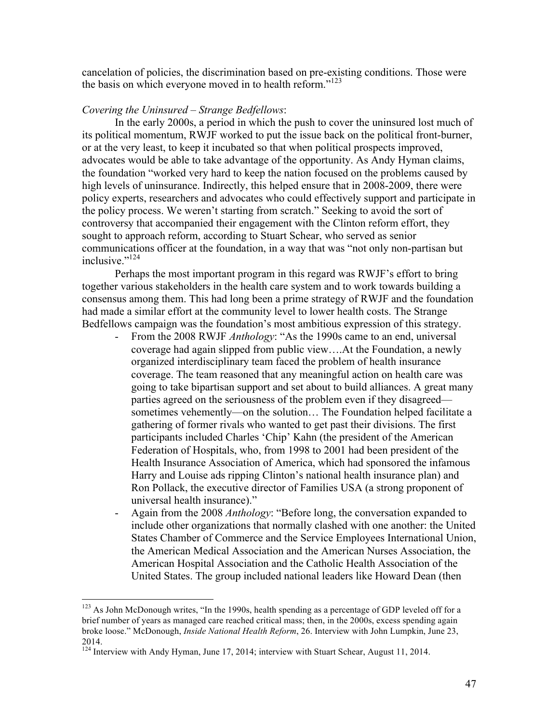cancelation of policies, the discrimination based on pre-existing conditions. Those were the basis on which everyone moved in to health reform."<sup>123</sup>

### *Covering the Uninsured – Strange Bedfellows*:

In the early 2000s, a period in which the push to cover the uninsured lost much of its political momentum, RWJF worked to put the issue back on the political front-burner, or at the very least, to keep it incubated so that when political prospects improved, advocates would be able to take advantage of the opportunity. As Andy Hyman claims, the foundation "worked very hard to keep the nation focused on the problems caused by high levels of uninsurance. Indirectly, this helped ensure that in 2008-2009, there were policy experts, researchers and advocates who could effectively support and participate in the policy process. We weren't starting from scratch." Seeking to avoid the sort of controversy that accompanied their engagement with the Clinton reform effort, they sought to approach reform, according to Stuart Schear, who served as senior communications officer at the foundation, in a way that was "not only non-partisan but inclusive $^{124}$ 

Perhaps the most important program in this regard was RWJF's effort to bring together various stakeholders in the health care system and to work towards building a consensus among them. This had long been a prime strategy of RWJF and the foundation had made a similar effort at the community level to lower health costs. The Strange Bedfellows campaign was the foundation's most ambitious expression of this strategy.

- From the 2008 RWJF *Anthology*: "As the 1990s came to an end, universal coverage had again slipped from public view….At the Foundation, a newly organized interdisciplinary team faced the problem of health insurance coverage. The team reasoned that any meaningful action on health care was going to take bipartisan support and set about to build alliances. A great many parties agreed on the seriousness of the problem even if they disagreed sometimes vehemently—on the solution… The Foundation helped facilitate a gathering of former rivals who wanted to get past their divisions. The first participants included Charles 'Chip' Kahn (the president of the American Federation of Hospitals, who, from 1998 to 2001 had been president of the Health Insurance Association of America, which had sponsored the infamous Harry and Louise ads ripping Clinton's national health insurance plan) and Ron Pollack, the executive director of Families USA (a strong proponent of universal health insurance)."
- Again from the 2008 *Anthology*: "Before long, the conversation expanded to include other organizations that normally clashed with one another: the United States Chamber of Commerce and the Service Employees International Union, the American Medical Association and the American Nurses Association, the American Hospital Association and the Catholic Health Association of the United States. The group included national leaders like Howard Dean (then

<sup>&</sup>lt;sup>123</sup> As John McDonough writes, "In the 1990s, health spending as a percentage of GDP leveled off for a brief number of years as managed care reached critical mass; then, in the 2000s, excess spending again broke loose." McDonough, *Inside National Health Reform*, 26. Interview with John Lumpkin, June 23, 2014.

<sup>&</sup>lt;sup>124</sup> Interview with Andy Hyman, June 17, 2014; interview with Stuart Schear, August 11, 2014.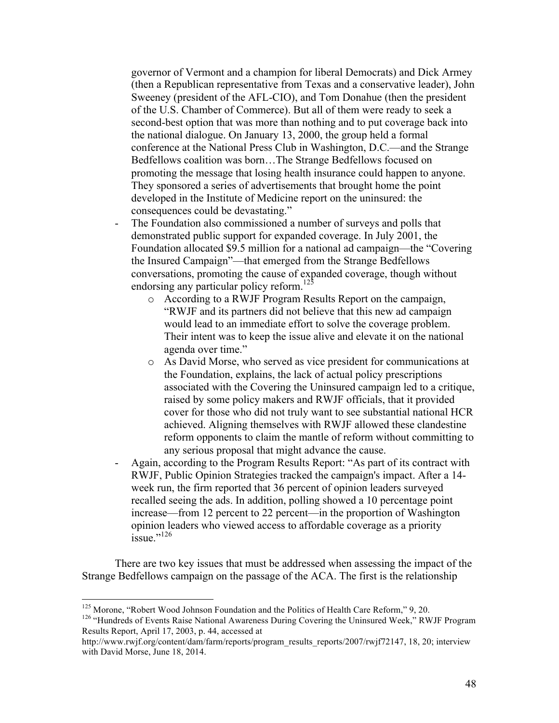governor of Vermont and a champion for liberal Democrats) and Dick Armey (then a Republican representative from Texas and a conservative leader), John Sweeney (president of the AFL-CIO), and Tom Donahue (then the president of the U.S. Chamber of Commerce). But all of them were ready to seek a second-best option that was more than nothing and to put coverage back into the national dialogue. On January 13, 2000, the group held a formal conference at the National Press Club in Washington, D.C.—and the Strange Bedfellows coalition was born…The Strange Bedfellows focused on promoting the message that losing health insurance could happen to anyone. They sponsored a series of advertisements that brought home the point developed in the Institute of Medicine report on the uninsured: the consequences could be devastating."

- The Foundation also commissioned a number of surveys and polls that demonstrated public support for expanded coverage. In July 2001, the Foundation allocated \$9.5 million for a national ad campaign—the "Covering the Insured Campaign"—that emerged from the Strange Bedfellows conversations, promoting the cause of expanded coverage, though without endorsing any particular policy reform.<sup>123</sup>
	- o According to a RWJF Program Results Report on the campaign, "RWJF and its partners did not believe that this new ad campaign would lead to an immediate effort to solve the coverage problem. Their intent was to keep the issue alive and elevate it on the national agenda over time."
	- o As David Morse, who served as vice president for communications at the Foundation, explains, the lack of actual policy prescriptions associated with the Covering the Uninsured campaign led to a critique, raised by some policy makers and RWJF officials, that it provided cover for those who did not truly want to see substantial national HCR achieved. Aligning themselves with RWJF allowed these clandestine reform opponents to claim the mantle of reform without committing to any serious proposal that might advance the cause.
- Again, according to the Program Results Report: "As part of its contract with RWJF, Public Opinion Strategies tracked the campaign's impact. After a 14 week run, the firm reported that 36 percent of opinion leaders surveyed recalled seeing the ads. In addition, polling showed a 10 percentage point increase—from 12 percent to 22 percent—in the proportion of Washington opinion leaders who viewed access to affordable coverage as a priority issue."<sup>126</sup>

There are two key issues that must be addressed when assessing the impact of the Strange Bedfellows campaign on the passage of the ACA. The first is the relationship

<sup>&</sup>lt;sup>125</sup> Morone, "Robert Wood Johnson Foundation and the Politics of Health Care Reform," 9, 20.<br><sup>126</sup> "Hundreds of Events Raise National Awareness During Covering the Uninsured Week," RWJF Program Results Report, April 17, 2003, p. 44, accessed at

http://www.rwjf.org/content/dam/farm/reports/program\_results\_reports/2007/rwjf72147, 18, 20; interview with David Morse, June 18, 2014.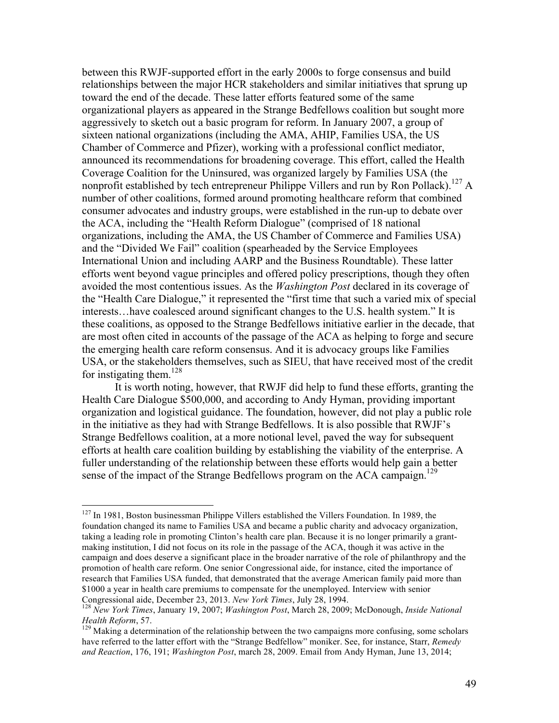between this RWJF-supported effort in the early 2000s to forge consensus and build relationships between the major HCR stakeholders and similar initiatives that sprung up toward the end of the decade. These latter efforts featured some of the same organizational players as appeared in the Strange Bedfellows coalition but sought more aggressively to sketch out a basic program for reform. In January 2007, a group of sixteen national organizations (including the AMA, AHIP, Families USA, the US Chamber of Commerce and Pfizer), working with a professional conflict mediator, announced its recommendations for broadening coverage. This effort, called the Health Coverage Coalition for the Uninsured, was organized largely by Families USA (the nonprofit established by tech entrepreneur Philippe Villers and run by Ron Pollack).<sup>127</sup> A number of other coalitions, formed around promoting healthcare reform that combined consumer advocates and industry groups, were established in the run-up to debate over the ACA, including the "Health Reform Dialogue" (comprised of 18 national organizations, including the AMA, the US Chamber of Commerce and Families USA) and the "Divided We Fail" coalition (spearheaded by the Service Employees International Union and including AARP and the Business Roundtable). These latter efforts went beyond vague principles and offered policy prescriptions, though they often avoided the most contentious issues. As the *Washington Post* declared in its coverage of the "Health Care Dialogue," it represented the "first time that such a varied mix of special interests…have coalesced around significant changes to the U.S. health system." It is these coalitions, as opposed to the Strange Bedfellows initiative earlier in the decade, that are most often cited in accounts of the passage of the ACA as helping to forge and secure the emerging health care reform consensus. And it is advocacy groups like Families USA, or the stakeholders themselves, such as SIEU, that have received most of the credit for instigating them. $128$ 

It is worth noting, however, that RWJF did help to fund these efforts, granting the Health Care Dialogue \$500,000, and according to Andy Hyman, providing important organization and logistical guidance. The foundation, however, did not play a public role in the initiative as they had with Strange Bedfellows. It is also possible that RWJF's Strange Bedfellows coalition, at a more notional level, paved the way for subsequent efforts at health care coalition building by establishing the viability of the enterprise. A fuller understanding of the relationship between these efforts would help gain a better sense of the impact of the Strange Bedfellows program on the ACA campaign.<sup>129</sup>

<sup>&</sup>lt;sup>127</sup> In 1981, Boston businessman Philippe Villers established the Villers Foundation. In 1989, the foundation changed its name to Families USA and became a public charity and advocacy organization, taking a leading role in promoting Clinton's health care plan. Because it is no longer primarily a grantmaking institution, I did not focus on its role in the passage of the ACA, though it was active in the campaign and does deserve a significant place in the broader narrative of the role of philanthropy and the promotion of health care reform. One senior Congressional aide, for instance, cited the importance of research that Families USA funded, that demonstrated that the average American family paid more than \$1000 a year in health care premiums to compensate for the unemployed. Interview with senior Congressional aide, December 23, 2013. New York Times, July 28, 1994.

<sup>&</sup>lt;sup>128</sup> *New York Times*, January 19, 2007; *Washington Post*, March 28, 2009; McDonough, *Inside National Health Reform*, 57.

<sup>&</sup>lt;sup>129</sup> Making a determination of the relationship between the two campaigns more confusing, some scholars have referred to the latter effort with the "Strange Bedfellow" moniker. See, for instance, Starr, *Remedy and Reaction*, 176, 191; *Washington Post*, march 28, 2009. Email from Andy Hyman, June 13, 2014;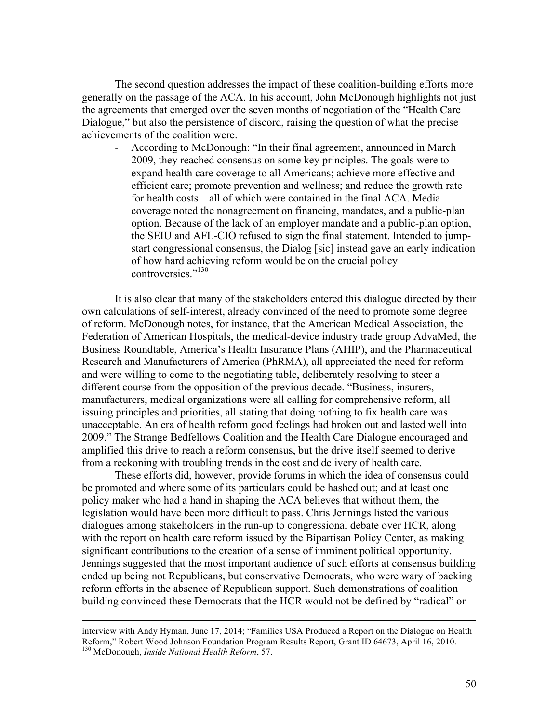The second question addresses the impact of these coalition-building efforts more generally on the passage of the ACA. In his account, John McDonough highlights not just the agreements that emerged over the seven months of negotiation of the "Health Care Dialogue," but also the persistence of discord, raising the question of what the precise achievements of the coalition were.

- According to McDonough: "In their final agreement, announced in March 2009, they reached consensus on some key principles. The goals were to expand health care coverage to all Americans; achieve more effective and efficient care; promote prevention and wellness; and reduce the growth rate for health costs—all of which were contained in the final ACA. Media coverage noted the nonagreement on financing, mandates, and a public-plan option. Because of the lack of an employer mandate and a public-plan option, the SEIU and AFL-CIO refused to sign the final statement. Intended to jumpstart congressional consensus, the Dialog [sic] instead gave an early indication of how hard achieving reform would be on the crucial policy controversies<sup>"130</sup>

It is also clear that many of the stakeholders entered this dialogue directed by their own calculations of self-interest, already convinced of the need to promote some degree of reform. McDonough notes, for instance, that the American Medical Association, the Federation of American Hospitals, the medical-device industry trade group AdvaMed, the Business Roundtable, America's Health Insurance Plans (AHIP), and the Pharmaceutical Research and Manufacturers of America (PhRMA), all appreciated the need for reform and were willing to come to the negotiating table, deliberately resolving to steer a different course from the opposition of the previous decade. "Business, insurers, manufacturers, medical organizations were all calling for comprehensive reform, all issuing principles and priorities, all stating that doing nothing to fix health care was unacceptable. An era of health reform good feelings had broken out and lasted well into 2009." The Strange Bedfellows Coalition and the Health Care Dialogue encouraged and amplified this drive to reach a reform consensus, but the drive itself seemed to derive from a reckoning with troubling trends in the cost and delivery of health care.

These efforts did, however, provide forums in which the idea of consensus could be promoted and where some of its particulars could be hashed out; and at least one policy maker who had a hand in shaping the ACA believes that without them, the legislation would have been more difficult to pass. Chris Jennings listed the various dialogues among stakeholders in the run-up to congressional debate over HCR, along with the report on health care reform issued by the Bipartisan Policy Center, as making significant contributions to the creation of a sense of imminent political opportunity. Jennings suggested that the most important audience of such efforts at consensus building ended up being not Republicans, but conservative Democrats, who were wary of backing reform efforts in the absence of Republican support. Such demonstrations of coalition building convinced these Democrats that the HCR would not be defined by "radical" or

interview with Andy Hyman, June 17, 2014; "Families USA Produced a Report on the Dialogue on Health Reform," Robert Wood Johnson Foundation Program Results Report, Grant ID 64673, April 16, 2010. <sup>130</sup> McDonough, *Inside National Health Reform*, 57.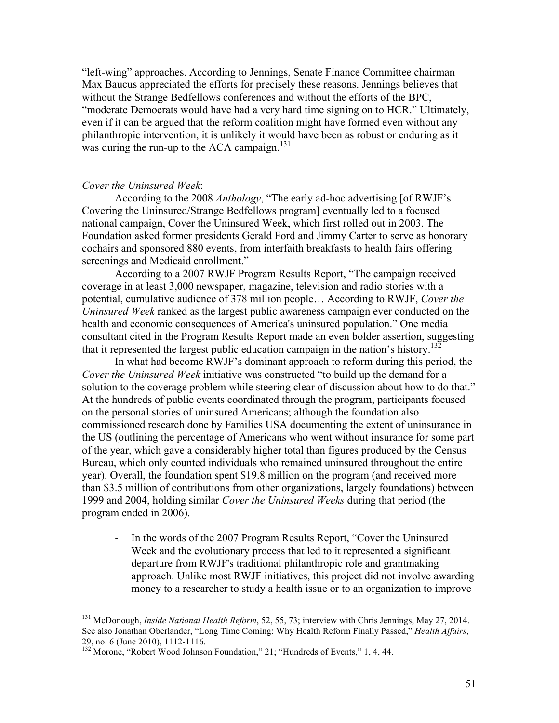"left-wing" approaches. According to Jennings, Senate Finance Committee chairman Max Baucus appreciated the efforts for precisely these reasons. Jennings believes that without the Strange Bedfellows conferences and without the efforts of the BPC, "moderate Democrats would have had a very hard time signing on to HCR." Ultimately, even if it can be argued that the reform coalition might have formed even without any philanthropic intervention, it is unlikely it would have been as robust or enduring as it was during the run-up to the ACA campaign.<sup>131</sup>

### *Cover the Uninsured Week*:

According to the 2008 *Anthology*, "The early ad-hoc advertising [of RWJF's Covering the Uninsured/Strange Bedfellows program] eventually led to a focused national campaign, Cover the Uninsured Week, which first rolled out in 2003. The Foundation asked former presidents Gerald Ford and Jimmy Carter to serve as honorary cochairs and sponsored 880 events, from interfaith breakfasts to health fairs offering screenings and Medicaid enrollment."

According to a 2007 RWJF Program Results Report, "The campaign received coverage in at least 3,000 newspaper, magazine, television and radio stories with a potential, cumulative audience of 378 million people… According to RWJF, *Cover the Uninsured Week* ranked as the largest public awareness campaign ever conducted on the health and economic consequences of America's uninsured population." One media consultant cited in the Program Results Report made an even bolder assertion, suggesting that it represented the largest public education campaign in the nation's history.<sup>132</sup>

In what had become RWJF's dominant approach to reform during this period, the *Cover the Uninsured Week* initiative was constructed "to build up the demand for a solution to the coverage problem while steering clear of discussion about how to do that." At the hundreds of public events coordinated through the program, participants focused on the personal stories of uninsured Americans; although the foundation also commissioned research done by Families USA documenting the extent of uninsurance in the US (outlining the percentage of Americans who went without insurance for some part of the year, which gave a considerably higher total than figures produced by the Census Bureau, which only counted individuals who remained uninsured throughout the entire year). Overall, the foundation spent \$19.8 million on the program (and received more than \$3.5 million of contributions from other organizations, largely foundations) between 1999 and 2004, holding similar *Cover the Uninsured Weeks* during that period (the program ended in 2006).

In the words of the 2007 Program Results Report, "Cover the Uninsured Week and the evolutionary process that led to it represented a significant departure from RWJF's traditional philanthropic role and grantmaking approach. Unlike most RWJF initiatives, this project did not involve awarding money to a researcher to study a health issue or to an organization to improve

 <sup>131</sup> McDonough, *Inside National Health Reform*, 52, 55, 73; interview with Chris Jennings, May 27, 2014. See also Jonathan Oberlander, "Long Time Coming: Why Health Reform Finally Passed," *Health Affairs*, 29, no. 6 (June 2010), 1112-1116.

 $29, \text{no. } 6 \text{ (since } 2010\text{), } 112, \text{ } 1150.$  132 Morone, "Robert Wood Johnson Foundation," 21; "Hundreds of Events," 1, 4, 44.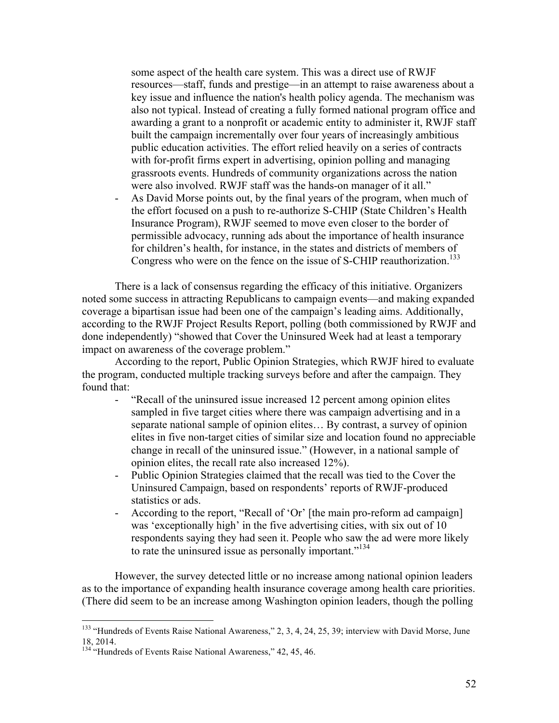some aspect of the health care system. This was a direct use of RWJF resources—staff, funds and prestige—in an attempt to raise awareness about a key issue and influence the nation's health policy agenda. The mechanism was also not typical. Instead of creating a fully formed national program office and awarding a grant to a nonprofit or academic entity to administer it, RWJF staff built the campaign incrementally over four years of increasingly ambitious public education activities. The effort relied heavily on a series of contracts with for-profit firms expert in advertising, opinion polling and managing grassroots events. Hundreds of community organizations across the nation were also involved. RWJF staff was the hands-on manager of it all."

- As David Morse points out, by the final years of the program, when much of the effort focused on a push to re-authorize S-CHIP (State Children's Health Insurance Program), RWJF seemed to move even closer to the border of permissible advocacy, running ads about the importance of health insurance for children's health, for instance, in the states and districts of members of Congress who were on the fence on the issue of S-CHIP reauthorization.<sup>133</sup>

There is a lack of consensus regarding the efficacy of this initiative. Organizers noted some success in attracting Republicans to campaign events—and making expanded coverage a bipartisan issue had been one of the campaign's leading aims. Additionally, according to the RWJF Project Results Report, polling (both commissioned by RWJF and done independently) "showed that Cover the Uninsured Week had at least a temporary impact on awareness of the coverage problem."

According to the report, Public Opinion Strategies, which RWJF hired to evaluate the program, conducted multiple tracking surveys before and after the campaign. They found that:

- "Recall of the uninsured issue increased 12 percent among opinion elites sampled in five target cities where there was campaign advertising and in a separate national sample of opinion elites… By contrast, a survey of opinion elites in five non-target cities of similar size and location found no appreciable change in recall of the uninsured issue." (However, in a national sample of opinion elites, the recall rate also increased 12%).
- Public Opinion Strategies claimed that the recall was tied to the Cover the Uninsured Campaign, based on respondents' reports of RWJF-produced statistics or ads.
- According to the report, "Recall of 'Or' [the main pro-reform ad campaign] was 'exceptionally high' in the five advertising cities, with six out of 10 respondents saying they had seen it. People who saw the ad were more likely to rate the uninsured issue as personally important." 134

However, the survey detected little or no increase among national opinion leaders as to the importance of expanding health insurance coverage among health care priorities. (There did seem to be an increase among Washington opinion leaders, though the polling

<sup>&</sup>lt;sup>133</sup> "Hundreds of Events Raise National Awareness," 2, 3, 4, 24, 25, 39; interview with David Morse, June 18, 2014.

<sup>&</sup>lt;sup>134</sup> "Hundreds of Events Raise National Awareness," 42, 45, 46.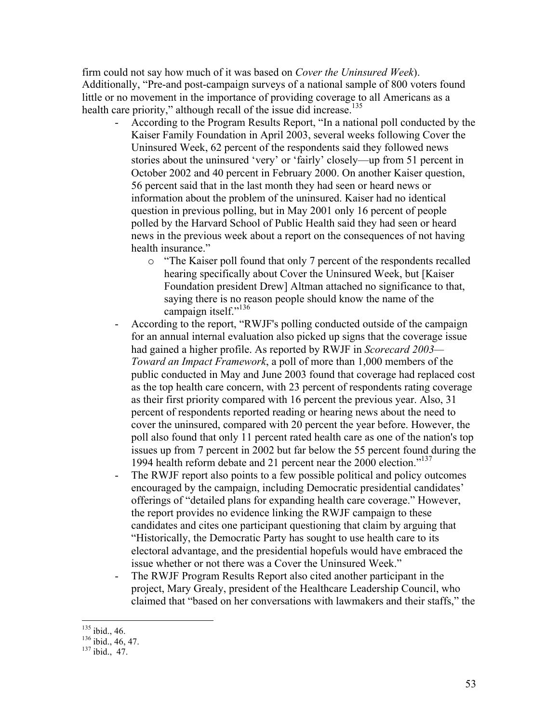firm could not say how much of it was based on *Cover the Uninsured Week*). Additionally, "Pre-and post-campaign surveys of a national sample of 800 voters found little or no movement in the importance of providing coverage to all Americans as a health care priority," although recall of the issue did increase.<sup>135</sup>

- According to the Program Results Report, "In a national poll conducted by the Kaiser Family Foundation in April 2003, several weeks following Cover the Uninsured Week, 62 percent of the respondents said they followed news stories about the uninsured 'very' or 'fairly' closely—up from 51 percent in October 2002 and 40 percent in February 2000. On another Kaiser question, 56 percent said that in the last month they had seen or heard news or information about the problem of the uninsured. Kaiser had no identical question in previous polling, but in May 2001 only 16 percent of people polled by the Harvard School of Public Health said they had seen or heard news in the previous week about a report on the consequences of not having health insurance."
	- o "The Kaiser poll found that only 7 percent of the respondents recalled hearing specifically about Cover the Uninsured Week, but [Kaiser Foundation president Drew] Altman attached no significance to that, saying there is no reason people should know the name of the campaign itself."<sup>136</sup>
- According to the report, "RWJF's polling conducted outside of the campaign for an annual internal evaluation also picked up signs that the coverage issue had gained a higher profile. As reported by RWJF in *Scorecard 2003— Toward an Impact Framework*, a poll of more than 1,000 members of the public conducted in May and June 2003 found that coverage had replaced cost as the top health care concern, with 23 percent of respondents rating coverage as their first priority compared with 16 percent the previous year. Also, 31 percent of respondents reported reading or hearing news about the need to cover the uninsured, compared with 20 percent the year before. However, the poll also found that only 11 percent rated health care as one of the nation's top issues up from 7 percent in 2002 but far below the 55 percent found during the 1994 health reform debate and 21 percent near the 2000 election."137
- The RWJF report also points to a few possible political and policy outcomes encouraged by the campaign, including Democratic presidential candidates' offerings of "detailed plans for expanding health care coverage." However, the report provides no evidence linking the RWJF campaign to these candidates and cites one participant questioning that claim by arguing that "Historically, the Democratic Party has sought to use health care to its electoral advantage, and the presidential hopefuls would have embraced the issue whether or not there was a Cover the Uninsured Week."
- The RWJF Program Results Report also cited another participant in the project, Mary Grealy, president of the Healthcare Leadership Council, who claimed that "based on her conversations with lawmakers and their staffs," the

 $^{135}$  ibid., 46.<br> $^{136}$  ibid., 46, 47.<br> $^{137}$  ibid., 47.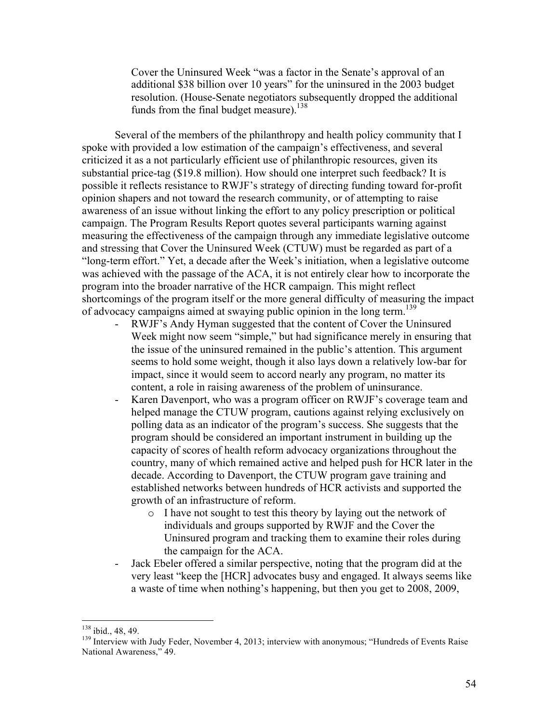Cover the Uninsured Week "was a factor in the Senate's approval of an additional \$38 billion over 10 years" for the uninsured in the 2003 budget resolution. (House-Senate negotiators subsequently dropped the additional funds from the final budget measure).<sup>138</sup>

Several of the members of the philanthropy and health policy community that I spoke with provided a low estimation of the campaign's effectiveness, and several criticized it as a not particularly efficient use of philanthropic resources, given its substantial price-tag (\$19.8 million). How should one interpret such feedback? It is possible it reflects resistance to RWJF's strategy of directing funding toward for-profit opinion shapers and not toward the research community, or of attempting to raise awareness of an issue without linking the effort to any policy prescription or political campaign. The Program Results Report quotes several participants warning against measuring the effectiveness of the campaign through any immediate legislative outcome and stressing that Cover the Uninsured Week (CTUW) must be regarded as part of a "long-term effort." Yet, a decade after the Week's initiation, when a legislative outcome was achieved with the passage of the ACA, it is not entirely clear how to incorporate the program into the broader narrative of the HCR campaign. This might reflect shortcomings of the program itself or the more general difficulty of measuring the impact of advocacy campaigns aimed at swaying public opinion in the long term.<sup>139</sup>

- RWJF's Andy Hyman suggested that the content of Cover the Uninsured Week might now seem "simple," but had significance merely in ensuring that the issue of the uninsured remained in the public's attention. This argument seems to hold some weight, though it also lays down a relatively low-bar for impact, since it would seem to accord nearly any program, no matter its content, a role in raising awareness of the problem of uninsurance.
- Karen Davenport, who was a program officer on RWJF's coverage team and helped manage the CTUW program, cautions against relying exclusively on polling data as an indicator of the program's success. She suggests that the program should be considered an important instrument in building up the capacity of scores of health reform advocacy organizations throughout the country, many of which remained active and helped push for HCR later in the decade. According to Davenport, the CTUW program gave training and established networks between hundreds of HCR activists and supported the growth of an infrastructure of reform.
	- o I have not sought to test this theory by laying out the network of individuals and groups supported by RWJF and the Cover the Uninsured program and tracking them to examine their roles during the campaign for the ACA.
- Jack Ebeler offered a similar perspective, noting that the program did at the very least "keep the [HCR] advocates busy and engaged. It always seems like a waste of time when nothing's happening, but then you get to 2008, 2009,

<sup>&</sup>lt;sup>138</sup> ibid., 48, 49.<br><sup>139</sup> Interview with Judy Feder, November 4, 2013; interview with anonymous; "Hundreds of Events Raise National Awareness," 49.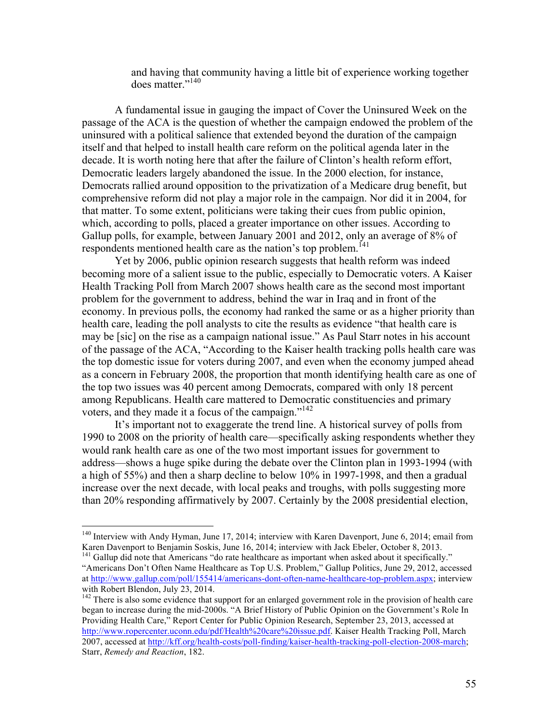and having that community having a little bit of experience working together does matter."140

A fundamental issue in gauging the impact of Cover the Uninsured Week on the passage of the ACA is the question of whether the campaign endowed the problem of the uninsured with a political salience that extended beyond the duration of the campaign itself and that helped to install health care reform on the political agenda later in the decade. It is worth noting here that after the failure of Clinton's health reform effort, Democratic leaders largely abandoned the issue. In the 2000 election, for instance, Democrats rallied around opposition to the privatization of a Medicare drug benefit, but comprehensive reform did not play a major role in the campaign. Nor did it in 2004, for that matter. To some extent, politicians were taking their cues from public opinion, which, according to polls, placed a greater importance on other issues. According to Gallup polls, for example, between January 2001 and 2012, only an average of 8% of respondents mentioned health care as the nation's top problem. 141

Yet by 2006, public opinion research suggests that health reform was indeed becoming more of a salient issue to the public, especially to Democratic voters. A Kaiser Health Tracking Poll from March 2007 shows health care as the second most important problem for the government to address, behind the war in Iraq and in front of the economy. In previous polls, the economy had ranked the same or as a higher priority than health care, leading the poll analysts to cite the results as evidence "that health care is may be [sic] on the rise as a campaign national issue." As Paul Starr notes in his account of the passage of the ACA, "According to the Kaiser health tracking polls health care was the top domestic issue for voters during 2007, and even when the economy jumped ahead as a concern in February 2008, the proportion that month identifying health care as one of the top two issues was 40 percent among Democrats, compared with only 18 percent among Republicans. Health care mattered to Democratic constituencies and primary voters, and they made it a focus of the campaign."<sup>142</sup>

It's important not to exaggerate the trend line. A historical survey of polls from 1990 to 2008 on the priority of health care—specifically asking respondents whether they would rank health care as one of the two most important issues for government to address—shows a huge spike during the debate over the Clinton plan in 1993-1994 (with a high of 55%) and then a sharp decline to below 10% in 1997-1998, and then a gradual increase over the next decade, with local peaks and troughs, with polls suggesting more than 20% responding affirmatively by 2007. Certainly by the 2008 presidential election,

 <sup>140</sup> Interview with Andy Hyman, June 17, 2014; interview with Karen Davenport, June 6, 2014; email from Karen Davenport to Benjamin Soskis, June 16, 2014; interview with Jack Ebeler, October 8, 2013.

<sup>&</sup>lt;sup>141</sup> Gallup did note that Americans "do rate healthcare as important when asked about it specifically." "Americans Don't Often Name Healthcare as Top U.S. Problem," Gallup Politics, June 29, 2012, accessed at http://www.gallup.com/poll/155414/americans-dont-often-name-healthcare-top-problem.aspx; interview with Robert Blendon, July 23, 2014.

<sup>&</sup>lt;sup>142</sup> There is also some evidence that support for an enlarged government role in the provision of health care began to increase during the mid-2000s. "A Brief History of Public Opinion on the Government's Role In Providing Health Care," Report Center for Public Opinion Research, September 23, 2013, accessed at http://www.ropercenter.uconn.edu/pdf/Health%20care%20issue.pdf. Kaiser Health Tracking Poll, March 2007, accessed at http://kff.org/health-costs/poll-finding/kaiser-health-tracking-poll-election-2008-march; Starr, *Remedy and Reaction*, 182.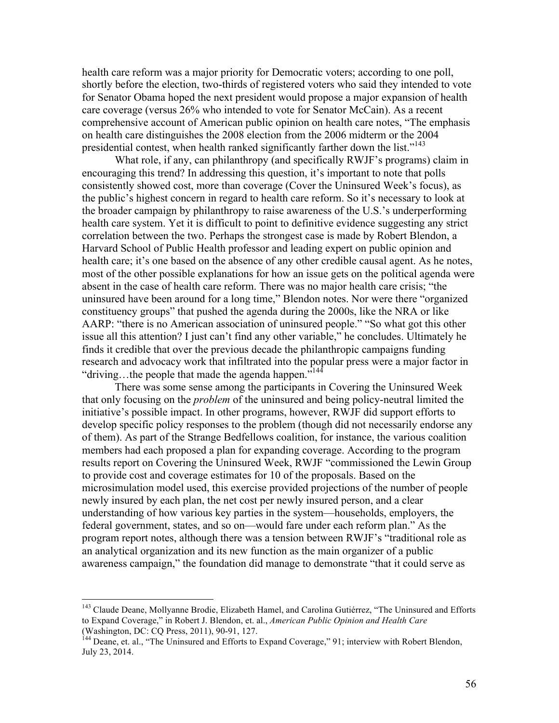health care reform was a major priority for Democratic voters; according to one poll, shortly before the election, two-thirds of registered voters who said they intended to vote for Senator Obama hoped the next president would propose a major expansion of health care coverage (versus 26% who intended to vote for Senator McCain). As a recent comprehensive account of American public opinion on health care notes, "The emphasis on health care distinguishes the 2008 election from the 2006 midterm or the 2004 presidential contest, when health ranked significantly farther down the list."<sup>143</sup>

What role, if any, can philanthropy (and specifically RWJF's programs) claim in encouraging this trend? In addressing this question, it's important to note that polls consistently showed cost, more than coverage (Cover the Uninsured Week's focus), as the public's highest concern in regard to health care reform. So it's necessary to look at the broader campaign by philanthropy to raise awareness of the U.S.'s underperforming health care system. Yet it is difficult to point to definitive evidence suggesting any strict correlation between the two. Perhaps the strongest case is made by Robert Blendon, a Harvard School of Public Health professor and leading expert on public opinion and health care; it's one based on the absence of any other credible causal agent. As he notes, most of the other possible explanations for how an issue gets on the political agenda were absent in the case of health care reform. There was no major health care crisis; "the uninsured have been around for a long time," Blendon notes. Nor were there "organized constituency groups" that pushed the agenda during the 2000s, like the NRA or like AARP: "there is no American association of uninsured people." "So what got this other issue all this attention? I just can't find any other variable," he concludes. Ultimately he finds it credible that over the previous decade the philanthropic campaigns funding research and advocacy work that infiltrated into the popular press were a major factor in "driving...the people that made the agenda happen."<sup>144</sup>

There was some sense among the participants in Covering the Uninsured Week that only focusing on the *problem* of the uninsured and being policy-neutral limited the initiative's possible impact. In other programs, however, RWJF did support efforts to develop specific policy responses to the problem (though did not necessarily endorse any of them). As part of the Strange Bedfellows coalition, for instance, the various coalition members had each proposed a plan for expanding coverage. According to the program results report on Covering the Uninsured Week, RWJF "commissioned the Lewin Group to provide cost and coverage estimates for 10 of the proposals. Based on the microsimulation model used, this exercise provided projections of the number of people newly insured by each plan, the net cost per newly insured person, and a clear understanding of how various key parties in the system—households, employers, the federal government, states, and so on—would fare under each reform plan." As the program report notes, although there was a tension between RWJF's "traditional role as an analytical organization and its new function as the main organizer of a public awareness campaign," the foundation did manage to demonstrate "that it could serve as

<sup>&</sup>lt;sup>143</sup> Claude Deane, Mollyanne Brodie, Elizabeth Hamel, and Carolina Gutiérrez, "The Uninsured and Efforts to Expand Coverage," in Robert J. Blendon, et. al., *American Public Opinion and Health Care*  (Washington, DC: CQ Press, 2011), 90-91, 127.<br><sup>144</sup> Deane, et. al., "The Uninsured and Efforts to Expand Coverage," 91; interview with Robert Blendon,

July 23, 2014.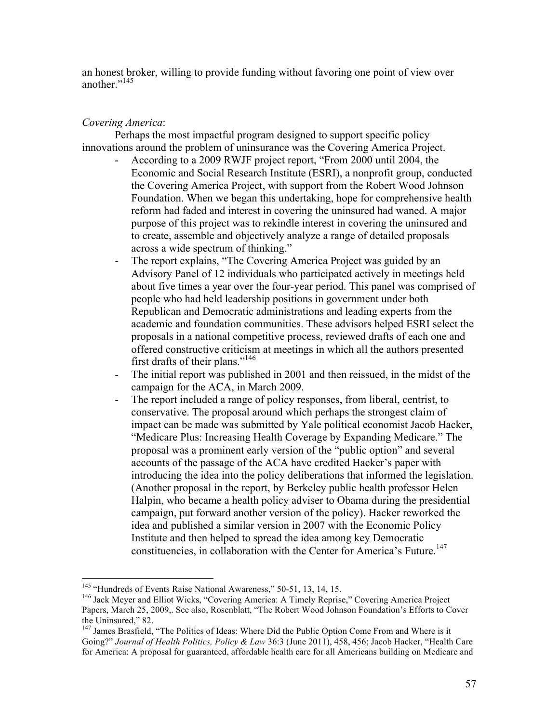an honest broker, willing to provide funding without favoring one point of view over another."<sup>145</sup>

# *Covering America*:

Perhaps the most impactful program designed to support specific policy innovations around the problem of uninsurance was the Covering America Project.

- According to a 2009 RWJF project report, "From 2000 until 2004, the Economic and Social Research Institute (ESRI), a nonprofit group, conducted the Covering America Project, with support from the Robert Wood Johnson Foundation. When we began this undertaking, hope for comprehensive health reform had faded and interest in covering the uninsured had waned. A major purpose of this project was to rekindle interest in covering the uninsured and to create, assemble and objectively analyze a range of detailed proposals across a wide spectrum of thinking."
- The report explains, "The Covering America Project was guided by an Advisory Panel of 12 individuals who participated actively in meetings held about five times a year over the four-year period. This panel was comprised of people who had held leadership positions in government under both Republican and Democratic administrations and leading experts from the academic and foundation communities. These advisors helped ESRI select the proposals in a national competitive process, reviewed drafts of each one and offered constructive criticism at meetings in which all the authors presented first drafts of their plans." 146
- The initial report was published in 2001 and then reissued, in the midst of the campaign for the ACA, in March 2009.
- The report included a range of policy responses, from liberal, centrist, to conservative. The proposal around which perhaps the strongest claim of impact can be made was submitted by Yale political economist Jacob Hacker, "Medicare Plus: Increasing Health Coverage by Expanding Medicare." The proposal was a prominent early version of the "public option" and several accounts of the passage of the ACA have credited Hacker's paper with introducing the idea into the policy deliberations that informed the legislation. (Another proposal in the report, by Berkeley public health professor Helen Halpin, who became a health policy adviser to Obama during the presidential campaign, put forward another version of the policy). Hacker reworked the idea and published a similar version in 2007 with the Economic Policy Institute and then helped to spread the idea among key Democratic constituencies, in collaboration with the Center for America's Future.<sup>147</sup>

<sup>&</sup>lt;sup>145</sup> "Hundreds of Events Raise National Awareness," 50-51, 13, 14, 15.<br><sup>146</sup> Jack Meyer and Elliot Wicks, "Covering America: A Timely Reprise," Covering America Project Papers, March 25, 2009,. See also, Rosenblatt, "The Robert Wood Johnson Foundation's Efforts to Cover the Uninsured," 82.<br><sup>147</sup> James Brasfield, "The Politics of Ideas: Where Did the Public Option Come From and Where is it

Going?" *Journal of Health Politics, Policy & Law* 36:3 (June 2011), 458, 456; Jacob Hacker, "Health Care for America: A proposal for guaranteed, affordable health care for all Americans building on Medicare and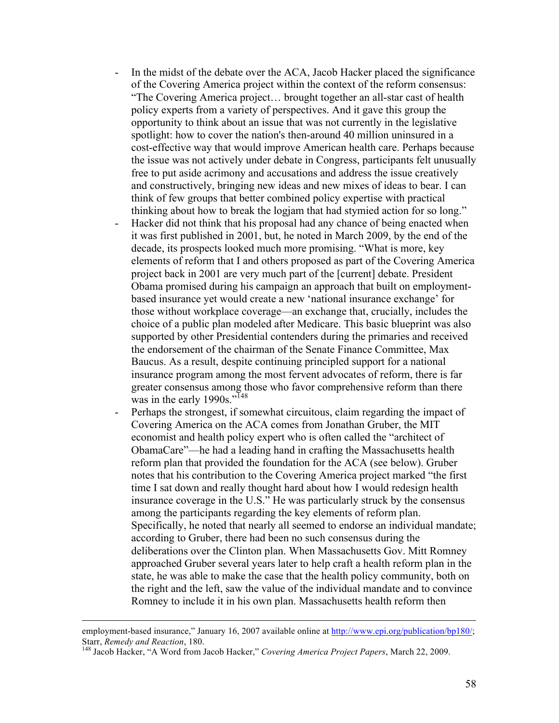- In the midst of the debate over the ACA, Jacob Hacker placed the significance of the Covering America project within the context of the reform consensus: "The Covering America project… brought together an all-star cast of health policy experts from a variety of perspectives. And it gave this group the opportunity to think about an issue that was not currently in the legislative spotlight: how to cover the nation's then-around 40 million uninsured in a cost-effective way that would improve American health care. Perhaps because the issue was not actively under debate in Congress, participants felt unusually free to put aside acrimony and accusations and address the issue creatively and constructively, bringing new ideas and new mixes of ideas to bear. I can think of few groups that better combined policy expertise with practical thinking about how to break the logjam that had stymied action for so long."
- Hacker did not think that his proposal had any chance of being enacted when it was first published in 2001, but, he noted in March 2009, by the end of the decade, its prospects looked much more promising. "What is more, key elements of reform that I and others proposed as part of the Covering America project back in 2001 are very much part of the [current] debate. President Obama promised during his campaign an approach that built on employmentbased insurance yet would create a new 'national insurance exchange' for those without workplace coverage—an exchange that, crucially, includes the choice of a public plan modeled after Medicare. This basic blueprint was also supported by other Presidential contenders during the primaries and received the endorsement of the chairman of the Senate Finance Committee, Max Baucus. As a result, despite continuing principled support for a national insurance program among the most fervent advocates of reform, there is far greater consensus among those who favor comprehensive reform than there was in the early 1990s."<sup>148</sup>
- Perhaps the strongest, if somewhat circuitous, claim regarding the impact of Covering America on the ACA comes from Jonathan Gruber, the MIT economist and health policy expert who is often called the "architect of ObamaCare"—he had a leading hand in crafting the Massachusetts health reform plan that provided the foundation for the ACA (see below). Gruber notes that his contribution to the Covering America project marked "the first time I sat down and really thought hard about how I would redesign health insurance coverage in the U.S." He was particularly struck by the consensus among the participants regarding the key elements of reform plan. Specifically, he noted that nearly all seemed to endorse an individual mandate; according to Gruber, there had been no such consensus during the deliberations over the Clinton plan. When Massachusetts Gov. Mitt Romney approached Gruber several years later to help craft a health reform plan in the state, he was able to make the case that the health policy community, both on the right and the left, saw the value of the individual mandate and to convince Romney to include it in his own plan. Massachusetts health reform then

employment-based insurance," January 16, 2007 available online at http://www.epi.org/publication/bp180/; Starr, *Remedy and Reaction*, 180.<br><sup>148</sup> Jacob Hacker, "A Word from Jacob Hacker," *Covering America Project Papers*, March 22, 2009.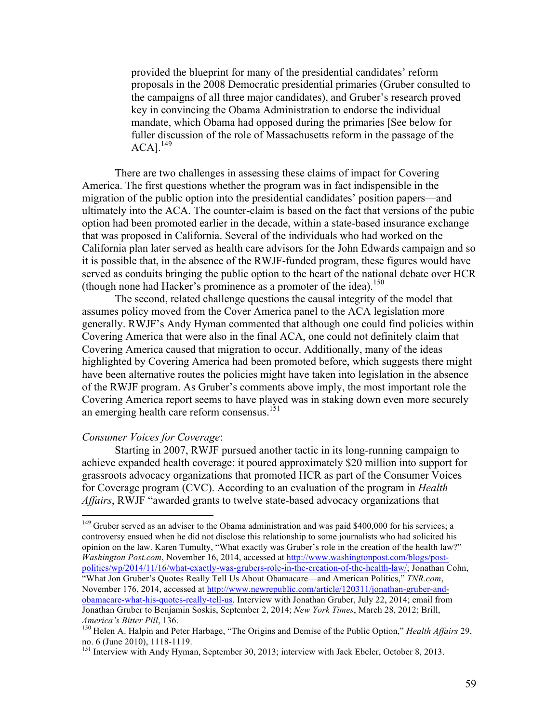provided the blueprint for many of the presidential candidates' reform proposals in the 2008 Democratic presidential primaries (Gruber consulted to the campaigns of all three major candidates), and Gruber's research proved key in convincing the Obama Administration to endorse the individual mandate, which Obama had opposed during the primaries [See below for fuller discussion of the role of Massachusetts reform in the passage of the  $ACA$ ].<sup>149</sup>

There are two challenges in assessing these claims of impact for Covering America. The first questions whether the program was in fact indispensible in the migration of the public option into the presidential candidates' position papers—and ultimately into the ACA. The counter-claim is based on the fact that versions of the pubic option had been promoted earlier in the decade, within a state-based insurance exchange that was proposed in California. Several of the individuals who had worked on the California plan later served as health care advisors for the John Edwards campaign and so it is possible that, in the absence of the RWJF-funded program, these figures would have served as conduits bringing the public option to the heart of the national debate over HCR (though none had Hacker's prominence as a promoter of the idea). 150

The second, related challenge questions the causal integrity of the model that assumes policy moved from the Cover America panel to the ACA legislation more generally. RWJF's Andy Hyman commented that although one could find policies within Covering America that were also in the final ACA, one could not definitely claim that Covering America caused that migration to occur. Additionally, many of the ideas highlighted by Covering America had been promoted before, which suggests there might have been alternative routes the policies might have taken into legislation in the absence of the RWJF program. As Gruber's comments above imply, the most important role the Covering America report seems to have played was in staking down even more securely an emerging health care reform consensus.<sup>151</sup>

# *Consumer Voices for Coverage*:

Starting in 2007, RWJF pursued another tactic in its long-running campaign to achieve expanded health coverage: it poured approximately \$20 million into support for grassroots advocacy organizations that promoted HCR as part of the Consumer Voices for Coverage program (CVC). According to an evaluation of the program in *Health Affairs*, RWJF "awarded grants to twelve state-based advocacy organizations that

<sup>&</sup>lt;sup>149</sup> Gruber served as an adviser to the Obama administration and was paid \$400,000 for his services; a controversy ensued when he did not disclose this relationship to some journalists who had solicited his opinion on the law. Karen Tumulty, "What exactly was Gruber's role in the creation of the health law?" *Washington Post.com*, November 16, 2014, accessed at http://www.washingtonpost.com/blogs/postpolitics/wp/2014/11/16/what-exactly-was-grubers-role-in-the-creation-of-the-health-law/; Jonathan Cohn, "What Jon Gruber's Quotes Really Tell Us About Obamacare—and American Politics," *TNR.com*, November 176, 2014, accessed at http://www.newrepublic.com/article/120311/jonathan-gruber-andobamacare-what-his-quotes-really-tell-us. Interview with Jonathan Gruber, July 22, 2014; email from Jonathan Gruber to Benjamin Soskis, September 2, 2014; *New York Times*, March 28, 2012; Brill,

*America's Bitter Pill*, 136.<br><sup>150</sup> Helen A. Halpin and Peter Harbage, "The Origins and Demise of the Public Option," *Health Affairs* 29,<br>no. 6 (June 2010), 1118-1119.

<sup>&</sup>lt;sup>151</sup> Interview with Andy Hyman, September 30, 2013; interview with Jack Ebeler, October 8, 2013.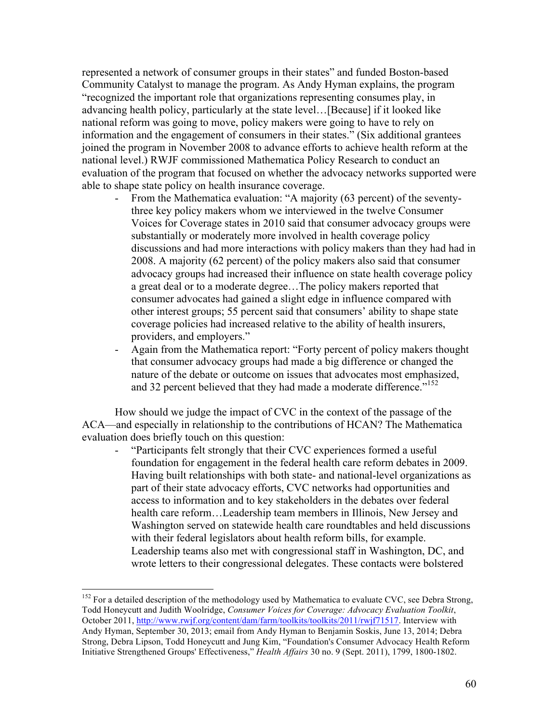represented a network of consumer groups in their states" and funded Boston-based Community Catalyst to manage the program. As Andy Hyman explains, the program "recognized the important role that organizations representing consumes play, in advancing health policy, particularly at the state level…[Because] if it looked like national reform was going to move, policy makers were going to have to rely on information and the engagement of consumers in their states." (Six additional grantees joined the program in November 2008 to advance efforts to achieve health reform at the national level.) RWJF commissioned Mathematica Policy Research to conduct an evaluation of the program that focused on whether the advocacy networks supported were able to shape state policy on health insurance coverage.

- From the Mathematica evaluation: "A majority (63 percent) of the seventythree key policy makers whom we interviewed in the twelve Consumer Voices for Coverage states in 2010 said that consumer advocacy groups were substantially or moderately more involved in health coverage policy discussions and had more interactions with policy makers than they had had in 2008. A majority (62 percent) of the policy makers also said that consumer advocacy groups had increased their influence on state health coverage policy a great deal or to a moderate degree…The policy makers reported that consumer advocates had gained a slight edge in influence compared with other interest groups; 55 percent said that consumers' ability to shape state coverage policies had increased relative to the ability of health insurers, providers, and employers."
- Again from the Mathematica report: "Forty percent of policy makers thought that consumer advocacy groups had made a big difference or changed the nature of the debate or outcome on issues that advocates most emphasized, and 32 percent believed that they had made a moderate difference."<sup>152</sup>

How should we judge the impact of CVC in the context of the passage of the ACA—and especially in relationship to the contributions of HCAN? The Mathematica evaluation does briefly touch on this question:

"Participants felt strongly that their CVC experiences formed a useful foundation for engagement in the federal health care reform debates in 2009. Having built relationships with both state- and national-level organizations as part of their state advocacy efforts, CVC networks had opportunities and access to information and to key stakeholders in the debates over federal health care reform…Leadership team members in Illinois, New Jersey and Washington served on statewide health care roundtables and held discussions with their federal legislators about health reform bills, for example. Leadership teams also met with congressional staff in Washington, DC, and wrote letters to their congressional delegates. These contacts were bolstered

<sup>&</sup>lt;sup>152</sup> For a detailed description of the methodology used by Mathematica to evaluate CVC, see Debra Strong, Todd Honeycutt and Judith Woolridge, *Consumer Voices for Coverage: Advocacy Evaluation Toolkit*, October 2011, http://www.rwjf.org/content/dam/farm/toolkits/toolkits/2011/rwjf71517. Interview with Andy Hyman, September 30, 2013; email from Andy Hyman to Benjamin Soskis, June 13, 2014; Debra Strong, Debra Lipson, Todd Honeycutt and Jung Kim, "Foundation's Consumer Advocacy Health Reform Initiative Strengthened Groups' Effectiveness," *Health Affairs* 30 no. 9 (Sept. 2011), 1799, 1800-1802.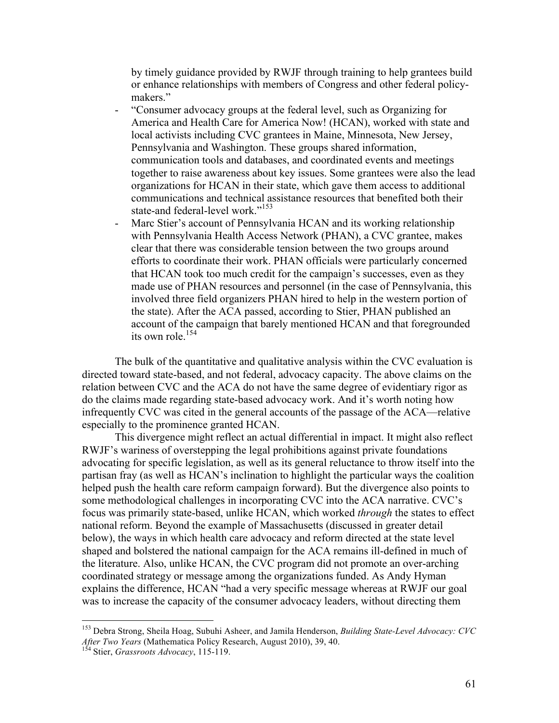by timely guidance provided by RWJF through training to help grantees build or enhance relationships with members of Congress and other federal policymakers."

- "Consumer advocacy groups at the federal level, such as Organizing for America and Health Care for America Now! (HCAN), worked with state and local activists including CVC grantees in Maine, Minnesota, New Jersey, Pennsylvania and Washington. These groups shared information, communication tools and databases, and coordinated events and meetings together to raise awareness about key issues. Some grantees were also the lead organizations for HCAN in their state, which gave them access to additional communications and technical assistance resources that benefited both their state-and federal-level work."<sup>153</sup>
- Marc Stier's account of Pennsylvania HCAN and its working relationship with Pennsylvania Health Access Network (PHAN), a CVC grantee, makes clear that there was considerable tension between the two groups around efforts to coordinate their work. PHAN officials were particularly concerned that HCAN took too much credit for the campaign's successes, even as they made use of PHAN resources and personnel (in the case of Pennsylvania, this involved three field organizers PHAN hired to help in the western portion of the state). After the ACA passed, according to Stier, PHAN published an account of the campaign that barely mentioned HCAN and that foregrounded its own role.<sup>154</sup>

The bulk of the quantitative and qualitative analysis within the CVC evaluation is directed toward state-based, and not federal, advocacy capacity. The above claims on the relation between CVC and the ACA do not have the same degree of evidentiary rigor as do the claims made regarding state-based advocacy work. And it's worth noting how infrequently CVC was cited in the general accounts of the passage of the ACA—relative especially to the prominence granted HCAN.

This divergence might reflect an actual differential in impact. It might also reflect RWJF's wariness of overstepping the legal prohibitions against private foundations advocating for specific legislation, as well as its general reluctance to throw itself into the partisan fray (as well as HCAN's inclination to highlight the particular ways the coalition helped push the health care reform campaign forward). But the divergence also points to some methodological challenges in incorporating CVC into the ACA narrative. CVC's focus was primarily state-based, unlike HCAN, which worked *through* the states to effect national reform. Beyond the example of Massachusetts (discussed in greater detail below), the ways in which health care advocacy and reform directed at the state level shaped and bolstered the national campaign for the ACA remains ill-defined in much of the literature. Also, unlike HCAN, the CVC program did not promote an over-arching coordinated strategy or message among the organizations funded. As Andy Hyman explains the difference, HCAN "had a very specific message whereas at RWJF our goal was to increase the capacity of the consumer advocacy leaders, without directing them

 <sup>153</sup> Debra Strong, Sheila Hoag, Subuhi Asheer, and Jamila Henderson, *Building State-Level Advocacy: CVC After Two Years* (Mathematica Policy Research, August 2010), 39, 40. <sup>154</sup> Stier, *Grassroots Advocacy*, 115-119.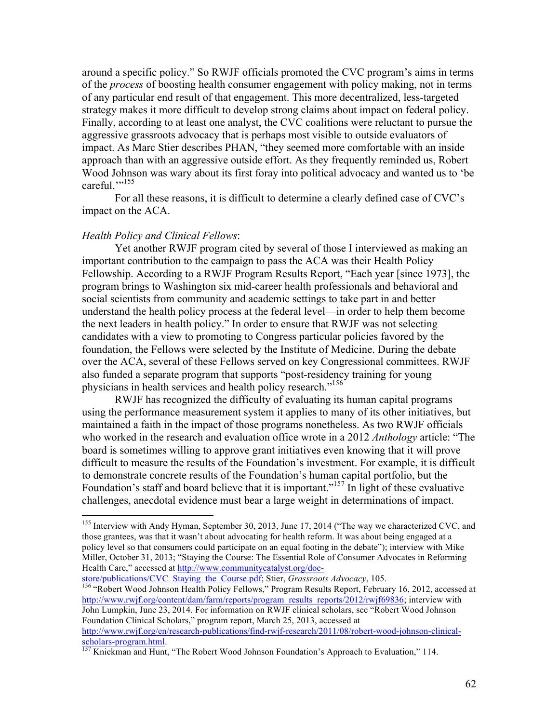around a specific policy." So RWJF officials promoted the CVC program's aims in terms of the *process* of boosting health consumer engagement with policy making, not in terms of any particular end result of that engagement. This more decentralized, less-targeted strategy makes it more difficult to develop strong claims about impact on federal policy. Finally, according to at least one analyst, the CVC coalitions were reluctant to pursue the aggressive grassroots advocacy that is perhaps most visible to outside evaluators of impact. As Marc Stier describes PHAN, "they seemed more comfortable with an inside approach than with an aggressive outside effort. As they frequently reminded us, Robert Wood Johnson was wary about its first foray into political advocacy and wanted us to 'be careful."<sup>155</sup>

For all these reasons, it is difficult to determine a clearly defined case of CVC's impact on the ACA.

# *Health Policy and Clinical Fellows*:

Yet another RWJF program cited by several of those I interviewed as making an important contribution to the campaign to pass the ACA was their Health Policy Fellowship. According to a RWJF Program Results Report, "Each year [since 1973], the program brings to Washington six mid-career health professionals and behavioral and social scientists from community and academic settings to take part in and better understand the health policy process at the federal level—in order to help them become the next leaders in health policy." In order to ensure that RWJF was not selecting candidates with a view to promoting to Congress particular policies favored by the foundation, the Fellows were selected by the Institute of Medicine. During the debate over the ACA, several of these Fellows served on key Congressional committees. RWJF also funded a separate program that supports "post-residency training for young physicians in health services and health policy research."<sup>156</sup>

RWJF has recognized the difficulty of evaluating its human capital programs using the performance measurement system it applies to many of its other initiatives, but maintained a faith in the impact of those programs nonetheless. As two RWJF officials who worked in the research and evaluation office wrote in a 2012 *Anthology* article: "The board is sometimes willing to approve grant initiatives even knowing that it will prove difficult to measure the results of the Foundation's investment. For example, it is difficult to demonstrate concrete results of the Foundation's human capital portfolio, but the Foundation's staff and board believe that it is important."<sup>157</sup> In light of these evaluative challenges, anecdotal evidence must bear a large weight in determinations of impact.

<sup>&</sup>lt;sup>155</sup> Interview with Andy Hyman, September 30, 2013, June 17, 2014 ("The way we characterized CVC, and those grantees, was that it wasn't about advocating for health reform. It was about being engaged at a policy level so that consumers could participate on an equal footing in the debate"); interview with Mike Miller, October 31, 2013; "Staying the Course: The Essential Role of Consumer Advocates in Reforming Health Care," accessed at http://www.communitycatalyst.org/doc-<br>store/publications/CVC Staving the Course.pdf; Stier, *Grassroots Advocacy*, 105.

store/publications/CVC\_Staying\_the\_Course.pdf; Stier, *Grassroots Advocacy*, 105. <sup>156</sup> "Robert Wood Johnson Health Policy Fellows," Program Results Report, February 16, 2012, accessed at http://www.rwjf.org/content/dam/farm/reports/program\_results\_reports/2012/rwjf69836; interview with John Lumpkin, June 23, 2014. For information on RWJF clinical scholars, see "Robert Wood Johnson Foundation Clinical Scholars," program report, March 25, 2013, accessed at http://www.rwjf.org/en/research-publications/find-rwjf-research/2011/08/robert-wood-johnson-clinicalscholars-program.html.<br>
<sup>157</sup> Knickman and Hunt, "The Robert Wood Johnson Foundation's Approach to Evaluation," 114.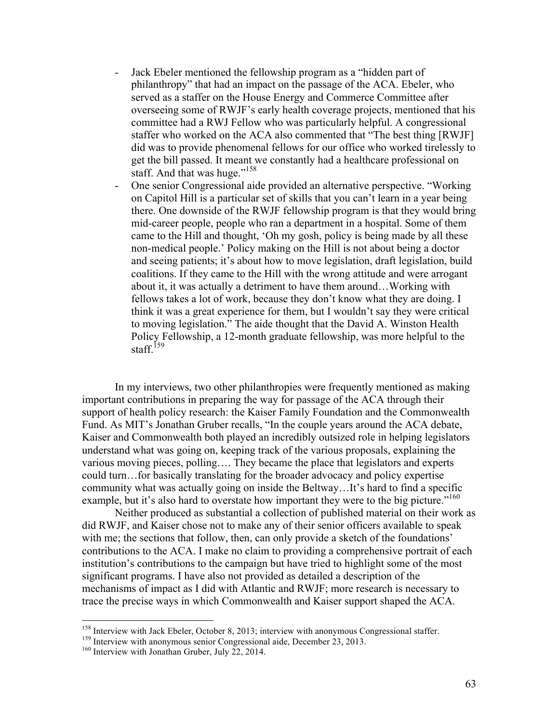- Jack Ebeler mentioned the fellowship program as a "hidden part of philanthropy" that had an impact on the passage of the ACA. Ebeler, who served as a staffer on the House Energy and Commerce Committee after overseeing some of RWJF's early health coverage projects, mentioned that his committee had a RWJ Fellow who was particularly helpful. A congressional staffer who worked on the ACA also commented that "The best thing [RWJF] did was to provide phenomenal fellows for our office who worked tirelessly to get the bill passed. It meant we constantly had a healthcare professional on staff. And that was huge."<sup>158</sup>
- One senior Congressional aide provided an alternative perspective. "Working on Capitol Hill is a particular set of skills that you can't learn in a year being there. One downside of the RWJF fellowship program is that they would bring mid-career people, people who ran a department in a hospital. Some of them came to the Hill and thought, 'Oh my gosh, policy is being made by all these non-medical people.' Policy making on the Hill is not about being a doctor and seeing patients; it's about how to move legislation, draft legislation, build coalitions. If they came to the Hill with the wrong attitude and were arrogant about it, it was actually a detriment to have them around…Working with fellows takes a lot of work, because they don't know what they are doing. I think it was a great experience for them, but I wouldn't say they were critical to moving legislation." The aide thought that the David A. Winston Health Policy Fellowship, a 12-month graduate fellowship, was more helpful to the staff<sup> $159$ </sup>

In my interviews, two other philanthropies were frequently mentioned as making important contributions in preparing the way for passage of the ACA through their support of health policy research: the Kaiser Family Foundation and the Commonwealth Fund. As MIT's Jonathan Gruber recalls, "In the couple years around the ACA debate, Kaiser and Commonwealth both played an incredibly outsized role in helping legislators understand what was going on, keeping track of the various proposals, explaining the various moving pieces, polling…. They became the place that legislators and experts could turn…for basically translating for the broader advocacy and policy expertise community what was actually going on inside the Beltway…It's hard to find a specific example, but it's also hard to overstate how important they were to the big picture."<sup>160</sup>

Neither produced as substantial a collection of published material on their work as did RWJF, and Kaiser chose not to make any of their senior officers available to speak with me; the sections that follow, then, can only provide a sketch of the foundations' contributions to the ACA. I make no claim to providing a comprehensive portrait of each institution's contributions to the campaign but have tried to highlight some of the most significant programs. I have also not provided as detailed a description of the mechanisms of impact as I did with Atlantic and RWJF; more research is necessary to trace the precise ways in which Commonwealth and Kaiser support shaped the ACA.

<sup>&</sup>lt;sup>158</sup> Interview with Jack Ebeler, October 8, 2013; interview with anonymous Congressional staffer.<br><sup>159</sup> Interview with anonymous senior Congressional aide, December 23, 2013.<br><sup>160</sup> Interview with Jonathan Gruber, July 22,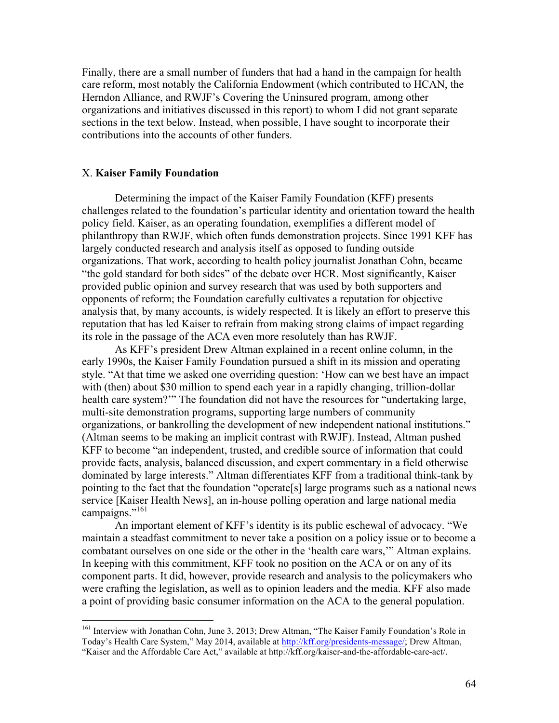Finally, there are a small number of funders that had a hand in the campaign for health care reform, most notably the California Endowment (which contributed to HCAN, the Herndon Alliance, and RWJF's Covering the Uninsured program, among other organizations and initiatives discussed in this report) to whom I did not grant separate sections in the text below. Instead, when possible, I have sought to incorporate their contributions into the accounts of other funders.

# X. **Kaiser Family Foundation**

Determining the impact of the Kaiser Family Foundation (KFF) presents challenges related to the foundation's particular identity and orientation toward the health policy field. Kaiser, as an operating foundation, exemplifies a different model of philanthropy than RWJF, which often funds demonstration projects. Since 1991 KFF has largely conducted research and analysis itself as opposed to funding outside organizations. That work, according to health policy journalist Jonathan Cohn, became "the gold standard for both sides" of the debate over HCR. Most significantly, Kaiser provided public opinion and survey research that was used by both supporters and opponents of reform; the Foundation carefully cultivates a reputation for objective analysis that, by many accounts, is widely respected. It is likely an effort to preserve this reputation that has led Kaiser to refrain from making strong claims of impact regarding its role in the passage of the ACA even more resolutely than has RWJF.

As KFF's president Drew Altman explained in a recent online column, in the early 1990s, the Kaiser Family Foundation pursued a shift in its mission and operating style. "At that time we asked one overriding question: 'How can we best have an impact with (then) about \$30 million to spend each year in a rapidly changing, trillion-dollar health care system?'" The foundation did not have the resources for "undertaking large, multi-site demonstration programs, supporting large numbers of community organizations, or bankrolling the development of new independent national institutions." (Altman seems to be making an implicit contrast with RWJF). Instead, Altman pushed KFF to become "an independent, trusted, and credible source of information that could provide facts, analysis, balanced discussion, and expert commentary in a field otherwise dominated by large interests." Altman differentiates KFF from a traditional think-tank by pointing to the fact that the foundation "operate[s] large programs such as a national news service [Kaiser Health News], an in-house polling operation and large national media campaigns."<sup>161</sup>

An important element of KFF's identity is its public eschewal of advocacy. "We maintain a steadfast commitment to never take a position on a policy issue or to become a combatant ourselves on one side or the other in the 'health care wars,'" Altman explains. In keeping with this commitment, KFF took no position on the ACA or on any of its component parts. It did, however, provide research and analysis to the policymakers who were crafting the legislation, as well as to opinion leaders and the media. KFF also made a point of providing basic consumer information on the ACA to the general population.

<sup>&</sup>lt;sup>161</sup> Interview with Jonathan Cohn, June 3, 2013; Drew Altman, "The Kaiser Family Foundation's Role in Today's Health Care System," May 2014, available at http://kff.org/presidents-message/; Drew Altman, "Kaiser and the Affordable Care Act," available at http://kff.org/kaiser-and-the-affordable-care-act/.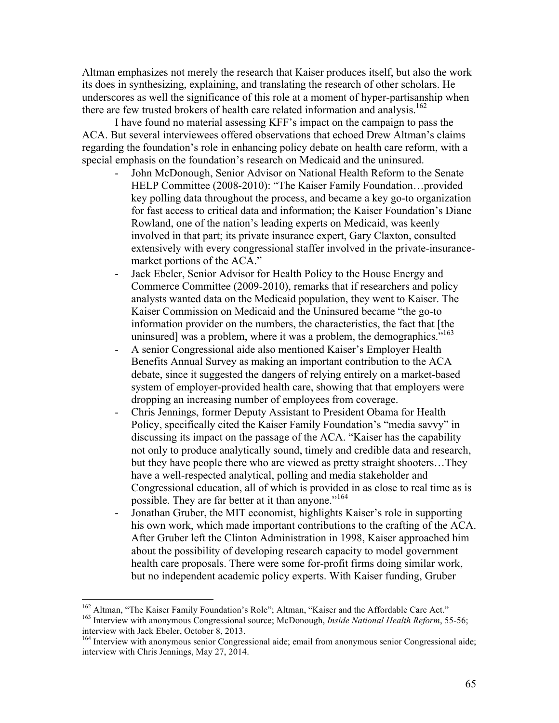Altman emphasizes not merely the research that Kaiser produces itself, but also the work its does in synthesizing, explaining, and translating the research of other scholars. He underscores as well the significance of this role at a moment of hyper-partisanship when there are few trusted brokers of health care related information and analysis.<sup>162</sup>

I have found no material assessing KFF's impact on the campaign to pass the ACA. But several interviewees offered observations that echoed Drew Altman's claims regarding the foundation's role in enhancing policy debate on health care reform, with a special emphasis on the foundation's research on Medicaid and the uninsured.

- John McDonough, Senior Advisor on National Health Reform to the Senate HELP Committee (2008-2010): "The Kaiser Family Foundation…provided key polling data throughout the process, and became a key go-to organization for fast access to critical data and information; the Kaiser Foundation's Diane Rowland, one of the nation's leading experts on Medicaid, was keenly involved in that part; its private insurance expert, Gary Claxton, consulted extensively with every congressional staffer involved in the private-insurancemarket portions of the ACA."
- Jack Ebeler, Senior Advisor for Health Policy to the House Energy and Commerce Committee (2009-2010), remarks that if researchers and policy analysts wanted data on the Medicaid population, they went to Kaiser. The Kaiser Commission on Medicaid and the Uninsured became "the go-to information provider on the numbers, the characteristics, the fact that [the uninsured] was a problem, where it was a problem, the demographics."
- A senior Congressional aide also mentioned Kaiser's Employer Health Benefits Annual Survey as making an important contribution to the ACA debate, since it suggested the dangers of relying entirely on a market-based system of employer-provided health care, showing that that employers were dropping an increasing number of employees from coverage.
- Chris Jennings, former Deputy Assistant to President Obama for Health Policy, specifically cited the Kaiser Family Foundation's "media savvy" in discussing its impact on the passage of the ACA. "Kaiser has the capability not only to produce analytically sound, timely and credible data and research, but they have people there who are viewed as pretty straight shooters…They have a well-respected analytical, polling and media stakeholder and Congressional education, all of which is provided in as close to real time as is possible. They are far better at it than anyone."<sup>164</sup>
- Jonathan Gruber, the MIT economist, highlights Kaiser's role in supporting his own work, which made important contributions to the crafting of the ACA. After Gruber left the Clinton Administration in 1998, Kaiser approached him about the possibility of developing research capacity to model government health care proposals. There were some for-profit firms doing similar work, but no independent academic policy experts. With Kaiser funding, Gruber

<sup>&</sup>lt;sup>162</sup> Altman, "The Kaiser Family Foundation's Role"; Altman, "Kaiser and the Affordable Care Act."<br><sup>163</sup> Interview with anonymous Congressional source; McDonough, *Inside National Health Reform*, 55-56; interview with Jack Ebeler, October 8, 2013.

<sup>&</sup>lt;sup>164</sup> Interview with anonymous senior Congressional aide; email from anonymous senior Congressional aide; interview with Chris Jennings, May 27, 2014.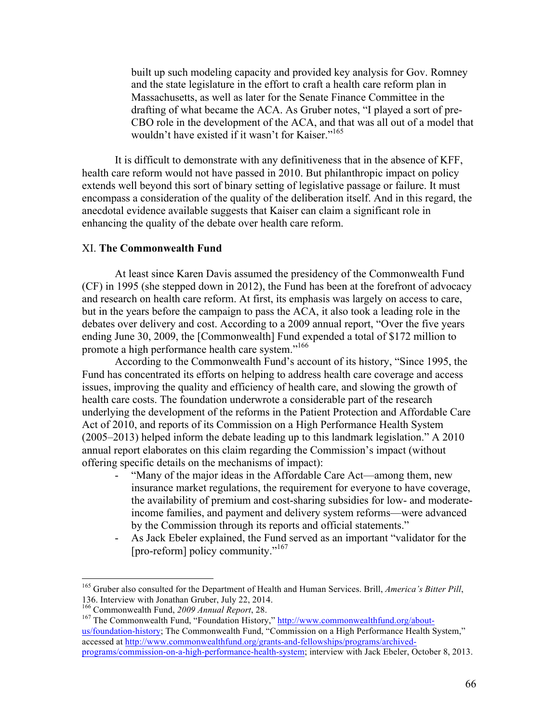built up such modeling capacity and provided key analysis for Gov. Romney and the state legislature in the effort to craft a health care reform plan in Massachusetts, as well as later for the Senate Finance Committee in the drafting of what became the ACA. As Gruber notes, "I played a sort of pre-CBO role in the development of the ACA, and that was all out of a model that wouldn't have existed if it wasn't for Kaiser."<sup>165</sup>

It is difficult to demonstrate with any definitiveness that in the absence of KFF, health care reform would not have passed in 2010. But philanthropic impact on policy extends well beyond this sort of binary setting of legislative passage or failure. It must encompass a consideration of the quality of the deliberation itself. And in this regard, the anecdotal evidence available suggests that Kaiser can claim a significant role in enhancing the quality of the debate over health care reform.

# XI. **The Commonwealth Fund**

At least since Karen Davis assumed the presidency of the Commonwealth Fund (CF) in 1995 (she stepped down in 2012), the Fund has been at the forefront of advocacy and research on health care reform. At first, its emphasis was largely on access to care, but in the years before the campaign to pass the ACA, it also took a leading role in the debates over delivery and cost. According to a 2009 annual report, "Over the five years ending June 30, 2009, the [Commonwealth] Fund expended a total of \$172 million to promote a high performance health care system."<sup>166</sup>

According to the Commonwealth Fund's account of its history, "Since 1995, the Fund has concentrated its efforts on helping to address health care coverage and access issues, improving the quality and efficiency of health care, and slowing the growth of health care costs. The foundation underwrote a considerable part of the research underlying the development of the reforms in the Patient Protection and Affordable Care Act of 2010, and reports of its Commission on a High Performance Health System (2005–2013) helped inform the debate leading up to this landmark legislation." A 2010 annual report elaborates on this claim regarding the Commission's impact (without offering specific details on the mechanisms of impact):

- "Many of the major ideas in the Affordable Care Act—among them, new insurance market regulations, the requirement for everyone to have coverage, the availability of premium and cost-sharing subsidies for low- and moderateincome families, and payment and delivery system reforms—were advanced by the Commission through its reports and official statements."
- As Jack Ebeler explained, the Fund served as an important "validator for the [pro-reform] policy community."<sup>167</sup>

<sup>&</sup>lt;sup>165</sup> Gruber also consulted for the Department of Health and Human Services. Brill, *America's Bitter Pill*, 136. Interview with Jonathan Gruber, July 22, 2014.<br><sup>166</sup> Commonwealth Fund, 2009 Annual Report, 28.

<sup>&</sup>lt;sup>167</sup> The Commonwealth Fund, "Foundation History," http://www.commonwealthfund.org/aboutus/foundation-history; The Commonwealth Fund, "Commission on a High Performance Health System," accessed at http://www.commonwealthfund.org/grants-and-fellowships/programs/archivedprograms/commission-on-a-high-performance-health-system; interview with Jack Ebeler, October 8, 2013.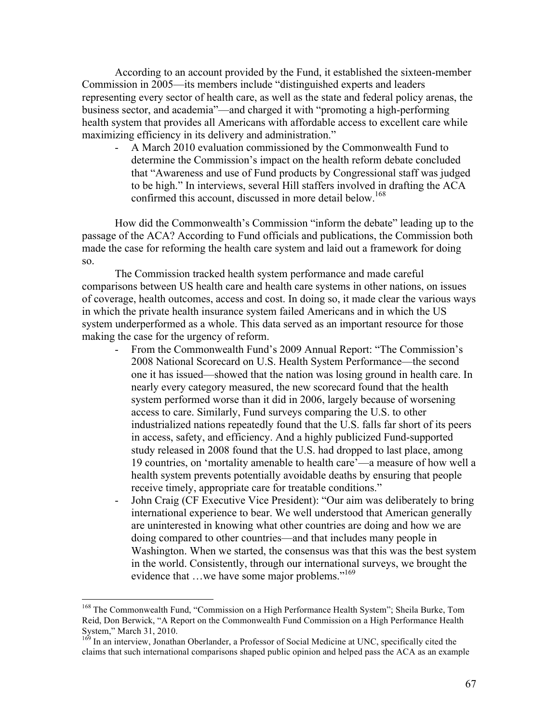According to an account provided by the Fund, it established the sixteen-member Commission in 2005—its members include "distinguished experts and leaders representing every sector of health care, as well as the state and federal policy arenas, the business sector, and academia"—and charged it with "promoting a high-performing health system that provides all Americans with affordable access to excellent care while maximizing efficiency in its delivery and administration."

- A March 2010 evaluation commissioned by the Commonwealth Fund to determine the Commission's impact on the health reform debate concluded that "Awareness and use of Fund products by Congressional staff was judged to be high." In interviews, several Hill staffers involved in drafting the ACA confirmed this account, discussed in more detail below. 168

How did the Commonwealth's Commission "inform the debate" leading up to the passage of the ACA? According to Fund officials and publications, the Commission both made the case for reforming the health care system and laid out a framework for doing so.

The Commission tracked health system performance and made careful comparisons between US health care and health care systems in other nations, on issues of coverage, health outcomes, access and cost. In doing so, it made clear the various ways in which the private health insurance system failed Americans and in which the US system underperformed as a whole. This data served as an important resource for those making the case for the urgency of reform.

- From the Commonwealth Fund's 2009 Annual Report: "The Commission's 2008 National Scorecard on U.S. Health System Performance—the second one it has issued—showed that the nation was losing ground in health care. In nearly every category measured, the new scorecard found that the health system performed worse than it did in 2006, largely because of worsening access to care. Similarly, Fund surveys comparing the U.S. to other industrialized nations repeatedly found that the U.S. falls far short of its peers in access, safety, and efficiency. And a highly publicized Fund-supported study released in 2008 found that the U.S. had dropped to last place, among 19 countries, on 'mortality amenable to health care'—a measure of how well a health system prevents potentially avoidable deaths by ensuring that people receive timely, appropriate care for treatable conditions."
- John Craig (CF Executive Vice President): "Our aim was deliberately to bring international experience to bear. We well understood that American generally are uninterested in knowing what other countries are doing and how we are doing compared to other countries—and that includes many people in Washington. When we started, the consensus was that this was the best system in the world. Consistently, through our international surveys, we brought the evidence that ...we have some major problems."<sup>169</sup>

<sup>&</sup>lt;sup>168</sup> The Commonwealth Fund, "Commission on a High Performance Health System"; Sheila Burke, Tom Reid, Don Berwick, "A Report on the Commonwealth Fund Commission on a High Performance Health System," March 31, 2010.<br><sup>169</sup> In an interview, Jonathan Oberlander, a Professor of Social Medicine at UNC, specifically cited the

claims that such international comparisons shaped public opinion and helped pass the ACA as an example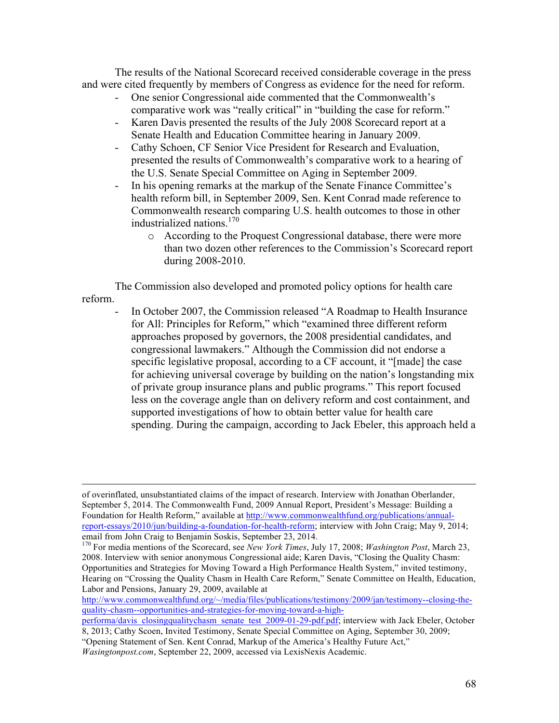The results of the National Scorecard received considerable coverage in the press and were cited frequently by members of Congress as evidence for the need for reform.

- One senior Congressional aide commented that the Commonwealth's comparative work was "really critical" in "building the case for reform."
- Karen Davis presented the results of the July 2008 Scorecard report at a Senate Health and Education Committee hearing in January 2009.
- Cathy Schoen, CF Senior Vice President for Research and Evaluation, presented the results of Commonwealth's comparative work to a hearing of the U.S. Senate Special Committee on Aging in September 2009.
- In his opening remarks at the markup of the Senate Finance Committee's health reform bill, in September 2009, Sen. Kent Conrad made reference to Commonwealth research comparing U.S. health outcomes to those in other industrialized nations.<sup>170</sup>
	- o According to the Proquest Congressional database, there were more than two dozen other references to the Commission's Scorecard report during 2008-2010.

The Commission also developed and promoted policy options for health care reform.

In October 2007, the Commission released "A Roadmap to Health Insurance for All: Principles for Reform," which "examined three different reform approaches proposed by governors, the 2008 presidential candidates, and congressional lawmakers." Although the Commission did not endorse a specific legislative proposal, according to a CF account, it "[made] the case for achieving universal coverage by building on the nation's longstanding mix of private group insurance plans and public programs." This report focused less on the coverage angle than on delivery reform and cost containment, and supported investigations of how to obtain better value for health care spending. During the campaign, according to Jack Ebeler, this approach held a

http://www.commonwealthfund.org/~/media/files/publications/testimony/2009/jan/testimony--closing-thequality-chasm--opportunities-and-strategies-for-moving-toward-a-high-

*Wasingtonpost.com*, September 22, 2009, accessed via LexisNexis Academic.

of overinflated, unsubstantiated claims of the impact of research. Interview with Jonathan Oberlander, September 5, 2014. The Commonwealth Fund, 2009 Annual Report, President's Message: Building a Foundation for Health Reform," available at http://www.commonwealthfund.org/publications/annualreport-essays/2010/jun/building-a-foundation-for-health-reform; interview with John Craig; May 9, 2014; email from John Craig to Benjamin Soskis, September 23, 2014.<br><sup>170</sup> For media mentions of the Scorecard, see *New York Times*, July 17, 2008; *Washington Post*, March 23,

<sup>2008.</sup> Interview with senior anonymous Congressional aide; Karen Davis, "Closing the Quality Chasm: Opportunities and Strategies for Moving Toward a High Performance Health System," invited testimony, Hearing on "Crossing the Quality Chasm in Health Care Reform," Senate Committee on Health, Education, Labor and Pensions, January 29, 2009, available at

performa/davis\_closingqualitychasm\_senate\_test\_2009-01-29-pdf.pdf; interview with Jack Ebeler, October 8, 2013; Cathy Scoen, Invited Testimony, Senate Special Committee on Aging, September 30, 2009;

<sup>&</sup>quot;Opening Statement of Sen. Kent Conrad, Markup of the America's Healthy Future Act,"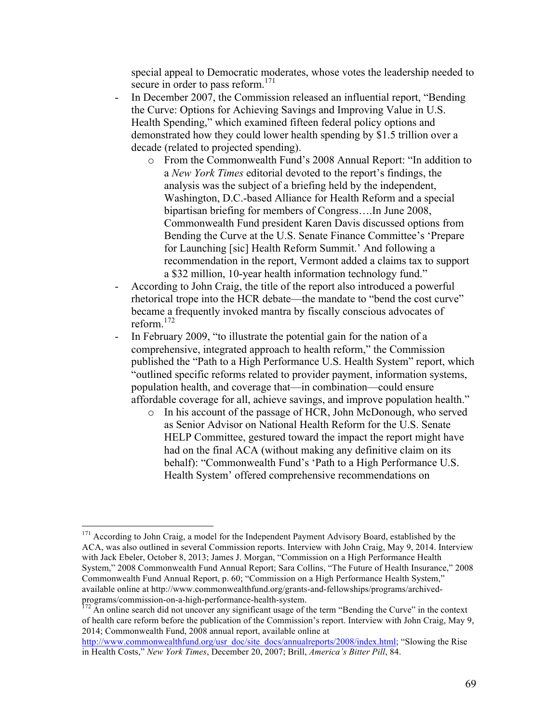special appeal to Democratic moderates, whose votes the leadership needed to secure in order to pass reform.<sup>171</sup>

- In December 2007, the Commission released an influential report, "Bending" the Curve: Options for Achieving Savings and Improving Value in U.S. Health Spending," which examined fifteen federal policy options and demonstrated how they could lower health spending by \$1.5 trillion over a decade (related to projected spending).
	- o From the Commonwealth Fund's 2008 Annual Report: "In addition to a *New York Times* editorial devoted to the report's findings, the analysis was the subject of a briefing held by the independent, Washington, D.C.-based Alliance for Health Reform and a special bipartisan briefing for members of Congress….In June 2008, Commonwealth Fund president Karen Davis discussed options from Bending the Curve at the U.S. Senate Finance Committee's 'Prepare for Launching [sic] Health Reform Summit.' And following a recommendation in the report, Vermont added a claims tax to support a \$32 million, 10-year health information technology fund."
- According to John Craig, the title of the report also introduced a powerful rhetorical trope into the HCR debate—the mandate to "bend the cost curve" became a frequently invoked mantra by fiscally conscious advocates of reform.<sup>172</sup>
- In February 2009, "to illustrate the potential gain for the nation of a comprehensive, integrated approach to health reform," the Commission published the "Path to a High Performance U.S. Health System" report, which "outlined specific reforms related to provider payment, information systems, population health, and coverage that—in combination—could ensure affordable coverage for all, achieve savings, and improve population health."
	- o In his account of the passage of HCR, John McDonough, who served as Senior Advisor on National Health Reform for the U.S. Senate HELP Committee, gestured toward the impact the report might have had on the final ACA (without making any definitive claim on its behalf): "Commonwealth Fund's 'Path to a High Performance U.S. Health System' offered comprehensive recommendations on

<sup>&</sup>lt;sup>171</sup> According to John Craig, a model for the Independent Payment Advisory Board, established by the ACA, was also outlined in several Commission reports. Interview with John Craig, May 9, 2014. Interview with Jack Ebeler, October 8, 2013; James J. Morgan, "Commission on a High Performance Health System," 2008 Commonwealth Fund Annual Report; Sara Collins, "The Future of Health Insurance," 2008 Commonwealth Fund Annual Report, p. 60; "Commission on a High Performance Health System," available online at http://www.commonwealthfund.org/grants-and-fellowships/programs/archivedprograms/commission-on-a-high-performance-health-system.<br><sup>172</sup> An online search did not uncover any significant usage of the term "Bending the Curve" in the context

of health care reform before the publication of the Commission's report. Interview with John Craig, May 9, 2014; Commonwealth Fund, 2008 annual report, available online at

http://www.commonwealthfund.org/usr\_doc/site\_docs/annualreports/2008/index.html; "Slowing the Rise in Health Costs," *New York Times*, December 20, 2007; Brill, *America's Bitter Pill*, 84.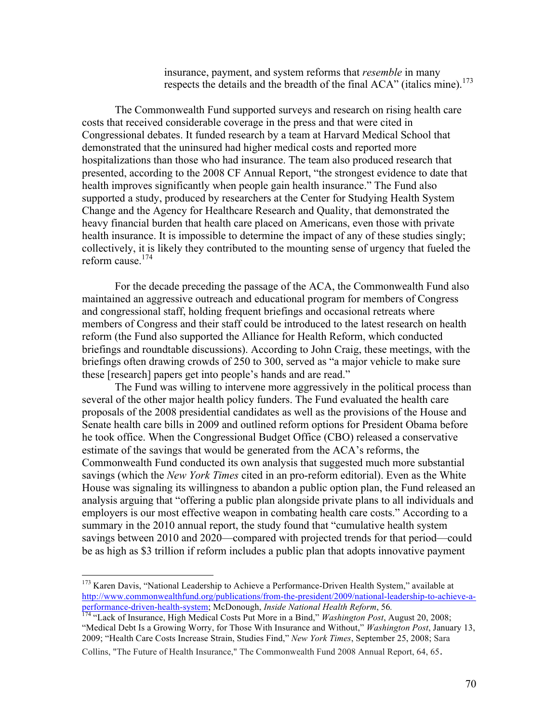insurance, payment, and system reforms that *resemble* in many respects the details and the breadth of the final ACA" (italics mine).<sup>173</sup>

The Commonwealth Fund supported surveys and research on rising health care costs that received considerable coverage in the press and that were cited in Congressional debates. It funded research by a team at Harvard Medical School that demonstrated that the uninsured had higher medical costs and reported more hospitalizations than those who had insurance. The team also produced research that presented, according to the 2008 CF Annual Report, "the strongest evidence to date that health improves significantly when people gain health insurance." The Fund also supported a study, produced by researchers at the Center for Studying Health System Change and the Agency for Healthcare Research and Quality, that demonstrated the heavy financial burden that health care placed on Americans, even those with private health insurance. It is impossible to determine the impact of any of these studies singly; collectively, it is likely they contributed to the mounting sense of urgency that fueled the reform cause.<sup>174</sup>

For the decade preceding the passage of the ACA, the Commonwealth Fund also maintained an aggressive outreach and educational program for members of Congress and congressional staff, holding frequent briefings and occasional retreats where members of Congress and their staff could be introduced to the latest research on health reform (the Fund also supported the Alliance for Health Reform, which conducted briefings and roundtable discussions). According to John Craig, these meetings, with the briefings often drawing crowds of 250 to 300, served as "a major vehicle to make sure these [research] papers get into people's hands and are read."

The Fund was willing to intervene more aggressively in the political process than several of the other major health policy funders. The Fund evaluated the health care proposals of the 2008 presidential candidates as well as the provisions of the House and Senate health care bills in 2009 and outlined reform options for President Obama before he took office. When the Congressional Budget Office (CBO) released a conservative estimate of the savings that would be generated from the ACA's reforms, the Commonwealth Fund conducted its own analysis that suggested much more substantial savings (which the *New York Times* cited in an pro-reform editorial). Even as the White House was signaling its willingness to abandon a public option plan, the Fund released an analysis arguing that "offering a public plan alongside private plans to all individuals and employers is our most effective weapon in combating health care costs." According to a summary in the 2010 annual report, the study found that "cumulative health system savings between 2010 and 2020—compared with projected trends for that period—could be as high as \$3 trillion if reform includes a public plan that adopts innovative payment

<sup>&</sup>lt;sup>173</sup> Karen Davis, "National Leadership to Achieve a Performance-Driven Health System," available at http://www.commonwealthfund.org/publications/from-the-president/2009/national-leadership-to-achieve-aperformance-driven-health-system; McDonough, *Inside National Health Reform*, 56*.* <sup>174</sup> "Lack of Insurance, High Medical Costs Put More in a Bind," *Washington Post*, August 20, 2008;

<sup>&</sup>quot;Medical Debt Is a Growing Worry, for Those With Insurance and Without," *Washington Post*, January 13, 2009; "Health Care Costs Increase Strain, Studies Find," *New York Times*, September 25, 2008; Sara Collins, "The Future of Health Insurance," The Commonwealth Fund 2008 Annual Report, 64, 65.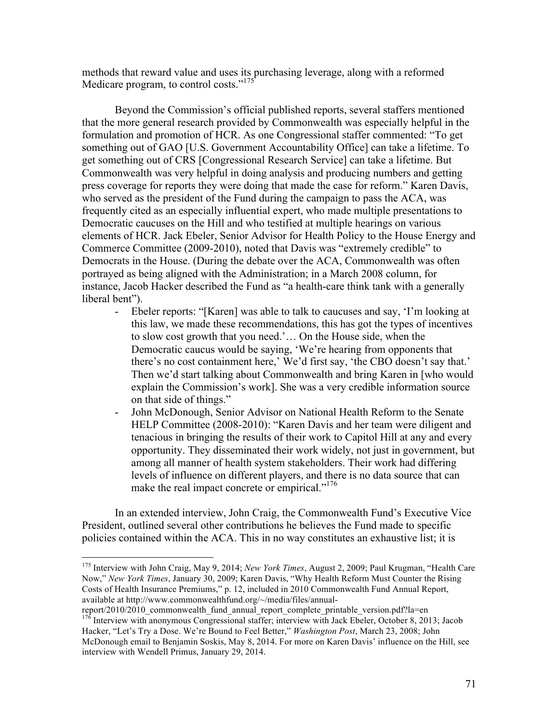methods that reward value and uses its purchasing leverage, along with a reformed Medicare program, to control costs."<sup>175</sup>

Beyond the Commission's official published reports, several staffers mentioned that the more general research provided by Commonwealth was especially helpful in the formulation and promotion of HCR. As one Congressional staffer commented: "To get something out of GAO [U.S. Government Accountability Office] can take a lifetime. To get something out of CRS [Congressional Research Service] can take a lifetime. But Commonwealth was very helpful in doing analysis and producing numbers and getting press coverage for reports they were doing that made the case for reform." Karen Davis, who served as the president of the Fund during the campaign to pass the ACA, was frequently cited as an especially influential expert, who made multiple presentations to Democratic caucuses on the Hill and who testified at multiple hearings on various elements of HCR. Jack Ebeler, Senior Advisor for Health Policy to the House Energy and Commerce Committee (2009-2010), noted that Davis was "extremely credible" to Democrats in the House. (During the debate over the ACA, Commonwealth was often portrayed as being aligned with the Administration; in a March 2008 column, for instance, Jacob Hacker described the Fund as "a health-care think tank with a generally liberal bent").

- Ebeler reports: "[Karen] was able to talk to caucuses and say, 'I'm looking at this law, we made these recommendations, this has got the types of incentives to slow cost growth that you need.'… On the House side, when the Democratic caucus would be saying, 'We're hearing from opponents that there's no cost containment here,' We'd first say, 'the CBO doesn't say that.' Then we'd start talking about Commonwealth and bring Karen in [who would explain the Commission's work]. She was a very credible information source on that side of things."
- John McDonough, Senior Advisor on National Health Reform to the Senate HELP Committee (2008-2010): "Karen Davis and her team were diligent and tenacious in bringing the results of their work to Capitol Hill at any and every opportunity. They disseminated their work widely, not just in government, but among all manner of health system stakeholders. Their work had differing levels of influence on different players, and there is no data source that can make the real impact concrete or empirical."<sup>176</sup>

In an extended interview, John Craig, the Commonwealth Fund's Executive Vice President, outlined several other contributions he believes the Fund made to specific policies contained within the ACA. This in no way constitutes an exhaustive list; it is

report/2010/2010\_commonwealth\_fund\_annual\_report\_complete\_printable\_version.pdf?la=en <sup>176</sup> Interview with anonymous Congressional staffer; interview with Jack Ebeler, October 8, 2013; Jacob Hacker, "Let's Try a Dose. We're Bound to Feel Better," *Washington Post*, March 23, 2008; John

 <sup>175</sup> Interview with John Craig, May 9, 2014; *New York Times*, August 2, 2009; Paul Krugman, "Health Care Now," *New York Times*, January 30, 2009; Karen Davis, "Why Health Reform Must Counter the Rising Costs of Health Insurance Premiums," p. 12, included in 2010 Commonwealth Fund Annual Report, available at http://www.commonwealthfund.org/~/media/files/annual-

McDonough email to Benjamin Soskis, May 8, 2014. For more on Karen Davis' influence on the Hill, see interview with Wendell Primus, January 29, 2014.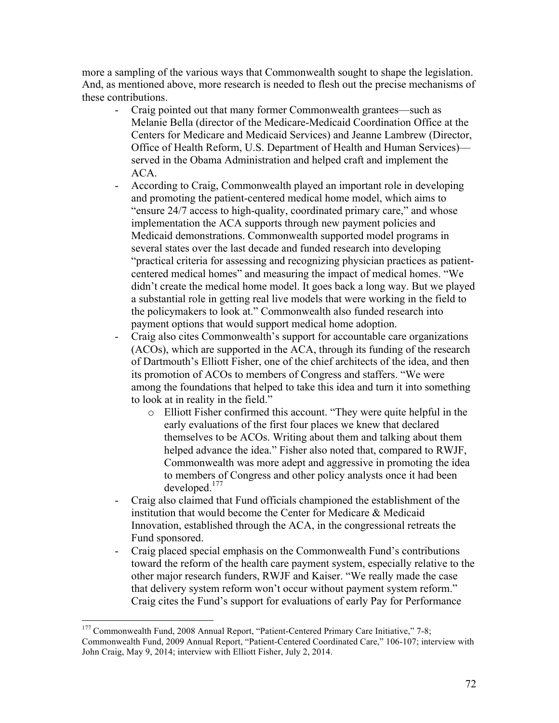more a sampling of the various ways that Commonwealth sought to shape the legislation. And, as mentioned above, more research is needed to flesh out the precise mechanisms of these contributions.

- Craig pointed out that many former Commonwealth grantees—such as Melanie Bella (director of the Medicare-Medicaid Coordination Office at the Centers for Medicare and Medicaid Services) and Jeanne Lambrew (Director, Office of Health Reform, U.S. Department of Health and Human Services) served in the Obama Administration and helped craft and implement the ACA.
- According to Craig, Commonwealth played an important role in developing and promoting the patient-centered medical home model, which aims to "ensure 24/7 access to high-quality, coordinated primary care," and whose implementation the ACA supports through new payment policies and Medicaid demonstrations. Commonwealth supported model programs in several states over the last decade and funded research into developing "practical criteria for assessing and recognizing physician practices as patientcentered medical homes" and measuring the impact of medical homes. "We didn't create the medical home model. It goes back a long way. But we played a substantial role in getting real live models that were working in the field to the policymakers to look at." Commonwealth also funded research into payment options that would support medical home adoption.
- Craig also cites Commonwealth's support for accountable care organizations (ACOs), which are supported in the ACA, through its funding of the research of Dartmouth's Elliott Fisher, one of the chief architects of the idea, and then its promotion of ACOs to members of Congress and staffers. "We were among the foundations that helped to take this idea and turn it into something to look at in reality in the field."
	- o Elliott Fisher confirmed this account. "They were quite helpful in the early evaluations of the first four places we knew that declared themselves to be ACOs. Writing about them and talking about them helped advance the idea." Fisher also noted that, compared to RWJF, Commonwealth was more adept and aggressive in promoting the idea to members of Congress and other policy analysts once it had been developed.<sup>177</sup>
- Craig also claimed that Fund officials championed the establishment of the institution that would become the Center for Medicare & Medicaid Innovation, established through the ACA, in the congressional retreats the Fund sponsored.
- Craig placed special emphasis on the Commonwealth Fund's contributions toward the reform of the health care payment system, especially relative to the other major research funders, RWJF and Kaiser. "We really made the case that delivery system reform won't occur without payment system reform." Craig cites the Fund's support for evaluations of early Pay for Performance

<sup>&</sup>lt;sup>177</sup> Commonwealth Fund, 2008 Annual Report, "Patient-Centered Primary Care Initiative," 7-8; Commonwealth Fund, 2009 Annual Report, "Patient-Centered Coordinated Care," 106-107; interview with John Craig, May 9, 2014; interview with Elliott Fisher, July 2, 2014.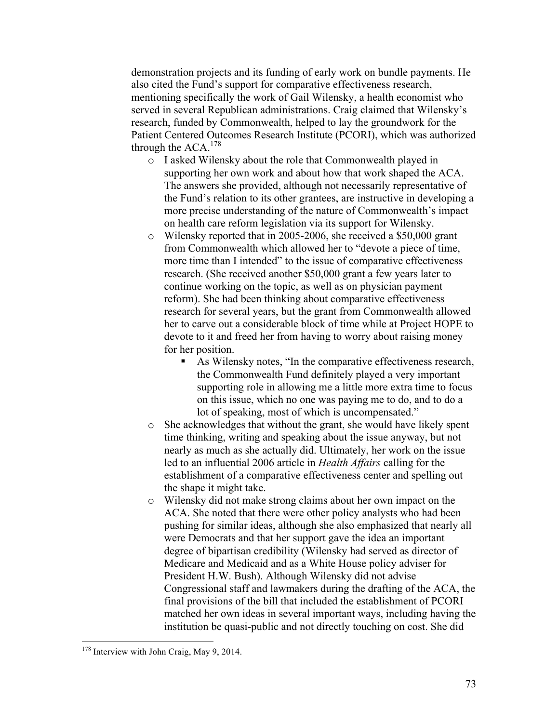demonstration projects and its funding of early work on bundle payments. He also cited the Fund's support for comparative effectiveness research, mentioning specifically the work of Gail Wilensky, a health economist who served in several Republican administrations. Craig claimed that Wilensky's research, funded by Commonwealth, helped to lay the groundwork for the Patient Centered Outcomes Research Institute (PCORI), which was authorized through the  $ACA$ .<sup>178</sup>

- o I asked Wilensky about the role that Commonwealth played in supporting her own work and about how that work shaped the ACA. The answers she provided, although not necessarily representative of the Fund's relation to its other grantees, are instructive in developing a more precise understanding of the nature of Commonwealth's impact on health care reform legislation via its support for Wilensky.
- o Wilensky reported that in 2005-2006, she received a \$50,000 grant from Commonwealth which allowed her to "devote a piece of time, more time than I intended" to the issue of comparative effectiveness research. (She received another \$50,000 grant a few years later to continue working on the topic, as well as on physician payment reform). She had been thinking about comparative effectiveness research for several years, but the grant from Commonwealth allowed her to carve out a considerable block of time while at Project HOPE to devote to it and freed her from having to worry about raising money for her position.
	- As Wilensky notes, "In the comparative effectiveness research, the Commonwealth Fund definitely played a very important supporting role in allowing me a little more extra time to focus on this issue, which no one was paying me to do, and to do a lot of speaking, most of which is uncompensated."
- o She acknowledges that without the grant, she would have likely spent time thinking, writing and speaking about the issue anyway, but not nearly as much as she actually did. Ultimately, her work on the issue led to an influential 2006 article in *Health Affairs* calling for the establishment of a comparative effectiveness center and spelling out the shape it might take.
- o Wilensky did not make strong claims about her own impact on the ACA. She noted that there were other policy analysts who had been pushing for similar ideas, although she also emphasized that nearly all were Democrats and that her support gave the idea an important degree of bipartisan credibility (Wilensky had served as director of Medicare and Medicaid and as a White House policy adviser for President H.W. Bush). Although Wilensky did not advise Congressional staff and lawmakers during the drafting of the ACA, the final provisions of the bill that included the establishment of PCORI matched her own ideas in several important ways, including having the institution be quasi-public and not directly touching on cost. She did

<sup>&</sup>lt;sup>178</sup> Interview with John Craig, May 9, 2014.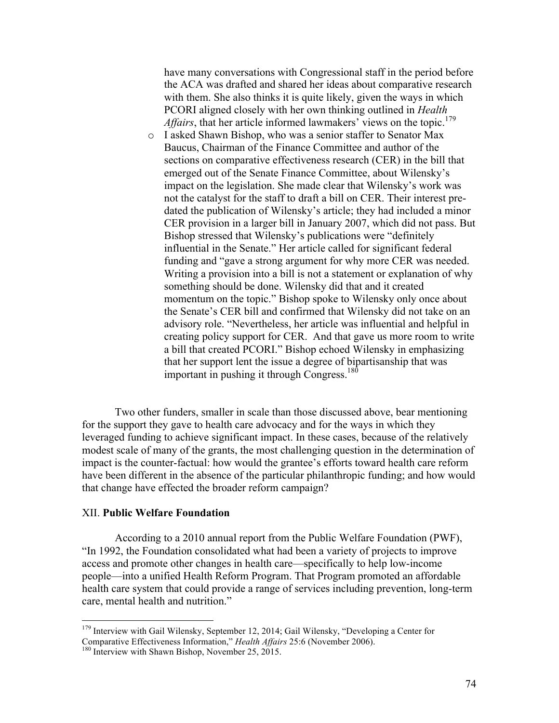have many conversations with Congressional staff in the period before the ACA was drafted and shared her ideas about comparative research with them. She also thinks it is quite likely, given the ways in which PCORI aligned closely with her own thinking outlined in *Health Affairs*, that her article informed lawmakers' views on the topic.<sup>179</sup>

o I asked Shawn Bishop, who was a senior staffer to Senator Max Baucus, Chairman of the Finance Committee and author of the sections on comparative effectiveness research (CER) in the bill that emerged out of the Senate Finance Committee, about Wilensky's impact on the legislation. She made clear that Wilensky's work was not the catalyst for the staff to draft a bill on CER. Their interest predated the publication of Wilensky's article; they had included a minor CER provision in a larger bill in January 2007, which did not pass. But Bishop stressed that Wilensky's publications were "definitely influential in the Senate." Her article called for significant federal funding and "gave a strong argument for why more CER was needed. Writing a provision into a bill is not a statement or explanation of why something should be done. Wilensky did that and it created momentum on the topic." Bishop spoke to Wilensky only once about the Senate's CER bill and confirmed that Wilensky did not take on an advisory role. "Nevertheless, her article was influential and helpful in creating policy support for CER. And that gave us more room to write a bill that created PCORI." Bishop echoed Wilensky in emphasizing that her support lent the issue a degree of bipartisanship that was important in pushing it through Congress.<sup>180</sup>

Two other funders, smaller in scale than those discussed above, bear mentioning for the support they gave to health care advocacy and for the ways in which they leveraged funding to achieve significant impact. In these cases, because of the relatively modest scale of many of the grants, the most challenging question in the determination of impact is the counter-factual: how would the grantee's efforts toward health care reform have been different in the absence of the particular philanthropic funding; and how would that change have effected the broader reform campaign?

# XII. **Public Welfare Foundation**

According to a 2010 annual report from the Public Welfare Foundation (PWF), "In 1992, the Foundation consolidated what had been a variety of projects to improve access and promote other changes in health care—specifically to help low-income people—into a unified Health Reform Program. That Program promoted an affordable health care system that could provide a range of services including prevention, long-term care, mental health and nutrition."

<sup>&</sup>lt;sup>179</sup> Interview with Gail Wilensky, September 12, 2014; Gail Wilensky, "Developing a Center for Comparative Effectiveness Information," *Health Affairs* 25:6 (November 2006).<br><sup>180</sup> Interview with Shawn Bishop, November 25, 2015.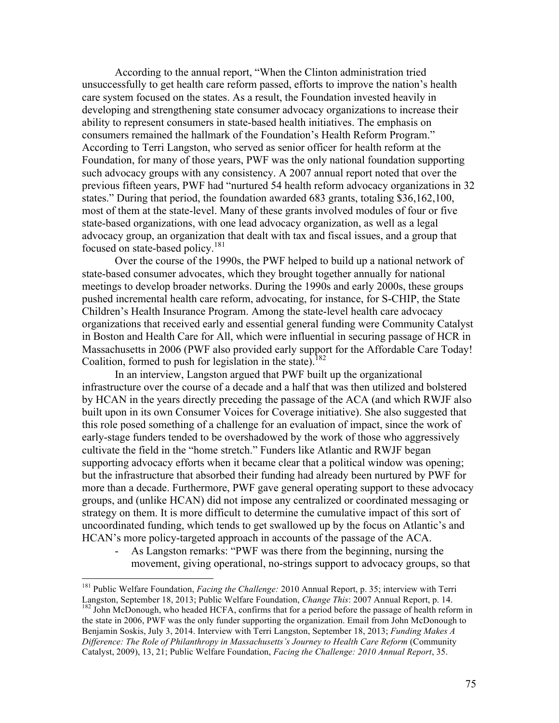According to the annual report, "When the Clinton administration tried unsuccessfully to get health care reform passed, efforts to improve the nation's health care system focused on the states. As a result, the Foundation invested heavily in developing and strengthening state consumer advocacy organizations to increase their ability to represent consumers in state-based health initiatives. The emphasis on consumers remained the hallmark of the Foundation's Health Reform Program." According to Terri Langston, who served as senior officer for health reform at the Foundation, for many of those years, PWF was the only national foundation supporting such advocacy groups with any consistency. A 2007 annual report noted that over the previous fifteen years, PWF had "nurtured 54 health reform advocacy organizations in 32 states." During that period, the foundation awarded 683 grants, totaling \$36,162,100, most of them at the state-level. Many of these grants involved modules of four or five state-based organizations, with one lead advocacy organization, as well as a legal advocacy group, an organization that dealt with tax and fiscal issues, and a group that focused on state-based policy.<sup>181</sup>

Over the course of the 1990s, the PWF helped to build up a national network of state-based consumer advocates, which they brought together annually for national meetings to develop broader networks. During the 1990s and early 2000s, these groups pushed incremental health care reform, advocating, for instance, for S-CHIP, the State Children's Health Insurance Program. Among the state-level health care advocacy organizations that received early and essential general funding were Community Catalyst in Boston and Health Care for All, which were influential in securing passage of HCR in Massachusetts in 2006 (PWF also provided early support for the Affordable Care Today! Coalition, formed to push for legislation in the state).<sup>182</sup>

In an interview, Langston argued that PWF built up the organizational infrastructure over the course of a decade and a half that was then utilized and bolstered by HCAN in the years directly preceding the passage of the ACA (and which RWJF also built upon in its own Consumer Voices for Coverage initiative). She also suggested that this role posed something of a challenge for an evaluation of impact, since the work of early-stage funders tended to be overshadowed by the work of those who aggressively cultivate the field in the "home stretch." Funders like Atlantic and RWJF began supporting advocacy efforts when it became clear that a political window was opening; but the infrastructure that absorbed their funding had already been nurtured by PWF for more than a decade. Furthermore, PWF gave general operating support to these advocacy groups, and (unlike HCAN) did not impose any centralized or coordinated messaging or strategy on them. It is more difficult to determine the cumulative impact of this sort of uncoordinated funding, which tends to get swallowed up by the focus on Atlantic's and HCAN's more policy-targeted approach in accounts of the passage of the ACA.

- As Langston remarks: "PWF was there from the beginning, nursing the movement, giving operational, no-strings support to advocacy groups, so that

<sup>&</sup>lt;sup>181</sup> Public Welfare Foundation, *Facing the Challenge:* 2010 Annual Report, p. 35; interview with Terri Langston, September 18, 2013; Public Welfare Foundation, *Change This:* 2007 Annual Report, p. 14. <sup>182</sup> John McDonough, who headed HCFA, confirms that for a period before the passage of health reform in the state in 2006, PWF was the only funder supporting the organization. Email from John McDonough to Benjamin Soskis, July 3, 2014. Interview with Terri Langston, September 18, 2013; *Funding Makes A Difference: The Role of Philanthropy in Massachusetts's Journey to Health Care Reform* (Community Catalyst, 2009), 13, 21; Public Welfare Foundation, *Facing the Challenge: 2010 Annual Report*, 35.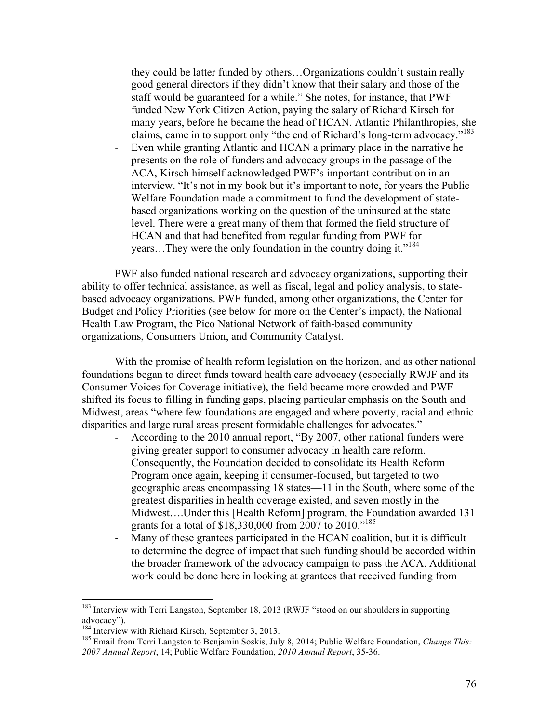they could be latter funded by others…Organizations couldn't sustain really good general directors if they didn't know that their salary and those of the staff would be guaranteed for a while." She notes, for instance, that PWF funded New York Citizen Action, paying the salary of Richard Kirsch for many years, before he became the head of HCAN. Atlantic Philanthropies, she claims, came in to support only "the end of Richard's long-term advocacy."<sup>183</sup>

- Even while granting Atlantic and HCAN a primary place in the narrative he presents on the role of funders and advocacy groups in the passage of the ACA, Kirsch himself acknowledged PWF's important contribution in an interview. "It's not in my book but it's important to note, for years the Public Welfare Foundation made a commitment to fund the development of statebased organizations working on the question of the uninsured at the state level. There were a great many of them that formed the field structure of HCAN and that had benefited from regular funding from PWF for years...They were the only foundation in the country doing it."<sup>184</sup>

PWF also funded national research and advocacy organizations, supporting their ability to offer technical assistance, as well as fiscal, legal and policy analysis, to statebased advocacy organizations. PWF funded, among other organizations, the Center for Budget and Policy Priorities (see below for more on the Center's impact), the National Health Law Program, the Pico National Network of faith-based community organizations, Consumers Union, and Community Catalyst.

With the promise of health reform legislation on the horizon, and as other national foundations began to direct funds toward health care advocacy (especially RWJF and its Consumer Voices for Coverage initiative), the field became more crowded and PWF shifted its focus to filling in funding gaps, placing particular emphasis on the South and Midwest, areas "where few foundations are engaged and where poverty, racial and ethnic disparities and large rural areas present formidable challenges for advocates."

- According to the 2010 annual report, "By 2007, other national funders were giving greater support to consumer advocacy in health care reform. Consequently, the Foundation decided to consolidate its Health Reform Program once again, keeping it consumer-focused, but targeted to two geographic areas encompassing 18 states—11 in the South, where some of the greatest disparities in health coverage existed, and seven mostly in the Midwest….Under this [Health Reform] program, the Foundation awarded 131 grants for a total of \$18,330,000 from 2007 to 2010."<sup>185</sup>
- Many of these grantees participated in the HCAN coalition, but it is difficult to determine the degree of impact that such funding should be accorded within the broader framework of the advocacy campaign to pass the ACA. Additional work could be done here in looking at grantees that received funding from

<sup>&</sup>lt;sup>183</sup> Interview with Terri Langston, September 18, 2013 (RWJF "stood on our shoulders in supporting advocacy").<br><sup>184</sup> Interview with Richard Kirsch, September 3, 2013.

<sup>&</sup>lt;sup>185</sup> Email from Terri Langston to Benjamin Soskis, July 8, 2014; Public Welfare Foundation, *Change This: 2007 Annual Report*, 14; Public Welfare Foundation, *2010 Annual Report*, 35-36.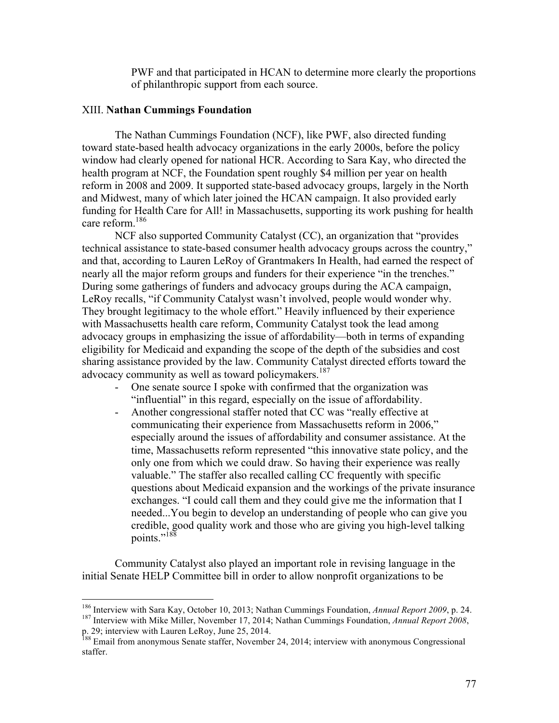PWF and that participated in HCAN to determine more clearly the proportions of philanthropic support from each source.

### XIII. **Nathan Cummings Foundation**

The Nathan Cummings Foundation (NCF), like PWF, also directed funding toward state-based health advocacy organizations in the early 2000s, before the policy window had clearly opened for national HCR. According to Sara Kay, who directed the health program at NCF, the Foundation spent roughly \$4 million per year on health reform in 2008 and 2009. It supported state-based advocacy groups, largely in the North and Midwest, many of which later joined the HCAN campaign. It also provided early funding for Health Care for All! in Massachusetts, supporting its work pushing for health care reform.186

NCF also supported Community Catalyst (CC), an organization that "provides technical assistance to state-based consumer health advocacy groups across the country," and that, according to Lauren LeRoy of Grantmakers In Health, had earned the respect of nearly all the major reform groups and funders for their experience "in the trenches." During some gatherings of funders and advocacy groups during the ACA campaign, LeRoy recalls, "if Community Catalyst wasn't involved, people would wonder why. They brought legitimacy to the whole effort." Heavily influenced by their experience with Massachusetts health care reform, Community Catalyst took the lead among advocacy groups in emphasizing the issue of affordability—both in terms of expanding eligibility for Medicaid and expanding the scope of the depth of the subsidies and cost sharing assistance provided by the law. Community Catalyst directed efforts toward the advocacy community as well as toward policymakers.<sup>187</sup>

- One senate source I spoke with confirmed that the organization was "influential" in this regard, especially on the issue of affordability.
- Another congressional staffer noted that CC was "really effective at communicating their experience from Massachusetts reform in 2006," especially around the issues of affordability and consumer assistance. At the time, Massachusetts reform represented "this innovative state policy, and the only one from which we could draw. So having their experience was really valuable." The staffer also recalled calling CC frequently with specific questions about Medicaid expansion and the workings of the private insurance exchanges. "I could call them and they could give me the information that I needed...You begin to develop an understanding of people who can give you credible, good quality work and those who are giving you high-level talking points."<sup>188</sup>

Community Catalyst also played an important role in revising language in the initial Senate HELP Committee bill in order to allow nonprofit organizations to be

<sup>&</sup>lt;sup>186</sup> Interview with Sara Kay, October 10, 2013; Nathan Cummings Foundation, *Annual Report 2009*, p. 24. <sup>187</sup> Interview with Mike Miller, November 17, 2014; Nathan Cummings Foundation, *Annual Report 2008*,

p. 29; interview with Lauren LeRoy, June 25, 2014.

<sup>&</sup>lt;sup>188</sup> Email from anonymous Senate staffer, November 24, 2014; interview with anonymous Congressional staffer.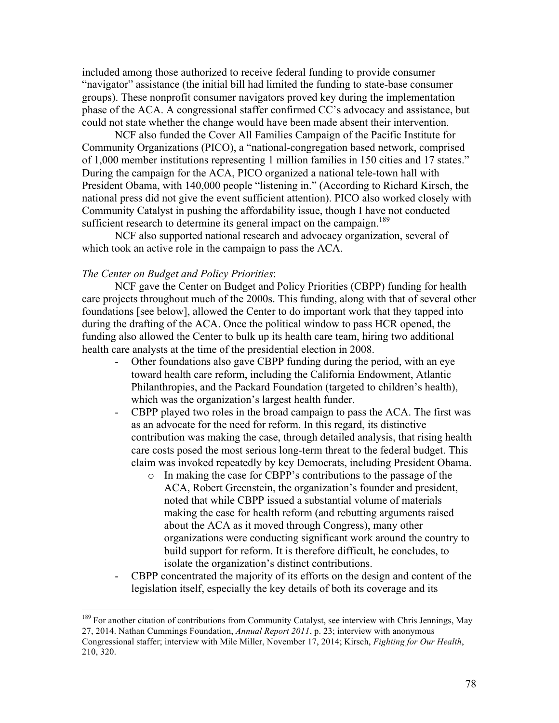included among those authorized to receive federal funding to provide consumer "navigator" assistance (the initial bill had limited the funding to state-base consumer groups). These nonprofit consumer navigators proved key during the implementation phase of the ACA. A congressional staffer confirmed CC's advocacy and assistance, but could not state whether the change would have been made absent their intervention.

NCF also funded the Cover All Families Campaign of the Pacific Institute for Community Organizations (PICO), a "national-congregation based network, comprised of 1,000 member institutions representing 1 million families in 150 cities and 17 states." During the campaign for the ACA, PICO organized a national tele-town hall with President Obama, with 140,000 people "listening in." (According to Richard Kirsch, the national press did not give the event sufficient attention). PICO also worked closely with Community Catalyst in pushing the affordability issue, though I have not conducted sufficient research to determine its general impact on the campaign.<sup>189</sup>

NCF also supported national research and advocacy organization, several of which took an active role in the campaign to pass the ACA.

### *The Center on Budget and Policy Priorities*:

NCF gave the Center on Budget and Policy Priorities (CBPP) funding for health care projects throughout much of the 2000s. This funding, along with that of several other foundations [see below], allowed the Center to do important work that they tapped into during the drafting of the ACA. Once the political window to pass HCR opened, the funding also allowed the Center to bulk up its health care team, hiring two additional health care analysts at the time of the presidential election in 2008.

- Other foundations also gave CBPP funding during the period, with an eye toward health care reform, including the California Endowment, Atlantic Philanthropies, and the Packard Foundation (targeted to children's health), which was the organization's largest health funder.
- CBPP played two roles in the broad campaign to pass the ACA. The first was as an advocate for the need for reform. In this regard, its distinctive contribution was making the case, through detailed analysis, that rising health care costs posed the most serious long-term threat to the federal budget. This claim was invoked repeatedly by key Democrats, including President Obama.
	- o In making the case for CBPP's contributions to the passage of the ACA, Robert Greenstein, the organization's founder and president, noted that while CBPP issued a substantial volume of materials making the case for health reform (and rebutting arguments raised about the ACA as it moved through Congress), many other organizations were conducting significant work around the country to build support for reform. It is therefore difficult, he concludes, to isolate the organization's distinct contributions.
- CBPP concentrated the majority of its efforts on the design and content of the legislation itself, especially the key details of both its coverage and its

<sup>&</sup>lt;sup>189</sup> For another citation of contributions from Community Catalyst, see interview with Chris Jennings, May 27, 2014. Nathan Cummings Foundation, *Annual Report 2011*, p. 23; interview with anonymous Congressional staffer; interview with Mile Miller, November 17, 2014; Kirsch, *Fighting for Our Health*, 210, 320.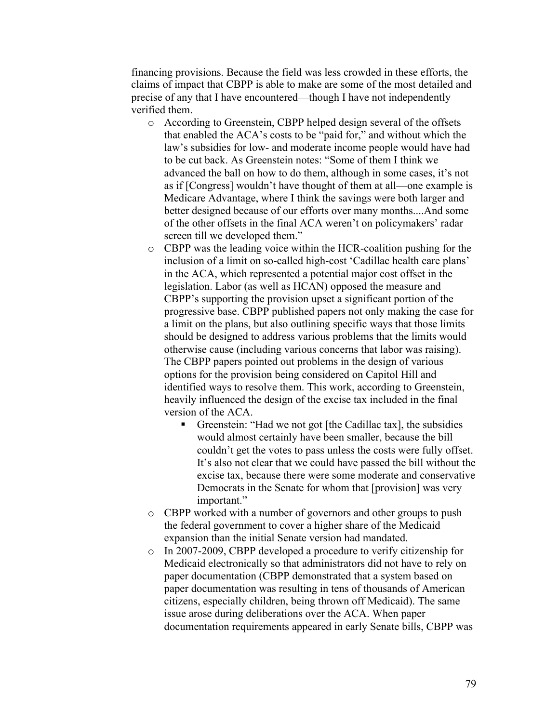financing provisions. Because the field was less crowded in these efforts, the claims of impact that CBPP is able to make are some of the most detailed and precise of any that I have encountered—though I have not independently verified them.

- o According to Greenstein, CBPP helped design several of the offsets that enabled the ACA's costs to be "paid for," and without which the law's subsidies for low- and moderate income people would have had to be cut back. As Greenstein notes: "Some of them I think we advanced the ball on how to do them, although in some cases, it's not as if [Congress] wouldn't have thought of them at all—one example is Medicare Advantage, where I think the savings were both larger and better designed because of our efforts over many months....And some of the other offsets in the final ACA weren't on policymakers' radar screen till we developed them."
- o CBPP was the leading voice within the HCR-coalition pushing for the inclusion of a limit on so-called high-cost 'Cadillac health care plans' in the ACA, which represented a potential major cost offset in the legislation. Labor (as well as HCAN) opposed the measure and CBPP's supporting the provision upset a significant portion of the progressive base. CBPP published papers not only making the case for a limit on the plans, but also outlining specific ways that those limits should be designed to address various problems that the limits would otherwise cause (including various concerns that labor was raising). The CBPP papers pointed out problems in the design of various options for the provision being considered on Capitol Hill and identified ways to resolve them. This work, according to Greenstein, heavily influenced the design of the excise tax included in the final version of the ACA.
	- § Greenstein: "Had we not got [the Cadillac tax], the subsidies would almost certainly have been smaller, because the bill couldn't get the votes to pass unless the costs were fully offset. It's also not clear that we could have passed the bill without the excise tax, because there were some moderate and conservative Democrats in the Senate for whom that [provision] was very important."
- o CBPP worked with a number of governors and other groups to push the federal government to cover a higher share of the Medicaid expansion than the initial Senate version had mandated.
- o In 2007-2009, CBPP developed a procedure to verify citizenship for Medicaid electronically so that administrators did not have to rely on paper documentation (CBPP demonstrated that a system based on paper documentation was resulting in tens of thousands of American citizens, especially children, being thrown off Medicaid). The same issue arose during deliberations over the ACA. When paper documentation requirements appeared in early Senate bills, CBPP was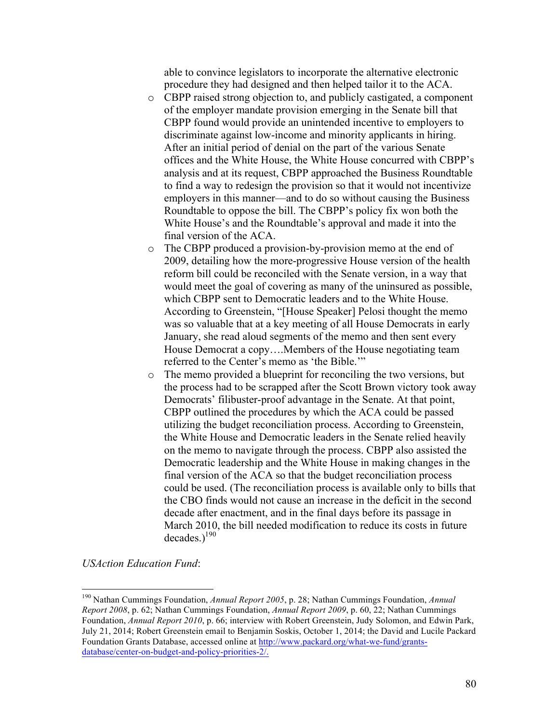able to convince legislators to incorporate the alternative electronic procedure they had designed and then helped tailor it to the ACA.

- o CBPP raised strong objection to, and publicly castigated, a component of the employer mandate provision emerging in the Senate bill that CBPP found would provide an unintended incentive to employers to discriminate against low-income and minority applicants in hiring. After an initial period of denial on the part of the various Senate offices and the White House, the White House concurred with CBPP's analysis and at its request, CBPP approached the Business Roundtable to find a way to redesign the provision so that it would not incentivize employers in this manner—and to do so without causing the Business Roundtable to oppose the bill. The CBPP's policy fix won both the White House's and the Roundtable's approval and made it into the final version of the ACA.
- o The CBPP produced a provision-by-provision memo at the end of 2009, detailing how the more-progressive House version of the health reform bill could be reconciled with the Senate version, in a way that would meet the goal of covering as many of the uninsured as possible, which CBPP sent to Democratic leaders and to the White House. According to Greenstein, "[House Speaker] Pelosi thought the memo was so valuable that at a key meeting of all House Democrats in early January, she read aloud segments of the memo and then sent every House Democrat a copy….Members of the House negotiating team referred to the Center's memo as 'the Bible.'"
- o The memo provided a blueprint for reconciling the two versions, but the process had to be scrapped after the Scott Brown victory took away Democrats' filibuster-proof advantage in the Senate. At that point, CBPP outlined the procedures by which the ACA could be passed utilizing the budget reconciliation process. According to Greenstein, the White House and Democratic leaders in the Senate relied heavily on the memo to navigate through the process. CBPP also assisted the Democratic leadership and the White House in making changes in the final version of the ACA so that the budget reconciliation process could be used. (The reconciliation process is available only to bills that the CBO finds would not cause an increase in the deficit in the second decade after enactment, and in the final days before its passage in March 2010, the bill needed modification to reduce its costs in future decades.) 190

*USAction Education Fund*:

 <sup>190</sup> Nathan Cummings Foundation, *Annual Report 2005*, p. 28; Nathan Cummings Foundation, *Annual Report 2008*, p. 62; Nathan Cummings Foundation, *Annual Report 2009*, p. 60, 22; Nathan Cummings Foundation, *Annual Report 2010*, p. 66; interview with Robert Greenstein, Judy Solomon, and Edwin Park, July 21, 2014; Robert Greenstein email to Benjamin Soskis, October 1, 2014; the David and Lucile Packard Foundation Grants Database, accessed online at http://www.packard.org/what-we-fund/grantsdatabase/center-on-budget-and-policy-priorities-2/.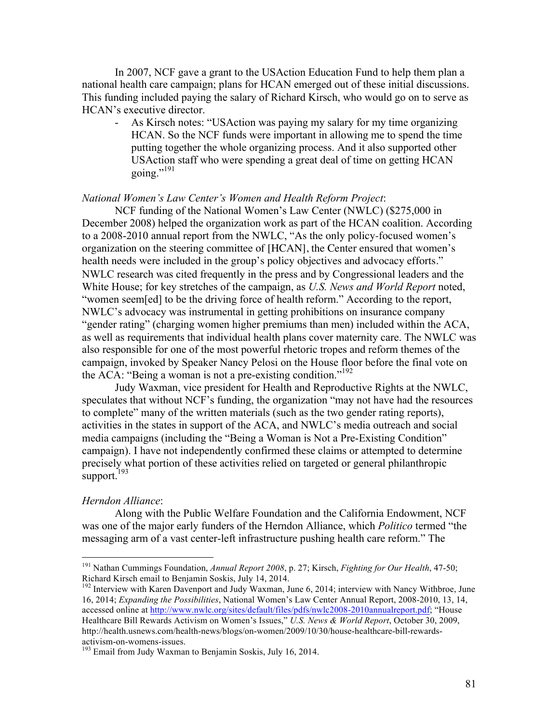In 2007, NCF gave a grant to the USAction Education Fund to help them plan a national health care campaign; plans for HCAN emerged out of these initial discussions. This funding included paying the salary of Richard Kirsch, who would go on to serve as HCAN's executive director.

- As Kirsch notes: "USAction was paying my salary for my time organizing HCAN. So the NCF funds were important in allowing me to spend the time putting together the whole organizing process. And it also supported other USAction staff who were spending a great deal of time on getting HCAN going."<sup>191</sup>

#### *National Women's Law Center's Women and Health Reform Project*:

NCF funding of the National Women's Law Center (NWLC) (\$275,000 in December 2008) helped the organization work as part of the HCAN coalition. According to a 2008-2010 annual report from the NWLC, "As the only policy-focused women's organization on the steering committee of [HCAN], the Center ensured that women's health needs were included in the group's policy objectives and advocacy efforts." NWLC research was cited frequently in the press and by Congressional leaders and the White House; for key stretches of the campaign, as *U.S. News and World Report* noted, "women seem[ed] to be the driving force of health reform." According to the report, NWLC's advocacy was instrumental in getting prohibitions on insurance company "gender rating" (charging women higher premiums than men) included within the ACA, as well as requirements that individual health plans cover maternity care. The NWLC was also responsible for one of the most powerful rhetoric tropes and reform themes of the campaign, invoked by Speaker Nancy Pelosi on the House floor before the final vote on the ACA: "Being a woman is not a pre-existing condition." 192

Judy Waxman, vice president for Health and Reproductive Rights at the NWLC, speculates that without NCF's funding, the organization "may not have had the resources to complete" many of the written materials (such as the two gender rating reports), activities in the states in support of the ACA, and NWLC's media outreach and social media campaigns (including the "Being a Woman is Not a Pre-Existing Condition" campaign). I have not independently confirmed these claims or attempted to determine precisely what portion of these activities relied on targeted or general philanthropic support.<sup>193</sup>

#### *Herndon Alliance*:

Along with the Public Welfare Foundation and the California Endowment, NCF was one of the major early funders of the Herndon Alliance, which *Politico* termed "the messaging arm of a vast center-left infrastructure pushing health care reform." The

 <sup>191</sup> Nathan Cummings Foundation, *Annual Report <sup>2008</sup>*, p. 27; Kirsch, *Fighting for Our Health*, 47-50; Richard Kirsch email to Benjamin Soskis, July 14, 2014.

<sup>&</sup>lt;sup>192</sup> Interview with Karen Davenport and Judy Waxman, June 6, 2014; interview with Nancy Withbroe, June 16, 2014; *Expanding the Possibilities*, National Women's Law Center Annual Report, 2008-2010, 13, 14, accessed online at http://www.nwlc.org/sites/default/files/pdfs/nwlc2008-2010annualreport.pdf; "House Healthcare Bill Rewards Activism on Women's Issues," *U.S. News & World Report*, October 30, 2009, http://health.usnews.com/health-news/blogs/on-women/2009/10/30/house-healthcare-bill-rewardsactivism-on-womens-issues. <sup>193</sup> Email from Judy Waxman to Benjamin Soskis, July 16, 2014.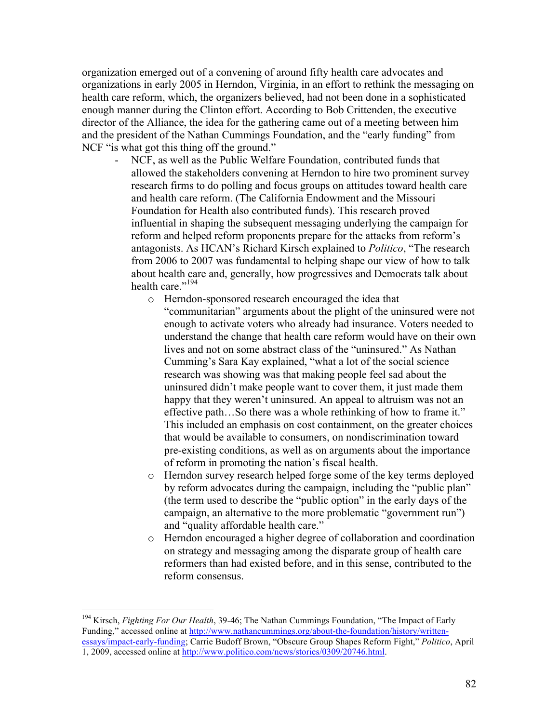organization emerged out of a convening of around fifty health care advocates and organizations in early 2005 in Herndon, Virginia, in an effort to rethink the messaging on health care reform, which, the organizers believed, had not been done in a sophisticated enough manner during the Clinton effort. According to Bob Crittenden, the executive director of the Alliance, the idea for the gathering came out of a meeting between him and the president of the Nathan Cummings Foundation, and the "early funding" from NCF "is what got this thing off the ground."

- NCF, as well as the Public Welfare Foundation, contributed funds that allowed the stakeholders convening at Herndon to hire two prominent survey research firms to do polling and focus groups on attitudes toward health care and health care reform. (The California Endowment and the Missouri Foundation for Health also contributed funds). This research proved influential in shaping the subsequent messaging underlying the campaign for reform and helped reform proponents prepare for the attacks from reform's antagonists. As HCAN's Richard Kirsch explained to *Politico*, "The research from 2006 to 2007 was fundamental to helping shape our view of how to talk about health care and, generally, how progressives and Democrats talk about health care."<sup>194</sup>
	- o Herndon-sponsored research encouraged the idea that "communitarian" arguments about the plight of the uninsured were not enough to activate voters who already had insurance. Voters needed to understand the change that health care reform would have on their own lives and not on some abstract class of the "uninsured." As Nathan Cumming's Sara Kay explained, "what a lot of the social science research was showing was that making people feel sad about the uninsured didn't make people want to cover them, it just made them happy that they weren't uninsured. An appeal to altruism was not an effective path…So there was a whole rethinking of how to frame it." This included an emphasis on cost containment, on the greater choices that would be available to consumers, on nondiscrimination toward pre-existing conditions, as well as on arguments about the importance of reform in promoting the nation's fiscal health.
	- o Herndon survey research helped forge some of the key terms deployed by reform advocates during the campaign, including the "public plan" (the term used to describe the "public option" in the early days of the campaign, an alternative to the more problematic "government run") and "quality affordable health care."
	- o Herndon encouraged a higher degree of collaboration and coordination on strategy and messaging among the disparate group of health care reformers than had existed before, and in this sense, contributed to the reform consensus.

 <sup>194</sup> Kirsch, *Fighting For Our Health*, 39-46; The Nathan Cummings Foundation, "The Impact of Early Funding," accessed online at http://www.nathancummings.org/about-the-foundation/history/writtenessays/impact-early-funding; Carrie Budoff Brown, "Obscure Group Shapes Reform Fight," *Politico*, April 1, 2009, accessed online at http://www.politico.com/news/stories/0309/20746.html.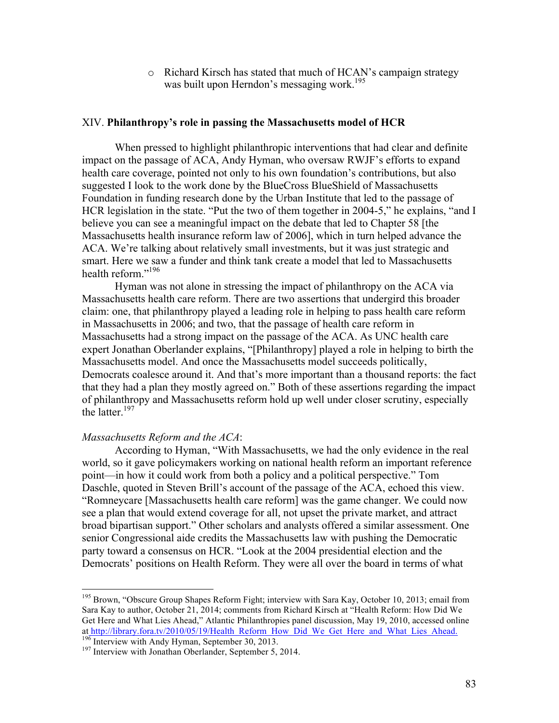o Richard Kirsch has stated that much of HCAN's campaign strategy was built upon Herndon's messaging work.<sup>195</sup>

# XIV. **Philanthropy's role in passing the Massachusetts model of HCR**

When pressed to highlight philanthropic interventions that had clear and definite impact on the passage of ACA, Andy Hyman, who oversaw RWJF's efforts to expand health care coverage, pointed not only to his own foundation's contributions, but also suggested I look to the work done by the BlueCross BlueShield of Massachusetts Foundation in funding research done by the Urban Institute that led to the passage of HCR legislation in the state. "Put the two of them together in 2004-5," he explains, "and I believe you can see a meaningful impact on the debate that led to Chapter 58 [the Massachusetts health insurance reform law of 2006], which in turn helped advance the ACA. We're talking about relatively small investments, but it was just strategic and smart. Here we saw a funder and think tank create a model that led to Massachusetts health reform."<sup>196</sup>

Hyman was not alone in stressing the impact of philanthropy on the ACA via Massachusetts health care reform. There are two assertions that undergird this broader claim: one, that philanthropy played a leading role in helping to pass health care reform in Massachusetts in 2006; and two, that the passage of health care reform in Massachusetts had a strong impact on the passage of the ACA. As UNC health care expert Jonathan Oberlander explains, "[Philanthropy] played a role in helping to birth the Massachusetts model. And once the Massachusetts model succeeds politically, Democrats coalesce around it. And that's more important than a thousand reports: the fact that they had a plan they mostly agreed on." Both of these assertions regarding the impact of philanthropy and Massachusetts reform hold up well under closer scrutiny, especially the latter.<sup>197</sup>

### *Massachusetts Reform and the ACA*:

According to Hyman, "With Massachusetts, we had the only evidence in the real world, so it gave policymakers working on national health reform an important reference point—in how it could work from both a policy and a political perspective." Tom Daschle, quoted in Steven Brill's account of the passage of the ACA, echoed this view. "Romneycare [Massachusetts health care reform] was the game changer. We could now see a plan that would extend coverage for all, not upset the private market, and attract broad bipartisan support." Other scholars and analysts offered a similar assessment. One senior Congressional aide credits the Massachusetts law with pushing the Democratic party toward a consensus on HCR. "Look at the 2004 presidential election and the Democrats' positions on Health Reform. They were all over the board in terms of what

<sup>&</sup>lt;sup>195</sup> Brown, "Obscure Group Shapes Reform Fight; interview with Sara Kay, October 10, 2013; email from Sara Kay to author, October 21, 2014; comments from Richard Kirsch at "Health Reform: How Did We Get Here and What Lies Ahead," Atlantic Philanthropies panel discussion, May 19, 2010, accessed online at http://library.fora.tv/2010/05/19/Health\_Reform\_How\_Did\_We\_Get\_Here\_and\_What\_Lies\_Ahead. <sup>196</sup> Interview with Andy Hyman, September 30, 2013. <sup>197</sup> Interview with Jonathan Oberlander, September 5, 2014.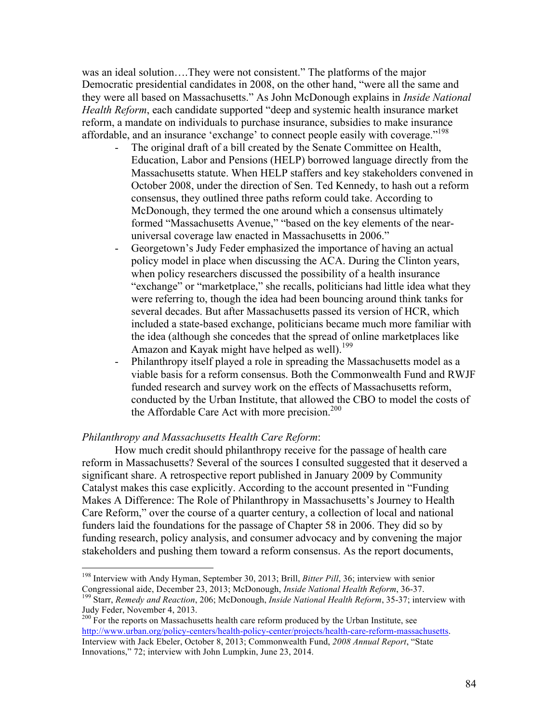was an ideal solution….They were not consistent." The platforms of the major Democratic presidential candidates in 2008, on the other hand, "were all the same and they were all based on Massachusetts." As John McDonough explains in *Inside National Health Reform*, each candidate supported "deep and systemic health insurance market reform, a mandate on individuals to purchase insurance, subsidies to make insurance affordable, and an insurance 'exchange' to connect people easily with coverage."198

- The original draft of a bill created by the Senate Committee on Health, Education, Labor and Pensions (HELP) borrowed language directly from the Massachusetts statute. When HELP staffers and key stakeholders convened in October 2008, under the direction of Sen. Ted Kennedy, to hash out a reform consensus, they outlined three paths reform could take. According to McDonough, they termed the one around which a consensus ultimately formed "Massachusetts Avenue," "based on the key elements of the nearuniversal coverage law enacted in Massachusetts in 2006."
- Georgetown's Judy Feder emphasized the importance of having an actual policy model in place when discussing the ACA. During the Clinton years, when policy researchers discussed the possibility of a health insurance "exchange" or "marketplace," she recalls, politicians had little idea what they were referring to, though the idea had been bouncing around think tanks for several decades. But after Massachusetts passed its version of HCR, which included a state-based exchange, politicians became much more familiar with the idea (although she concedes that the spread of online marketplaces like Amazon and Kayak might have helped as well).<sup>199</sup>
- Philanthropy itself played a role in spreading the Massachusetts model as a viable basis for a reform consensus. Both the Commonwealth Fund and RWJF funded research and survey work on the effects of Massachusetts reform, conducted by the Urban Institute, that allowed the CBO to model the costs of the Affordable Care Act with more precision.<sup>200</sup>

### *Philanthropy and Massachusetts Health Care Reform*:

How much credit should philanthropy receive for the passage of health care reform in Massachusetts? Several of the sources I consulted suggested that it deserved a significant share. A retrospective report published in January 2009 by Community Catalyst makes this case explicitly. According to the account presented in "Funding Makes A Difference: The Role of Philanthropy in Massachusetts's Journey to Health Care Reform," over the course of a quarter century, a collection of local and national funders laid the foundations for the passage of Chapter 58 in 2006. They did so by funding research, policy analysis, and consumer advocacy and by convening the major stakeholders and pushing them toward a reform consensus. As the report documents,

 <sup>198</sup> Interview with Andy Hyman, September 30, 2013; Brill, *Bitter Pill*, 36; interview with senior

Congressional aide, December 23, 2013; McDonough, *Inside National Health Reform*, 36-37. <sup>199</sup> Starr, *Remedy and Reaction*, 206; McDonough, *Inside National Health Reform*, 35-37; interview with Judy Feder, November 4, 2013.

<sup>&</sup>lt;sup>200</sup> For the reports on Massachusetts health care reform produced by the Urban Institute, see http://www.urban.org/policy-centers/health-policy-center/projects/health-care-reform-massachusetts. Interview with Jack Ebeler, October 8, 2013; Commonwealth Fund, *2008 Annual Report*, "State Innovations," 72; interview with John Lumpkin, June 23, 2014.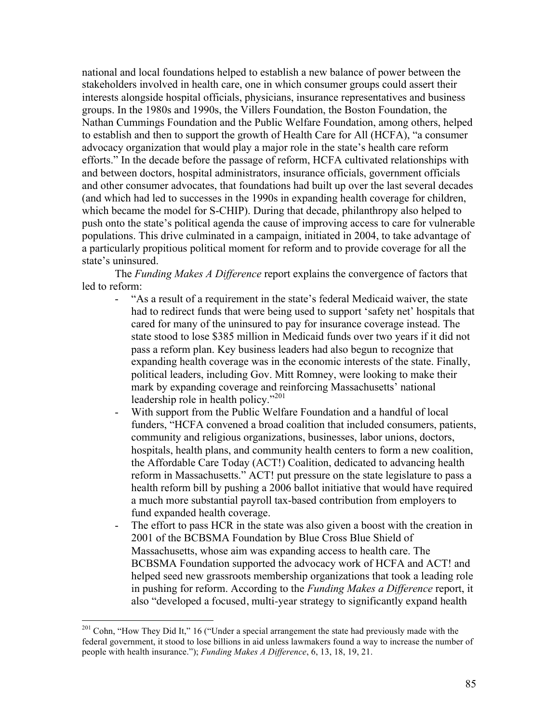national and local foundations helped to establish a new balance of power between the stakeholders involved in health care, one in which consumer groups could assert their interests alongside hospital officials, physicians, insurance representatives and business groups. In the 1980s and 1990s, the Villers Foundation, the Boston Foundation, the Nathan Cummings Foundation and the Public Welfare Foundation, among others, helped to establish and then to support the growth of Health Care for All (HCFA), "a consumer advocacy organization that would play a major role in the state's health care reform efforts." In the decade before the passage of reform, HCFA cultivated relationships with and between doctors, hospital administrators, insurance officials, government officials and other consumer advocates, that foundations had built up over the last several decades (and which had led to successes in the 1990s in expanding health coverage for children, which became the model for S-CHIP). During that decade, philanthropy also helped to push onto the state's political agenda the cause of improving access to care for vulnerable populations. This drive culminated in a campaign, initiated in 2004, to take advantage of a particularly propitious political moment for reform and to provide coverage for all the state's uninsured.

The *Funding Makes A Difference* report explains the convergence of factors that led to reform:

- "As a result of a requirement in the state's federal Medicaid waiver, the state had to redirect funds that were being used to support 'safety net' hospitals that cared for many of the uninsured to pay for insurance coverage instead. The state stood to lose \$385 million in Medicaid funds over two years if it did not pass a reform plan. Key business leaders had also begun to recognize that expanding health coverage was in the economic interests of the state. Finally, political leaders, including Gov. Mitt Romney, were looking to make their mark by expanding coverage and reinforcing Massachusetts' national leadership role in health policy."<sup>201</sup>
- With support from the Public Welfare Foundation and a handful of local funders, "HCFA convened a broad coalition that included consumers, patients, community and religious organizations, businesses, labor unions, doctors, hospitals, health plans, and community health centers to form a new coalition, the Affordable Care Today (ACT!) Coalition, dedicated to advancing health reform in Massachusetts." ACT! put pressure on the state legislature to pass a health reform bill by pushing a 2006 ballot initiative that would have required a much more substantial payroll tax-based contribution from employers to fund expanded health coverage.
- The effort to pass HCR in the state was also given a boost with the creation in 2001 of the BCBSMA Foundation by Blue Cross Blue Shield of Massachusetts, whose aim was expanding access to health care. The BCBSMA Foundation supported the advocacy work of HCFA and ACT! and helped seed new grassroots membership organizations that took a leading role in pushing for reform. According to the *Funding Makes a Difference* report, it also "developed a focused, multi-year strategy to significantly expand health

<sup>&</sup>lt;sup>201</sup> Cohn, "How They Did It," 16 ("Under a special arrangement the state had previously made with the federal government, it stood to lose billions in aid unless lawmakers found a way to increase the number of people with health insurance."); *Funding Makes A Difference*, 6, 13, 18, 19, 21.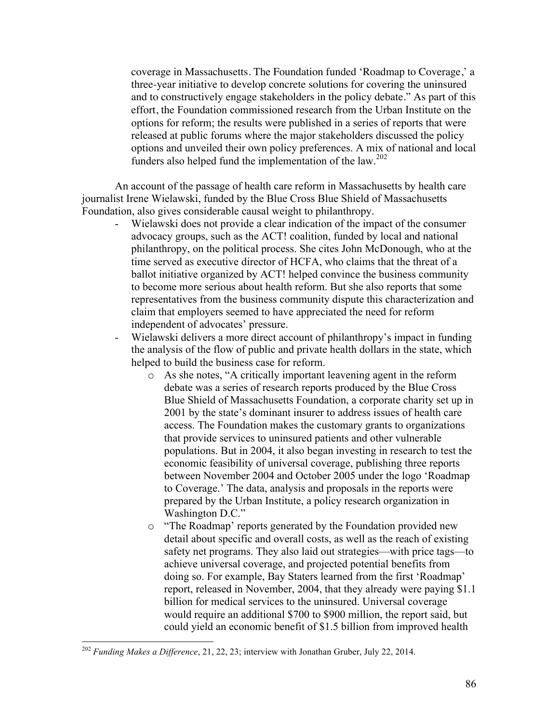coverage in Massachusetts. The Foundation funded 'Roadmap to Coverage,' a three-year initiative to develop concrete solutions for covering the uninsured and to constructively engage stakeholders in the policy debate." As part of this effort, the Foundation commissioned research from the Urban Institute on the options for reform; the results were published in a series of reports that were released at public forums where the major stakeholders discussed the policy options and unveiled their own policy preferences. A mix of national and local funders also helped fund the implementation of the law.<sup>202</sup>

An account of the passage of health care reform in Massachusetts by health care journalist Irene Wielawski, funded by the Blue Cross Blue Shield of Massachusetts Foundation, also gives considerable causal weight to philanthropy.

- Wielawski does not provide a clear indication of the impact of the consumer advocacy groups, such as the ACT! coalition, funded by local and national philanthropy, on the political process. She cites John McDonough, who at the time served as executive director of HCFA, who claims that the threat of a ballot initiative organized by ACT! helped convince the business community to become more serious about health reform. But she also reports that some representatives from the business community dispute this characterization and claim that employers seemed to have appreciated the need for reform independent of advocates' pressure.
- Wielawski delivers a more direct account of philanthropy's impact in funding the analysis of the flow of public and private health dollars in the state, which helped to build the business case for reform.
	- o As she notes, "A critically important leavening agent in the reform debate was a series of research reports produced by the Blue Cross Blue Shield of Massachusetts Foundation, a corporate charity set up in 2001 by the state's dominant insurer to address issues of health care access. The Foundation makes the customary grants to organizations that provide services to uninsured patients and other vulnerable populations. But in 2004, it also began investing in research to test the economic feasibility of universal coverage, publishing three reports between November 2004 and October 2005 under the logo 'Roadmap to Coverage.' The data, analysis and proposals in the reports were prepared by the Urban Institute, a policy research organization in Washington D.C."
	- o "The Roadmap' reports generated by the Foundation provided new detail about specific and overall costs, as well as the reach of existing safety net programs. They also laid out strategies—with price tags—to achieve universal coverage, and projected potential benefits from doing so. For example, Bay Staters learned from the first 'Roadmap' report, released in November, 2004, that they already were paying \$1.1 billion for medical services to the uninsured. Universal coverage would require an additional \$700 to \$900 million, the report said, but could yield an economic benefit of \$1.5 billion from improved health

 <sup>202</sup> *Funding Makes a Difference*, 21, 22, 23; interview with Jonathan Gruber, July 22, 2014.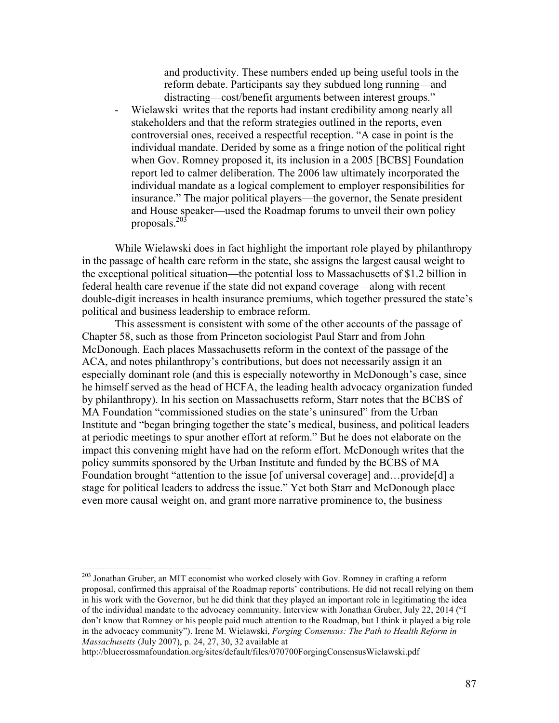and productivity. These numbers ended up being useful tools in the reform debate. Participants say they subdued long running—and distracting—cost/benefit arguments between interest groups."

Wielawski writes that the reports had instant credibility among nearly all stakeholders and that the reform strategies outlined in the reports, even controversial ones, received a respectful reception. "A case in point is the individual mandate. Derided by some as a fringe notion of the political right when Gov. Romney proposed it, its inclusion in a 2005 [BCBS] Foundation report led to calmer deliberation. The 2006 law ultimately incorporated the individual mandate as a logical complement to employer responsibilities for insurance." The major political players—the governor, the Senate president and House speaker—used the Roadmap forums to unveil their own policy proposals.203

While Wielawski does in fact highlight the important role played by philanthropy in the passage of health care reform in the state, she assigns the largest causal weight to the exceptional political situation—the potential loss to Massachusetts of \$1.2 billion in federal health care revenue if the state did not expand coverage—along with recent double-digit increases in health insurance premiums, which together pressured the state's political and business leadership to embrace reform.

This assessment is consistent with some of the other accounts of the passage of Chapter 58, such as those from Princeton sociologist Paul Starr and from John McDonough. Each places Massachusetts reform in the context of the passage of the ACA, and notes philanthropy's contributions, but does not necessarily assign it an especially dominant role (and this is especially noteworthy in McDonough's case, since he himself served as the head of HCFA, the leading health advocacy organization funded by philanthropy). In his section on Massachusetts reform, Starr notes that the BCBS of MA Foundation "commissioned studies on the state's uninsured" from the Urban Institute and "began bringing together the state's medical, business, and political leaders at periodic meetings to spur another effort at reform." But he does not elaborate on the impact this convening might have had on the reform effort. McDonough writes that the policy summits sponsored by the Urban Institute and funded by the BCBS of MA Foundation brought "attention to the issue [of universal coverage] and…provide[d] a stage for political leaders to address the issue." Yet both Starr and McDonough place even more causal weight on, and grant more narrative prominence to, the business

<sup>&</sup>lt;sup>203</sup> Jonathan Gruber, an MIT economist who worked closely with Gov. Romney in crafting a reform proposal, confirmed this appraisal of the Roadmap reports' contributions. He did not recall relying on them in his work with the Governor, but he did think that they played an important role in legitimating the idea of the individual mandate to the advocacy community. Interview with Jonathan Gruber, July 22, 2014 ("I don't know that Romney or his people paid much attention to the Roadmap, but I think it played a big role in the advocacy community"). Irene M. Wielawski, *Forging Consensus: The Path to Health Reform in Massachusetts* (July 2007), p. 24, 27, 30, 32 available at

http://bluecrossmafoundation.org/sites/default/files/070700ForgingConsensusWielawski.pdf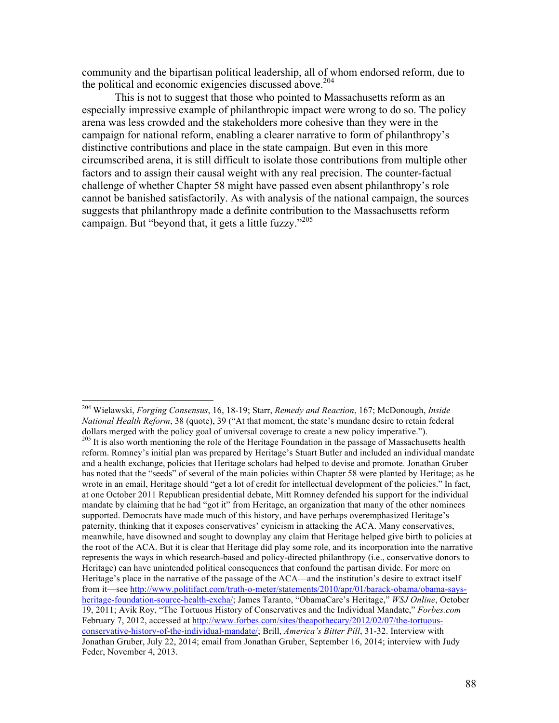community and the bipartisan political leadership, all of whom endorsed reform, due to the political and economic exigencies discussed above.<sup>204</sup>

This is not to suggest that those who pointed to Massachusetts reform as an especially impressive example of philanthropic impact were wrong to do so. The policy arena was less crowded and the stakeholders more cohesive than they were in the campaign for national reform, enabling a clearer narrative to form of philanthropy's distinctive contributions and place in the state campaign. But even in this more circumscribed arena, it is still difficult to isolate those contributions from multiple other factors and to assign their causal weight with any real precision. The counter-factual challenge of whether Chapter 58 might have passed even absent philanthropy's role cannot be banished satisfactorily. As with analysis of the national campaign, the sources suggests that philanthropy made a definite contribution to the Massachusetts reform campaign. But "beyond that, it gets a little fuzzy."<sup>205</sup>

 <sup>204</sup> Wielawski, *Forging Consensus*, 16, 18-19; Starr, *Remedy and Reaction*, 167; McDonough, *Inside National Health Reform*, 38 (quote), 39 ("At that moment, the state's mundane desire to retain federal dollars merged with the policy goal of universal coverage to create a new policy imperative.").

<sup>&</sup>lt;sup>205</sup> It is also worth mentioning the role of the Heritage Foundation in the passage of Massachusetts health reform. Romney's initial plan was prepared by Heritage's Stuart Butler and included an individual mandate and a health exchange, policies that Heritage scholars had helped to devise and promote. Jonathan Gruber has noted that the "seeds" of several of the main policies within Chapter 58 were planted by Heritage; as he wrote in an email, Heritage should "get a lot of credit for intellectual development of the policies." In fact, at one October 2011 Republican presidential debate, Mitt Romney defended his support for the individual mandate by claiming that he had "got it" from Heritage, an organization that many of the other nominees supported. Democrats have made much of this history, and have perhaps overemphasized Heritage's paternity, thinking that it exposes conservatives' cynicism in attacking the ACA. Many conservatives, meanwhile, have disowned and sought to downplay any claim that Heritage helped give birth to policies at the root of the ACA. But it is clear that Heritage did play some role, and its incorporation into the narrative represents the ways in which research-based and policy-directed philanthropy (i.e., conservative donors to Heritage) can have unintended political consequences that confound the partisan divide. For more on Heritage's place in the narrative of the passage of the ACA—and the institution's desire to extract itself from it—see http://www.politifact.com/truth-o-meter/statements/2010/apr/01/barack-obama/obama-saysheritage-foundation-source-health-excha/; James Taranto, "ObamaCare's Heritage," *WSJ Online*, October 19, 2011; Avik Roy, "The Tortuous History of Conservatives and the Individual Mandate," *Forbes.com* February 7, 2012, accessed at http://www.forbes.com/sites/theapothecary/2012/02/07/the-tortuousconservative-history-of-the-individual-mandate/; Brill, *America's Bitter Pill*, 31-32. Interview with Jonathan Gruber, July 22, 2014; email from Jonathan Gruber, September 16, 2014; interview with Judy Feder, November 4, 2013.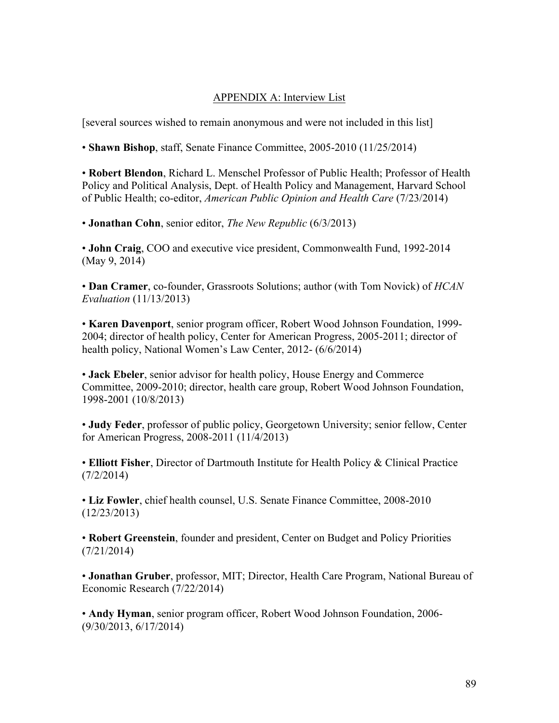# APPENDIX A: Interview List

[several sources wished to remain anonymous and were not included in this list]

• **Shawn Bishop**, staff, Senate Finance Committee, 2005-2010 (11/25/2014)

• **Robert Blendon**, Richard L. Menschel Professor of Public Health; Professor of Health Policy and Political Analysis, Dept. of Health Policy and Management, Harvard School of Public Health; co-editor, *American Public Opinion and Health Care* (7/23/2014)

• **Jonathan Cohn**, senior editor, *The New Republic* (6/3/2013)

• **John Craig**, COO and executive vice president, Commonwealth Fund, 1992-2014 (May 9, 2014)

• **Dan Cramer**, co-founder, Grassroots Solutions; author (with Tom Novick) of *HCAN Evaluation* (11/13/2013)

• **Karen Davenport**, senior program officer, Robert Wood Johnson Foundation, 1999- 2004; director of health policy, Center for American Progress, 2005-2011; director of health policy, National Women's Law Center, 2012- (6/6/2014)

• **Jack Ebeler**, senior advisor for health policy, House Energy and Commerce Committee, 2009-2010; director, health care group, Robert Wood Johnson Foundation, 1998-2001 (10/8/2013)

• **Judy Feder**, professor of public policy, Georgetown University; senior fellow, Center for American Progress, 2008-2011 (11/4/2013)

• **Elliott Fisher**, Director of Dartmouth Institute for Health Policy & Clinical Practice (7/2/2014)

• **Liz Fowler**, chief health counsel, U.S. Senate Finance Committee, 2008-2010 (12/23/2013)

• **Robert Greenstein**, founder and president, Center on Budget and Policy Priorities (7/21/2014)

• **Jonathan Gruber**, professor, MIT; Director, Health Care Program, National Bureau of Economic Research (7/22/2014)

• **Andy Hyman**, senior program officer, Robert Wood Johnson Foundation, 2006- (9/30/2013, 6/17/2014)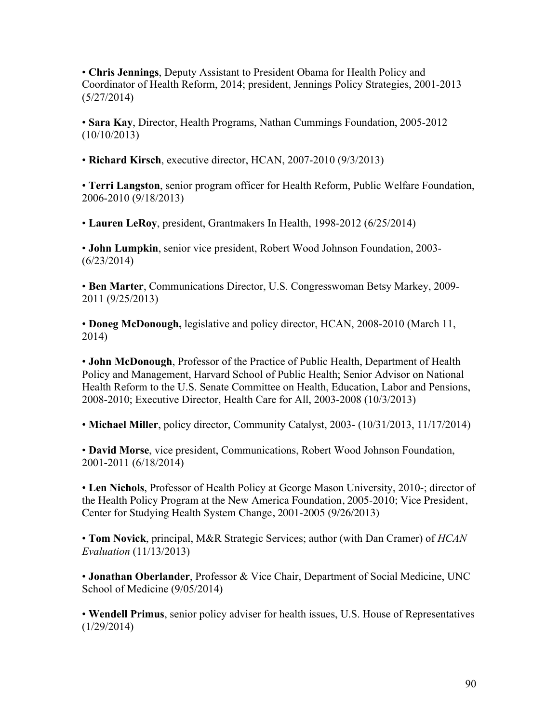• **Chris Jennings**, Deputy Assistant to President Obama for Health Policy and Coordinator of Health Reform, 2014; president, Jennings Policy Strategies, 2001-2013 (5/27/2014)

• **Sara Kay**, Director, Health Programs, Nathan Cummings Foundation, 2005-2012 (10/10/2013)

• **Richard Kirsch**, executive director, HCAN, 2007-2010 (9/3/2013)

• **Terri Langston**, senior program officer for Health Reform, Public Welfare Foundation, 2006-2010 (9/18/2013)

• **Lauren LeRoy**, president, Grantmakers In Health, 1998-2012 (6/25/2014)

• **John Lumpkin**, senior vice president, Robert Wood Johnson Foundation, 2003- (6/23/2014)

• **Ben Marter**, Communications Director, U.S. Congresswoman Betsy Markey, 2009- 2011 (9/25/2013)

• **Doneg McDonough,** legislative and policy director, HCAN, 2008-2010 (March 11, 2014)

• **John McDonough**, Professor of the Practice of Public Health, Department of Health Policy and Management, Harvard School of Public Health; Senior Advisor on National Health Reform to the U.S. Senate Committee on Health, Education, Labor and Pensions, 2008-2010; Executive Director, Health Care for All, 2003-2008 (10/3/2013)

• **Michael Miller**, policy director, Community Catalyst, 2003- (10/31/2013, 11/17/2014)

• **David Morse**, vice president, Communications, Robert Wood Johnson Foundation, 2001-2011 (6/18/2014)

• **Len Nichols**, Professor of Health Policy at George Mason University, 2010-; director of the Health Policy Program at the New America Foundation, 2005-2010; Vice President, Center for Studying Health System Change, 2001-2005 (9/26/2013)

• **Tom Novick**, principal, M&R Strategic Services; author (with Dan Cramer) of *HCAN Evaluation* (11/13/2013)

• **Jonathan Oberlander**, Professor & Vice Chair, Department of Social Medicine, UNC School of Medicine (9/05/2014)

• **Wendell Primus**, senior policy adviser for health issues, U.S. House of Representatives (1/29/2014)